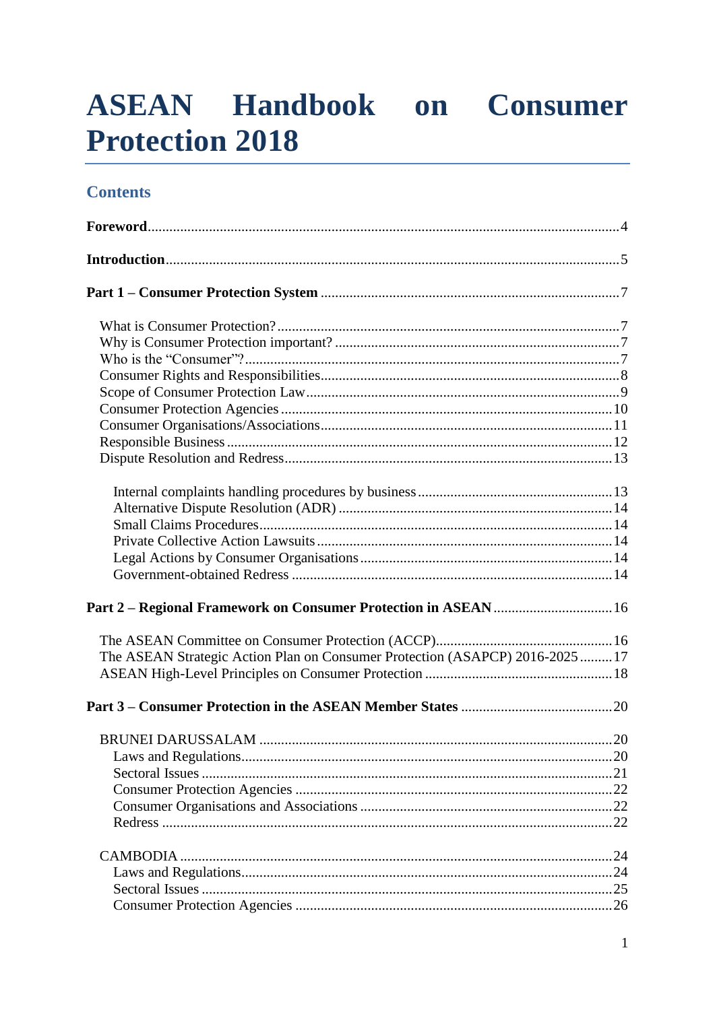# **ASEAN Handbook on Consumer Protection 2018**

# **Contents**

| Part 2 - Regional Framework on Consumer Protection in ASEAN  16               |  |
|-------------------------------------------------------------------------------|--|
|                                                                               |  |
| The ASEAN Strategic Action Plan on Consumer Protection (ASAPCP) 2016-2025  17 |  |
|                                                                               |  |
|                                                                               |  |
|                                                                               |  |
|                                                                               |  |
|                                                                               |  |
|                                                                               |  |
|                                                                               |  |
|                                                                               |  |
|                                                                               |  |
|                                                                               |  |
|                                                                               |  |
|                                                                               |  |
|                                                                               |  |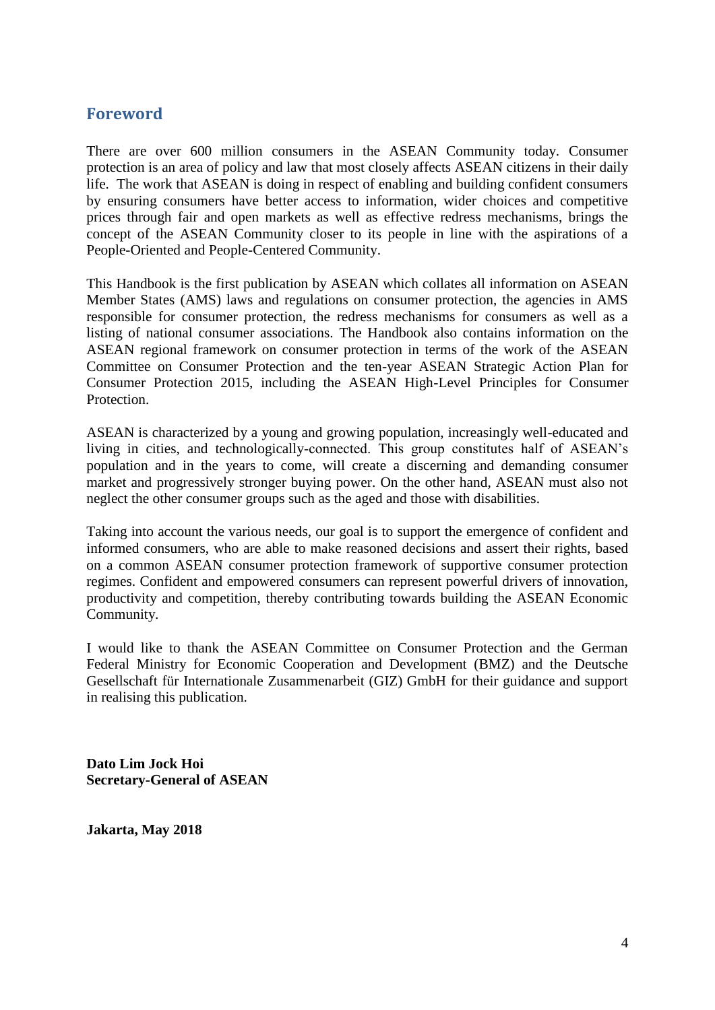# <span id="page-3-0"></span>**Foreword**

There are over 600 million consumers in the ASEAN Community today. Consumer protection is an area of policy and law that most closely affects ASEAN citizens in their daily life. The work that ASEAN is doing in respect of enabling and building confident consumers by ensuring consumers have better access to information, wider choices and competitive prices through fair and open markets as well as effective redress mechanisms, brings the concept of the ASEAN Community closer to its people in line with the aspirations of a People-Oriented and People-Centered Community.

This Handbook is the first publication by ASEAN which collates all information on ASEAN Member States (AMS) laws and regulations on consumer protection, the agencies in AMS responsible for consumer protection, the redress mechanisms for consumers as well as a listing of national consumer associations. The Handbook also contains information on the ASEAN regional framework on consumer protection in terms of the work of the ASEAN Committee on Consumer Protection and the ten-year ASEAN Strategic Action Plan for Consumer Protection 2015, including the ASEAN High-Level Principles for Consumer Protection.

ASEAN is characterized by a young and growing population, increasingly well-educated and living in cities, and technologically-connected. This group constitutes half of ASEAN's population and in the years to come, will create a discerning and demanding consumer market and progressively stronger buying power. On the other hand, ASEAN must also not neglect the other consumer groups such as the aged and those with disabilities.

Taking into account the various needs, our goal is to support the emergence of confident and informed consumers, who are able to make reasoned decisions and assert their rights, based on a common ASEAN consumer protection framework of supportive consumer protection regimes. Confident and empowered consumers can represent powerful drivers of innovation, productivity and competition, thereby contributing towards building the ASEAN Economic Community.

I would like to thank the ASEAN Committee on Consumer Protection and the German Federal Ministry for Economic Cooperation and Development (BMZ) and the Deutsche Gesellschaft für Internationale Zusammenarbeit (GIZ) GmbH for their guidance and support in realising this publication.

**Dato Lim Jock Hoi Secretary-General of ASEAN**

**Jakarta, May 2018**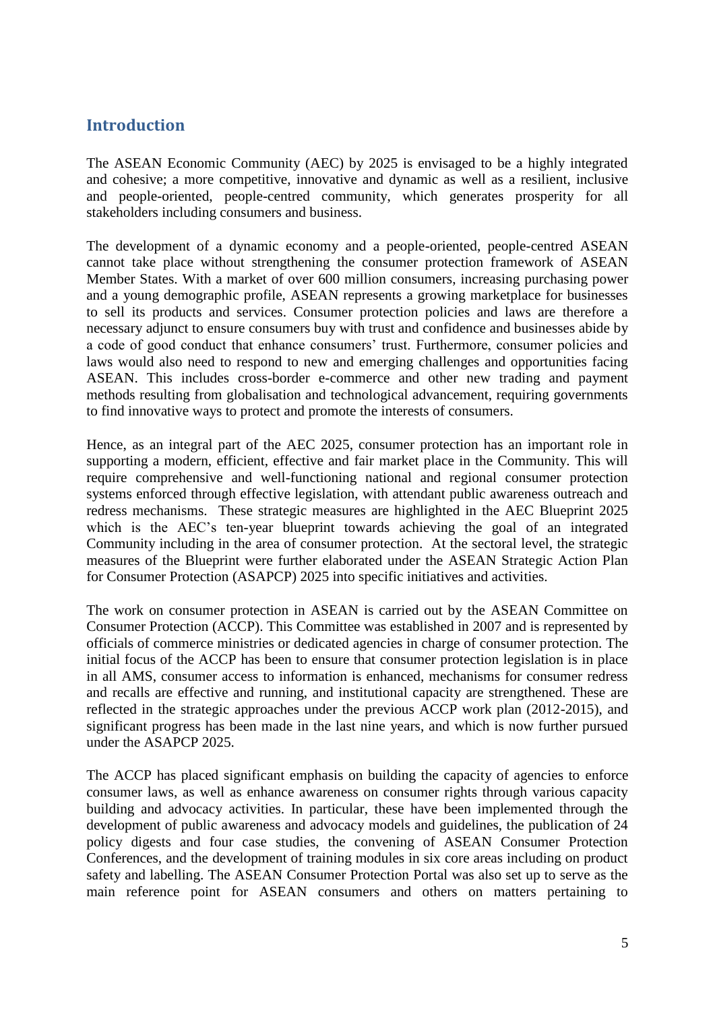# <span id="page-4-0"></span>**Introduction**

The ASEAN Economic Community (AEC) by 2025 is envisaged to be a highly integrated and cohesive; a more competitive, innovative and dynamic as well as a resilient, inclusive and people-oriented, people-centred community, which generates prosperity for all stakeholders including consumers and business.

The development of a dynamic economy and a people-oriented, people-centred ASEAN cannot take place without strengthening the consumer protection framework of ASEAN Member States. With a market of over 600 million consumers, increasing purchasing power and a young demographic profile, ASEAN represents a growing marketplace for businesses to sell its products and services. Consumer protection policies and laws are therefore a necessary adjunct to ensure consumers buy with trust and confidence and businesses abide by a code of good conduct that enhance consumers' trust. Furthermore, consumer policies and laws would also need to respond to new and emerging challenges and opportunities facing ASEAN. This includes cross-border e-commerce and other new trading and payment methods resulting from globalisation and technological advancement, requiring governments to find innovative ways to protect and promote the interests of consumers.

Hence, as an integral part of the AEC 2025, consumer protection has an important role in supporting a modern, efficient, effective and fair market place in the Community. This will require comprehensive and well-functioning national and regional consumer protection systems enforced through effective legislation, with attendant public awareness outreach and redress mechanisms. These strategic measures are highlighted in the AEC Blueprint 2025 which is the AEC's ten-year blueprint towards achieving the goal of an integrated Community including in the area of consumer protection. At the sectoral level, the strategic measures of the Blueprint were further elaborated under the ASEAN Strategic Action Plan for Consumer Protection (ASAPCP) 2025 into specific initiatives and activities.

The work on consumer protection in ASEAN is carried out by the ASEAN Committee on Consumer Protection (ACCP). This Committee was established in 2007 and is represented by officials of commerce ministries or dedicated agencies in charge of consumer protection. The initial focus of the ACCP has been to ensure that consumer protection legislation is in place in all AMS, consumer access to information is enhanced, mechanisms for consumer redress and recalls are effective and running, and institutional capacity are strengthened. These are reflected in the strategic approaches under the previous ACCP work plan (2012-2015), and significant progress has been made in the last nine years, and which is now further pursued under the ASAPCP 2025.

The ACCP has placed significant emphasis on building the capacity of agencies to enforce consumer laws, as well as enhance awareness on consumer rights through various capacity building and advocacy activities. In particular, these have been implemented through the development of public awareness and advocacy models and guidelines, the publication of 24 policy digests and four case studies, the convening of ASEAN Consumer Protection Conferences, and the development of training modules in six core areas including on product safety and labelling. The ASEAN Consumer Protection Portal was also set up to serve as the main reference point for ASEAN consumers and others on matters pertaining to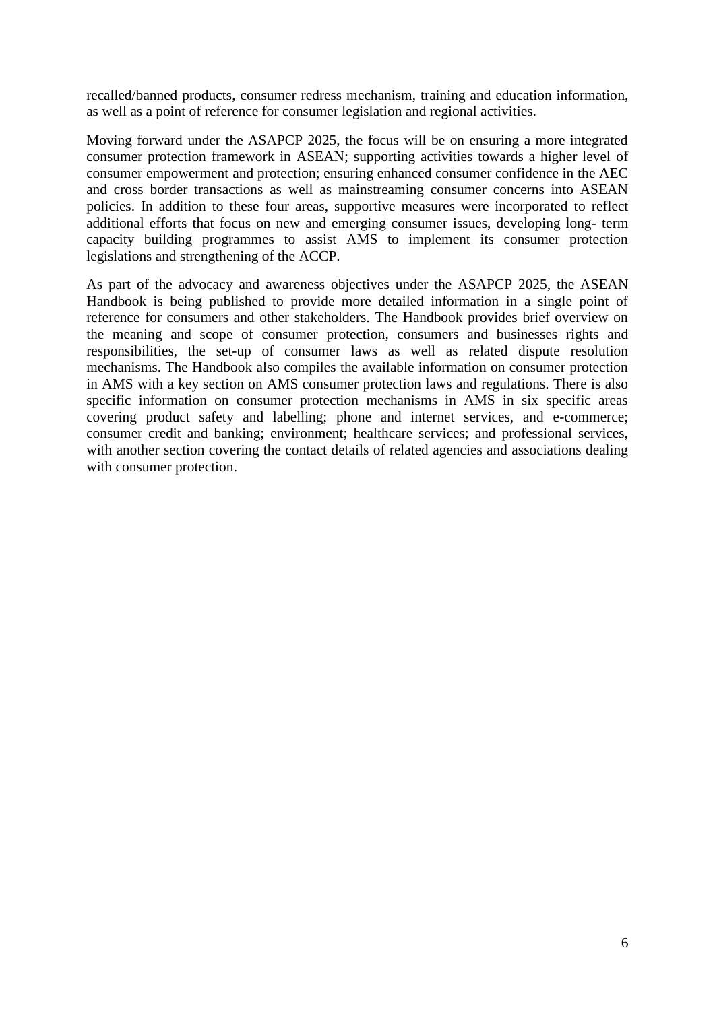recalled/banned products, consumer redress mechanism, training and education information, as well as a point of reference for consumer legislation and regional activities.

Moving forward under the ASAPCP 2025, the focus will be on ensuring a more integrated consumer protection framework in ASEAN; supporting activities towards a higher level of consumer empowerment and protection; ensuring enhanced consumer confidence in the AEC and cross border transactions as well as mainstreaming consumer concerns into ASEAN policies. In addition to these four areas, supportive measures were incorporated to reflect additional efforts that focus on new and emerging consumer issues, developing long- term capacity building programmes to assist AMS to implement its consumer protection legislations and strengthening of the ACCP.

As part of the advocacy and awareness objectives under the ASAPCP 2025, the ASEAN Handbook is being published to provide more detailed information in a single point of reference for consumers and other stakeholders. The Handbook provides brief overview on the meaning and scope of consumer protection, consumers and businesses rights and responsibilities, the set-up of consumer laws as well as related dispute resolution mechanisms. The Handbook also compiles the available information on consumer protection in AMS with a key section on AMS consumer protection laws and regulations. There is also specific information on consumer protection mechanisms in AMS in six specific areas covering product safety and labelling; phone and internet services, and e-commerce; consumer credit and banking; environment; healthcare services; and professional services, with another section covering the contact details of related agencies and associations dealing with consumer protection.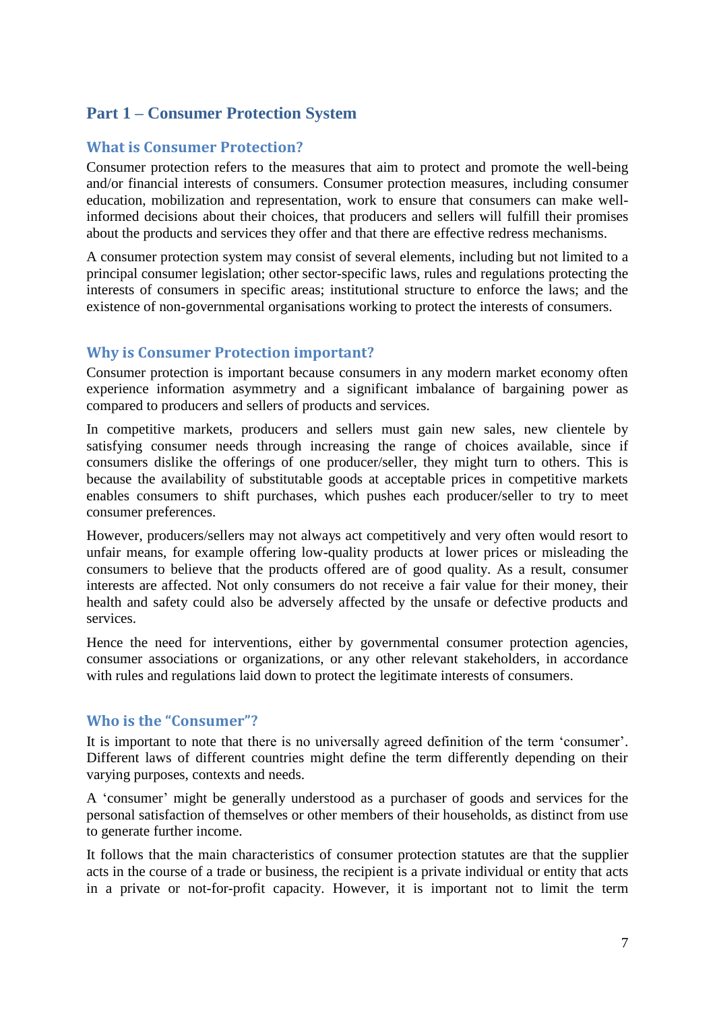# <span id="page-6-0"></span>**Part 1 – Consumer Protection System**

# <span id="page-6-1"></span>**What is Consumer Protection?**

Consumer protection refers to the measures that aim to protect and promote the well-being and/or financial interests of consumers. Consumer protection measures, including consumer education, mobilization and representation, work to ensure that consumers can make wellinformed decisions about their choices, that producers and sellers will fulfill their promises about the products and services they offer and that there are effective redress mechanisms.

A consumer protection system may consist of several elements, including but not limited to a principal consumer legislation; other sector-specific laws, rules and regulations protecting the interests of consumers in specific areas; institutional structure to enforce the laws; and the existence of non-governmental organisations working to protect the interests of consumers.

# <span id="page-6-2"></span>**Why is Consumer Protection important?**

Consumer protection is important because consumers in any modern market economy often experience information asymmetry and a significant imbalance of bargaining power as compared to producers and sellers of products and services.

In competitive markets, producers and sellers must gain new sales, new clientele by satisfying consumer needs through increasing the range of choices available, since if consumers dislike the offerings of one producer/seller, they might turn to others. This is because the availability of substitutable goods at acceptable prices in competitive markets enables consumers to shift purchases, which pushes each producer/seller to try to meet consumer preferences.

However, producers/sellers may not always act competitively and very often would resort to unfair means, for example offering low-quality products at lower prices or misleading the consumers to believe that the products offered are of good quality. As a result, consumer interests are affected. Not only consumers do not receive a fair value for their money, their health and safety could also be adversely affected by the unsafe or defective products and services.

Hence the need for interventions, either by governmental consumer protection agencies, consumer associations or organizations, or any other relevant stakeholders, in accordance with rules and regulations laid down to protect the legitimate interests of consumers.

# <span id="page-6-3"></span>**Who is the "Consumer"?**

It is important to note that there is no universally agreed definition of the term 'consumer'. Different laws of different countries might define the term differently depending on their varying purposes, contexts and needs.

A 'consumer' might be generally understood as a purchaser of goods and services for the personal satisfaction of themselves or other members of their households, as distinct from use to generate further income.

It follows that the main characteristics of consumer protection statutes are that the supplier acts in the course of a trade or business, the recipient is a private individual or entity that acts in a private or not-for-profit capacity. However, it is important not to limit the term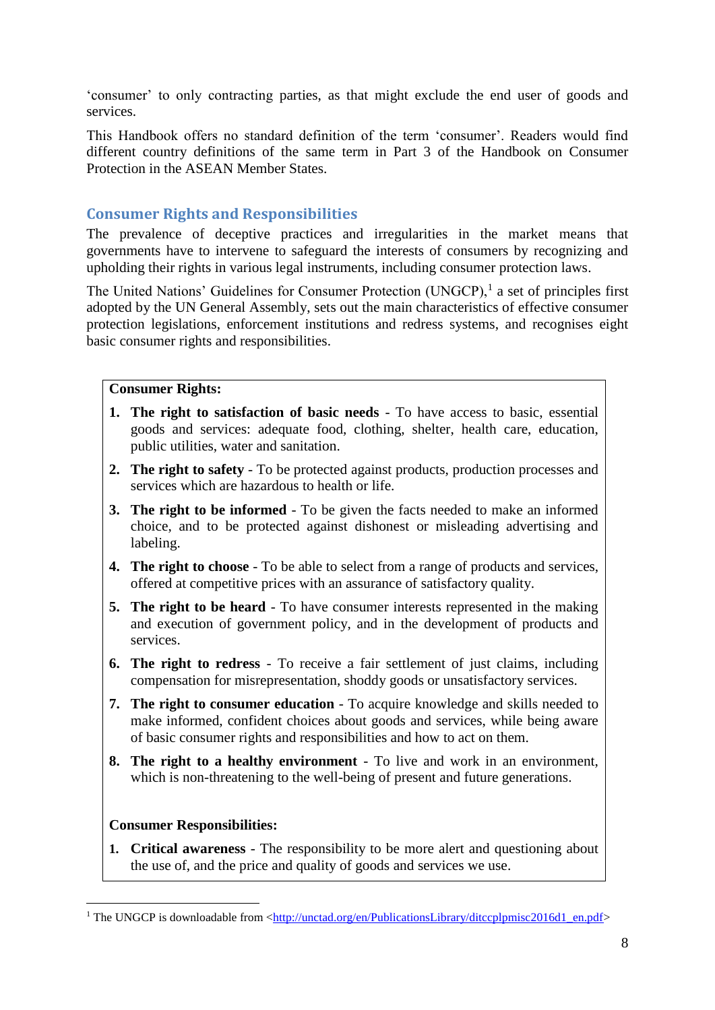'consumer' to only contracting parties, as that might exclude the end user of goods and services.

This Handbook offers no standard definition of the term 'consumer'. Readers would find different country definitions of the same term in Part 3 of the Handbook on Consumer Protection in the ASEAN Member States.

# <span id="page-7-0"></span>**Consumer Rights and Responsibilities**

The prevalence of deceptive practices and irregularities in the market means that governments have to intervene to safeguard the interests of consumers by recognizing and upholding their rights in various legal instruments, including consumer protection laws.

The United Nations' Guidelines for Consumer Protection (UNGCP),<sup>1</sup> a set of principles first adopted by the UN General Assembly, sets out the main characteristics of effective consumer protection legislations, enforcement institutions and redress systems, and recognises eight basic consumer rights and responsibilities.

# **Consumer Rights:**

- **1. The right to satisfaction of basic needs** To have access to basic, essential goods and services: adequate [food,](http://www.consumersinternational.org/our-work/food) clothing, shelter, health care, education, public utilities, water and sanitation.
- **2. The right to safety** To be protected against products, production processes and services which are hazardous to health or life.
- **3. The right to be informed** To be given the facts needed to make an informed choice, and to be protected against dishonest or misleading advertising and labeling.
- **4. The right to choose** To be able to select from a range of products and services, offered at competitive prices with an assurance of satisfactory quality.
- **5. The right to be heard** To have consumer interests represented in the making and execution of government policy, and in the development of products and services.
- **6. The right to redress** To receive a fair settlement of just claims, including compensation for misrepresentation, shoddy goods or unsatisfactory services.
- **7. The right to consumer education** To acquire knowledge and skills needed to make informed, confident choices about goods and services, while being aware of basic consumer rights and responsibilities and how to act on them.
- **8. The right to a healthy environment** To live and work in an environment, which is non-threatening to the well-being of present and future generations.

# **Consumer Responsibilities:**

**.** 

**1. Critical awareness** - The responsibility to be more alert and questioning about the use of, and the price and quality of goods and services we use.

<sup>&</sup>lt;sup>1</sup> The UNGCP is downloadable from  $\langle$ http://unctad.org/en/PublicationsLibrary/ditccplpmisc2016d1\_en.pdf>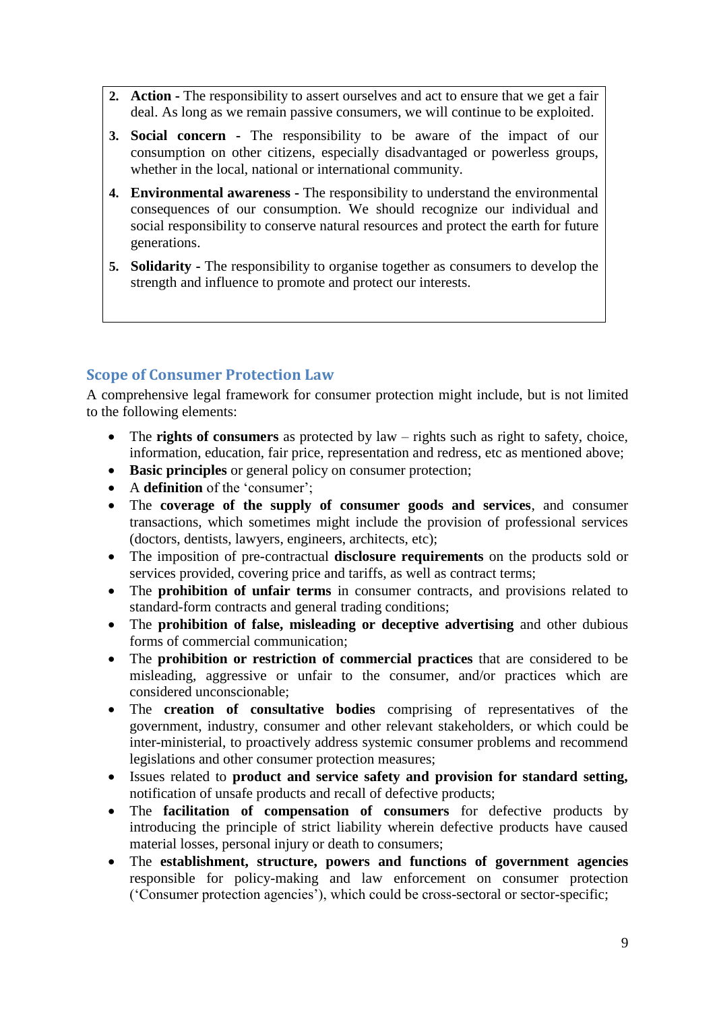- **2. Action -** The responsibility to assert ourselves and act to ensure that we get a fair deal. As long as we remain passive consumers, we will continue to be exploited.
- **3. Social concern -** The responsibility to be aware of the impact of our consumption on other citizens, especially disadvantaged or powerless groups, whether in the local, national or international community.
- **4. Environmental awareness -** The responsibility to understand the environmental consequences of our consumption. We should recognize our individual and social responsibility to conserve natural resources and protect the earth for future generations.
- **5. Solidarity -** The responsibility to organise together as consumers to develop the strength and influence to promote and protect our interests.

# <span id="page-8-0"></span>**Scope of Consumer Protection Law**

A comprehensive legal framework for consumer protection might include, but is not limited to the following elements:

- The **rights of consumers** as protected by law rights such as right to safety, choice, information, education, fair price, representation and redress, etc as mentioned above;
- **Basic principles** or general policy on consumer protection;
- A **definition** of the 'consumer';
- The **coverage of the supply of consumer goods and services**, and consumer transactions, which sometimes might include the provision of professional services (doctors, dentists, lawyers, engineers, architects, etc);
- The imposition of pre-contractual **disclosure requirements** on the products sold or services provided, covering price and tariffs, as well as contract terms;
- The **prohibition of unfair terms** in consumer contracts, and provisions related to standard-form contracts and general trading conditions;
- The **prohibition of false, misleading or deceptive advertising** and other dubious forms of commercial communication;
- The **prohibition or restriction of commercial practices** that are considered to be misleading, aggressive or unfair to the consumer, and/or practices which are considered unconscionable;
- The **creation of consultative bodies** comprising of representatives of the government, industry, consumer and other relevant stakeholders, or which could be inter-ministerial, to proactively address systemic consumer problems and recommend legislations and other consumer protection measures;
- Issues related to **product and service safety and provision for standard setting,** notification of unsafe products and recall of defective products;
- The **facilitation of compensation of consumers** for defective products by introducing the principle of strict liability wherein defective products have caused material losses, personal injury or death to consumers;
- The **establishment, structure, powers and functions of government agencies** responsible for policy-making and law enforcement on consumer protection ('Consumer protection agencies'), which could be cross-sectoral or sector-specific;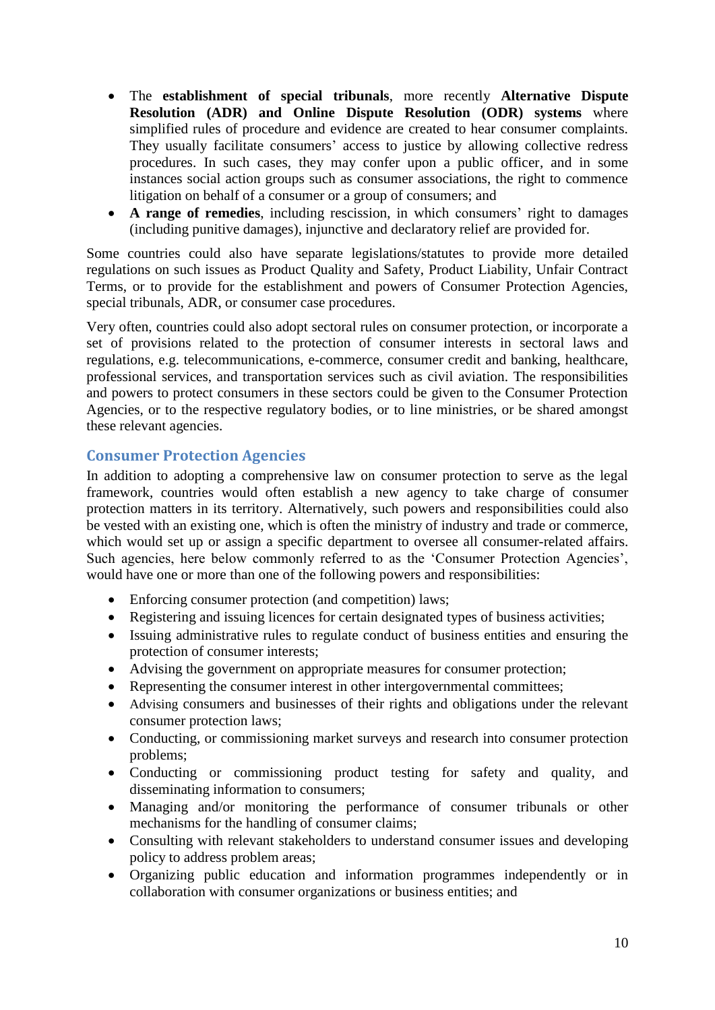- The **establishment of special tribunals**, more recently **Alternative Dispute Resolution (ADR) and Online Dispute Resolution (ODR) systems** where simplified rules of procedure and evidence are created to hear consumer complaints. They usually facilitate consumers' access to justice by allowing collective redress procedures. In such cases, they may confer upon a public officer, and in some instances social action groups such as consumer associations, the right to commence litigation on behalf of a consumer or a group of consumers; and
- **A range of remedies**, including rescission, in which consumers' right to damages (including punitive damages), injunctive and declaratory relief are provided for.

Some countries could also have separate legislations/statutes to provide more detailed regulations on such issues as Product Quality and Safety, Product Liability, Unfair Contract Terms, or to provide for the establishment and powers of Consumer Protection Agencies, special tribunals, ADR, or consumer case procedures.

Very often, countries could also adopt sectoral rules on consumer protection, or incorporate a set of provisions related to the protection of consumer interests in sectoral laws and regulations, e.g. telecommunications, e-commerce, consumer credit and banking, healthcare, professional services, and transportation services such as civil aviation. The responsibilities and powers to protect consumers in these sectors could be given to the Consumer Protection Agencies, or to the respective regulatory bodies, or to line ministries, or be shared amongst these relevant agencies.

# <span id="page-9-0"></span>**Consumer Protection Agencies**

In addition to adopting a comprehensive law on consumer protection to serve as the legal framework, countries would often establish a new agency to take charge of consumer protection matters in its territory. Alternatively, such powers and responsibilities could also be vested with an existing one, which is often the ministry of industry and trade or commerce, which would set up or assign a specific department to oversee all consumer-related affairs. Such agencies, here below commonly referred to as the 'Consumer Protection Agencies', would have one or more than one of the following powers and responsibilities:

- Enforcing consumer protection (and competition) laws;
- Registering and issuing licences for certain designated types of business activities;
- Issuing administrative rules to regulate conduct of business entities and ensuring the protection of consumer interests;
- Advising the government on appropriate measures for consumer protection;
- Representing the consumer interest in other intergovernmental committees;
- Advising consumers and businesses of their rights and obligations under the relevant consumer protection laws;
- Conducting, or commissioning market surveys and research into consumer protection problems;
- Conducting or commissioning product testing for safety and quality, and disseminating information to consumers;
- Managing and/or monitoring the performance of consumer tribunals or other mechanisms for the handling of consumer claims;
- Consulting with relevant stakeholders to understand consumer issues and developing policy to address problem areas;
- Organizing public education and information programmes independently or in collaboration with consumer organizations or business entities; and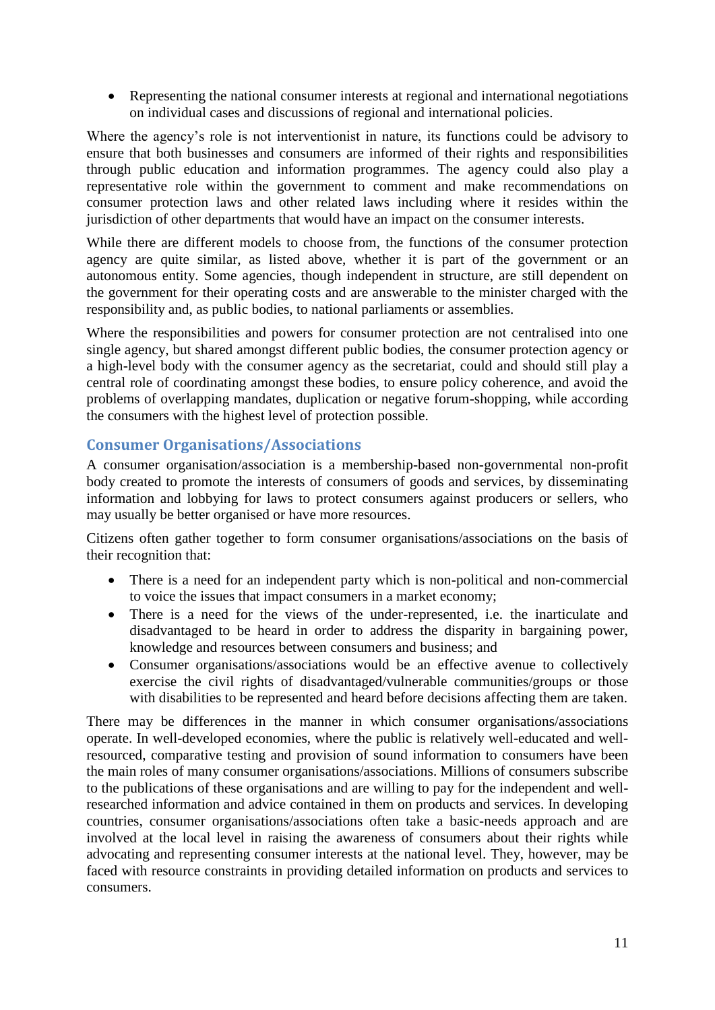• Representing the national consumer interests at regional and international negotiations on individual cases and discussions of regional and international policies.

Where the agency's role is not interventionist in nature, its functions could be advisory to ensure that both businesses and consumers are informed of their rights and responsibilities through public education and information programmes. The agency could also play a representative role within the government to comment and make recommendations on consumer protection laws and other related laws including where it resides within the jurisdiction of other departments that would have an impact on the consumer interests.

While there are different models to choose from, the functions of the consumer protection agency are quite similar, as listed above, whether it is part of the government or an autonomous entity. Some agencies, though independent in structure, are still dependent on the government for their operating costs and are answerable to the minister charged with the responsibility and, as public bodies, to national parliaments or assemblies.

Where the responsibilities and powers for consumer protection are not centralised into one single agency, but shared amongst different public bodies, the consumer protection agency or a high-level body with the consumer agency as the secretariat, could and should still play a central role of coordinating amongst these bodies, to ensure policy coherence, and avoid the problems of overlapping mandates, duplication or negative forum-shopping, while according the consumers with the highest level of protection possible.

# <span id="page-10-0"></span>**Consumer Organisations/Associations**

A consumer organisation/association is a membership-based non-governmental non-profit body created to promote the interests of consumers of goods and services, by disseminating information and lobbying for laws to protect consumers against producers or sellers, who may usually be better organised or have more resources.

Citizens often gather together to form consumer organisations/associations on the basis of their recognition that:

- There is a need for an independent party which is non-political and non-commercial to voice the issues that impact consumers in a market economy;
- There is a need for the views of the under-represented, i.e. the inarticulate and disadvantaged to be heard in order to address the disparity in bargaining power, knowledge and resources between consumers and business; and
- Consumer organisations/associations would be an effective avenue to collectively exercise the civil rights of disadvantaged/vulnerable communities/groups or those with disabilities to be represented and heard before decisions affecting them are taken.

There may be differences in the manner in which consumer organisations/associations operate. In well-developed economies, where the public is relatively well-educated and wellresourced, comparative testing and provision of sound information to consumers have been the main roles of many consumer organisations/associations. Millions of consumers subscribe to the publications of these organisations and are willing to pay for the independent and wellresearched information and advice contained in them on products and services. In developing countries, consumer organisations/associations often take a basic-needs approach and are involved at the local level in raising the awareness of consumers about their rights while advocating and representing consumer interests at the national level. They, however, may be faced with resource constraints in providing detailed information on products and services to consumers.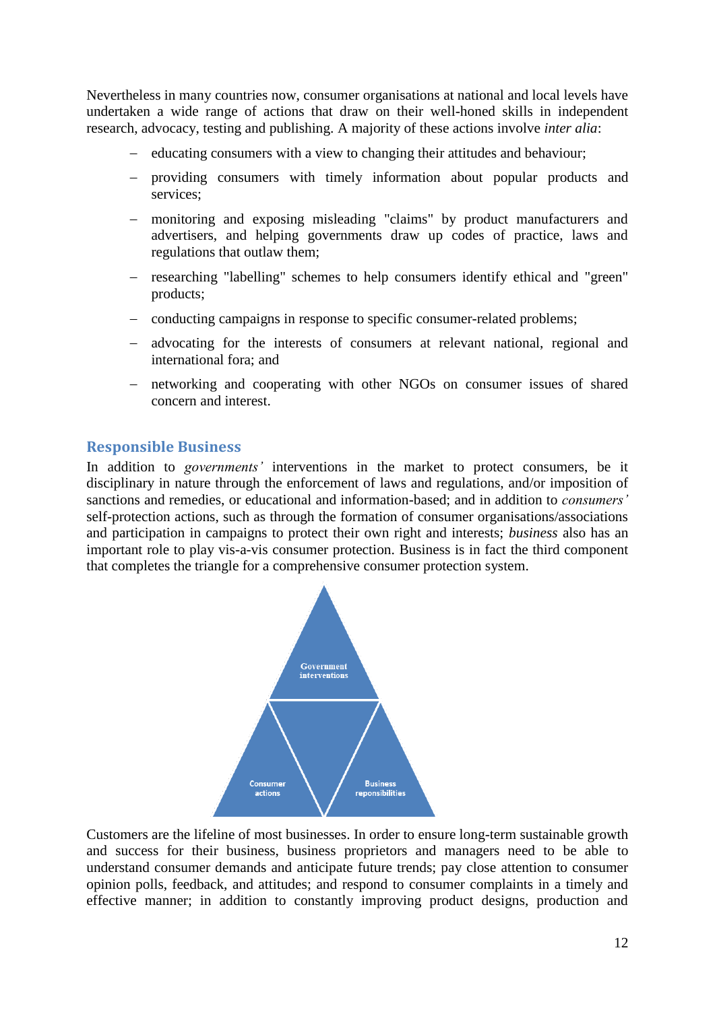Nevertheless in many countries now, consumer organisations at national and local levels have undertaken a wide range of actions that draw on their well-honed skills in independent research, advocacy, testing and publishing. A majority of these actions involve *inter alia*:

- − educating consumers with a view to changing their attitudes and behaviour;
- − providing consumers with timely information about popular products and services;
- − monitoring and exposing misleading "claims" by product manufacturers and advertisers, and helping governments draw up codes of practice, laws and regulations that outlaw them;
- − researching "labelling" schemes to help consumers identify ethical and "green" products;
- − conducting campaigns in response to specific consumer-related problems;
- − advocating for the interests of consumers at relevant national, regional and international fora; and
- − networking and cooperating with other NGOs on consumer issues of shared concern and interest.

#### <span id="page-11-0"></span>**Responsible Business**

In addition to *governments'* interventions in the market to protect consumers, be it disciplinary in nature through the enforcement of laws and regulations, and/or imposition of sanctions and remedies, or educational and information-based; and in addition to *consumers'* self-protection actions, such as through the formation of consumer organisations/associations and participation in campaigns to protect their own right and interests; *business* also has an important role to play vis-a-vis consumer protection. Business is in fact the third component that completes the triangle for a comprehensive consumer protection system.



Customers are the lifeline of most businesses. In order to ensure long-term sustainable growth and success for their business, business proprietors and managers need to be able to understand consumer demands and anticipate future trends; pay close attention to consumer opinion polls, feedback, and attitudes; and respond to consumer complaints in a timely and effective manner; in addition to constantly improving product designs, production and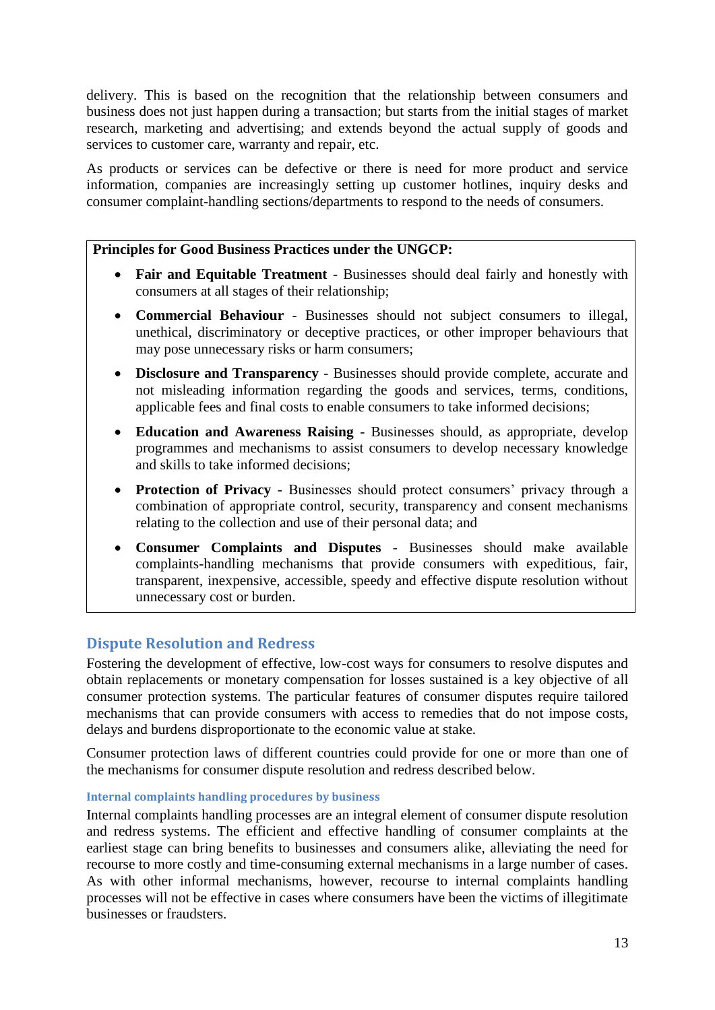delivery. This is based on the recognition that the relationship between consumers and business does not just happen during a transaction; but starts from the initial stages of market research, marketing and advertising; and extends beyond the actual supply of goods and services to customer care, warranty and repair, etc.

As products or services can be defective or there is need for more product and service information, companies are increasingly setting up customer hotlines, inquiry desks and consumer complaint-handling sections/departments to respond to the needs of consumers.

## **Principles for Good Business Practices under the UNGCP:**

- **Fair and Equitable Treatment** Businesses should deal fairly and honestly with consumers at all stages of their relationship;
- **Commercial Behaviour** Businesses should not subject consumers to illegal, unethical, discriminatory or deceptive practices, or other improper behaviours that may pose unnecessary risks or harm consumers;
- **Disclosure and Transparency** Businesses should provide complete, accurate and not misleading information regarding the goods and services, terms, conditions, applicable fees and final costs to enable consumers to take informed decisions;
- **Education and Awareness Raising** Businesses should, as appropriate, develop programmes and mechanisms to assist consumers to develop necessary knowledge and skills to take informed decisions;
- **Protection of Privacy** Businesses should protect consumers' privacy through a combination of appropriate control, security, transparency and consent mechanisms relating to the collection and use of their personal data; and
- **Consumer Complaints and Disputes** Businesses should make available complaints-handling mechanisms that provide consumers with expeditious, fair, transparent, inexpensive, accessible, speedy and effective dispute resolution without unnecessary cost or burden.

# <span id="page-12-0"></span>**Dispute Resolution and Redress**

Fostering the development of effective, low-cost ways for consumers to resolve disputes and obtain replacements or monetary compensation for losses sustained is a key objective of all consumer protection systems. The particular features of consumer disputes require tailored mechanisms that can provide consumers with access to remedies that do not impose costs, delays and burdens disproportionate to the economic value at stake.

Consumer protection laws of different countries could provide for one or more than one of the mechanisms for consumer dispute resolution and redress described below.

#### <span id="page-12-1"></span>**Internal complaints handling procedures by business**

Internal complaints handling processes are an integral element of consumer dispute resolution and redress systems. The efficient and effective handling of consumer complaints at the earliest stage can bring benefits to businesses and consumers alike, alleviating the need for recourse to more costly and time-consuming external mechanisms in a large number of cases. As with other informal mechanisms, however, recourse to internal complaints handling processes will not be effective in cases where consumers have been the victims of illegitimate businesses or fraudsters.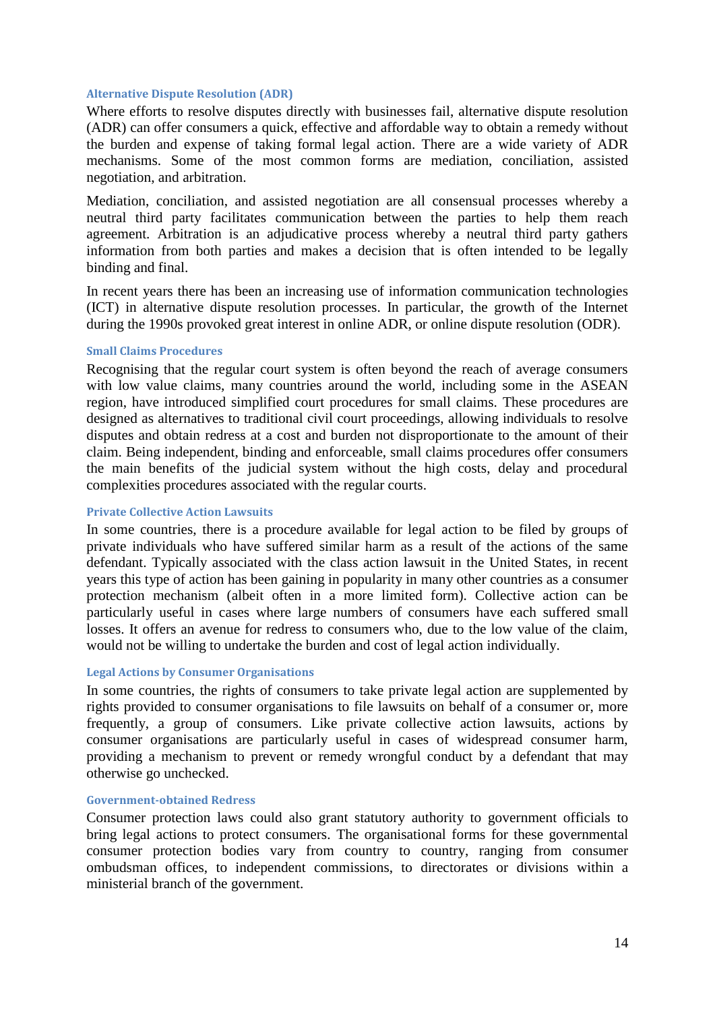#### <span id="page-13-0"></span>**Alternative Dispute Resolution (ADR)**

Where efforts to resolve disputes directly with businesses fail, alternative dispute resolution (ADR) can offer consumers a quick, effective and affordable way to obtain a remedy without the burden and expense of taking formal legal action. There are a wide variety of ADR mechanisms. Some of the most common forms are mediation, conciliation, assisted negotiation, and arbitration.

Mediation, conciliation, and assisted negotiation are all consensual processes whereby a neutral third party facilitates communication between the parties to help them reach agreement. Arbitration is an adjudicative process whereby a neutral third party gathers information from both parties and makes a decision that is often intended to be legally binding and final.

In recent years there has been an increasing use of information communication technologies (ICT) in alternative dispute resolution processes. In particular, the growth of the Internet during the 1990s provoked great interest in online ADR, or online dispute resolution (ODR).

#### <span id="page-13-1"></span>**Small Claims Procedures**

Recognising that the regular court system is often beyond the reach of average consumers with low value claims, many countries around the world, including some in the ASEAN region, have introduced simplified court procedures for small claims. These procedures are designed as alternatives to traditional civil court proceedings, allowing individuals to resolve disputes and obtain redress at a cost and burden not disproportionate to the amount of their claim. Being independent, binding and enforceable, small claims procedures offer consumers the main benefits of the judicial system without the high costs, delay and procedural complexities procedures associated with the regular courts.

#### <span id="page-13-2"></span>**Private Collective Action Lawsuits**

In some countries, there is a procedure available for legal action to be filed by groups of private individuals who have suffered similar harm as a result of the actions of the same defendant. Typically associated with the class action lawsuit in the United States, in recent years this type of action has been gaining in popularity in many other countries as a consumer protection mechanism (albeit often in a more limited form). Collective action can be particularly useful in cases where large numbers of consumers have each suffered small losses. It offers an avenue for redress to consumers who, due to the low value of the claim, would not be willing to undertake the burden and cost of legal action individually.

#### <span id="page-13-3"></span>**Legal Actions by Consumer Organisations**

In some countries, the rights of consumers to take private legal action are supplemented by rights provided to consumer organisations to file lawsuits on behalf of a consumer or, more frequently, a group of consumers. Like private collective action lawsuits, actions by consumer organisations are particularly useful in cases of widespread consumer harm, providing a mechanism to prevent or remedy wrongful conduct by a defendant that may otherwise go unchecked.

#### <span id="page-13-4"></span>**Government-obtained Redress**

Consumer protection laws could also grant statutory authority to government officials to bring legal actions to protect consumers. The organisational forms for these governmental consumer protection bodies vary from country to country, ranging from consumer ombudsman offices, to independent commissions, to directorates or divisions within a ministerial branch of the government.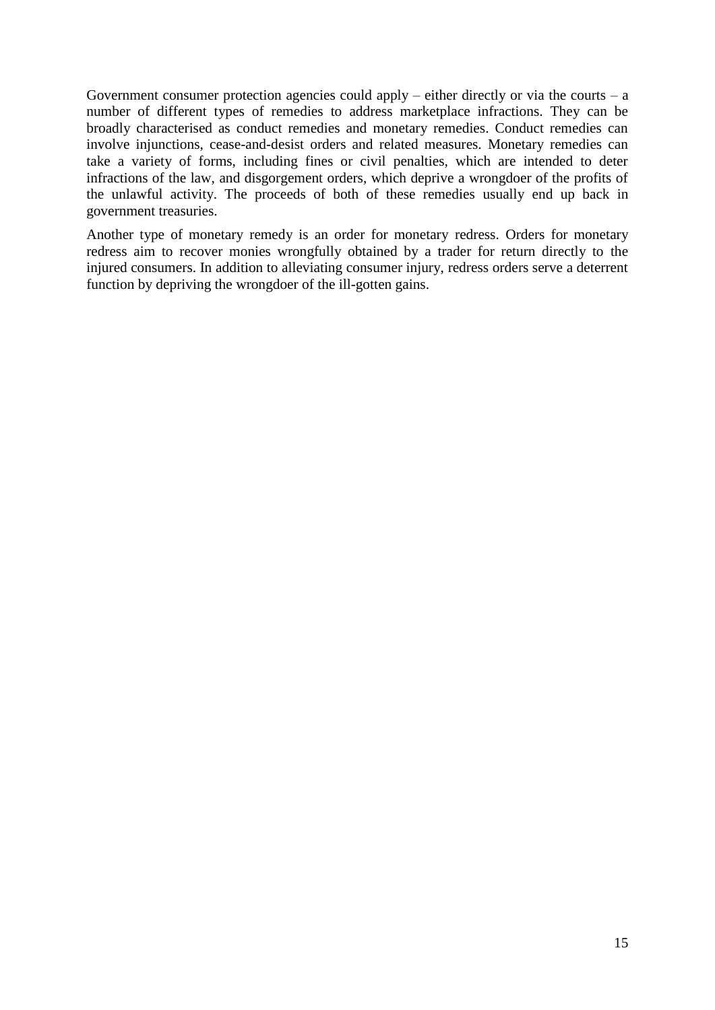Government consumer protection agencies could apply – either directly or via the courts –  $a$ number of different types of remedies to address marketplace infractions. They can be broadly characterised as conduct remedies and monetary remedies. Conduct remedies can involve injunctions, cease-and-desist orders and related measures. Monetary remedies can take a variety of forms, including fines or civil penalties, which are intended to deter infractions of the law, and disgorgement orders, which deprive a wrongdoer of the profits of the unlawful activity. The proceeds of both of these remedies usually end up back in government treasuries.

<span id="page-14-0"></span>Another type of monetary remedy is an order for monetary redress. Orders for monetary redress aim to recover monies wrongfully obtained by a trader for return directly to the injured consumers. In addition to alleviating consumer injury, redress orders serve a deterrent function by depriving the wrongdoer of the ill-gotten gains.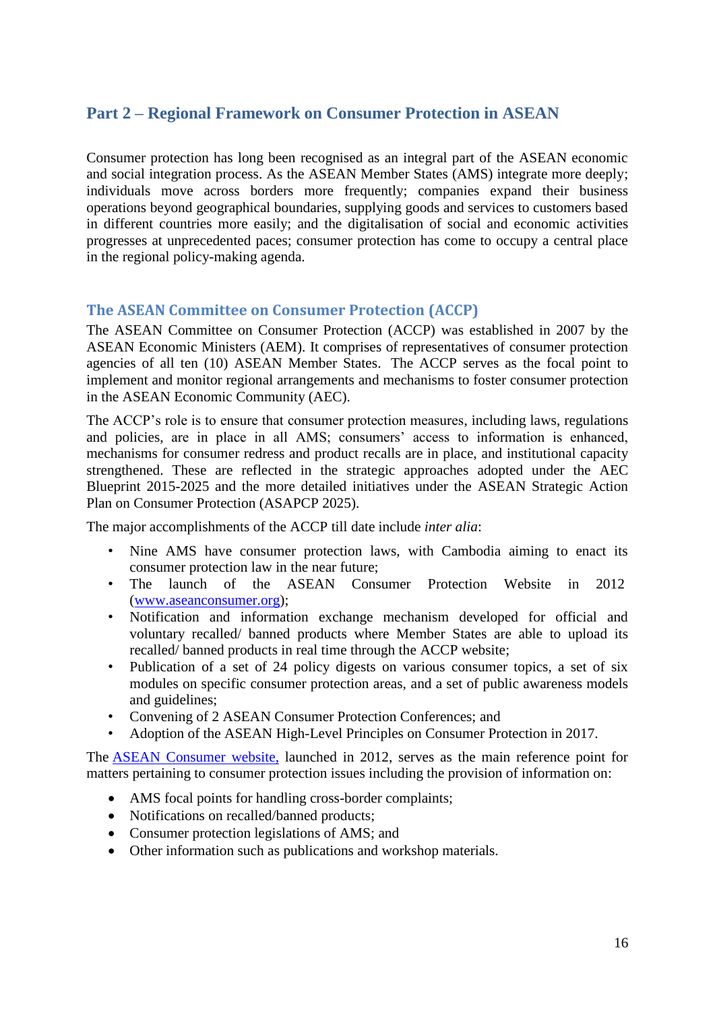# **Part 2 – Regional Framework on Consumer Protection in ASEAN**

Consumer protection has long been recognised as an integral part of the ASEAN economic and social integration process. As the ASEAN Member States (AMS) integrate more deeply; individuals move across borders more frequently; companies expand their business operations beyond geographical boundaries, supplying goods and services to customers based in different countries more easily; and the digitalisation of social and economic activities progresses at unprecedented paces; consumer protection has come to occupy a central place in the regional policy-making agenda.

# <span id="page-15-0"></span>**The ASEAN Committee on Consumer Protection (ACCP)**

The ASEAN Committee on Consumer Protection (ACCP) was established in 2007 by the ASEAN Economic Ministers (AEM). It comprises of representatives of consumer protection agencies of all ten (10) ASEAN Member States. The ACCP serves as the focal point to implement and monitor regional arrangements and mechanisms to foster consumer protection in the ASEAN Economic Community (AEC).

The ACCP's role is to ensure that consumer protection measures, including laws, regulations and policies, are in place in all AMS; consumers' access to information is enhanced, mechanisms for consumer redress and product recalls are in place, and institutional capacity strengthened. These are reflected in the strategic approaches adopted under the AEC Blueprint 2015-2025 and the more detailed initiatives under the ASEAN Strategic Action Plan on Consumer Protection (ASAPCP 2025).

The major accomplishments of the ACCP till date include *inter alia*:

- Nine AMS have consumer protection laws, with Cambodia aiming to enact its consumer protection law in the near future;
- The launch of the ASEAN Consumer Protection Website in 2012 [\(www.aseanconsumer.org\)](http://www.aseanconsumer.org/);
- Notification and information exchange mechanism developed for official and voluntary recalled/ banned products where Member States are able to upload its recalled/ banned products in real time through the ACCP website;
- Publication of a set of 24 policy digests on various consumer topics, a set of six modules on specific consumer protection areas, and a set of public awareness models and guidelines;
- Convening of 2 ASEAN Consumer Protection Conferences; and
- Adoption of the ASEAN High-Level Principles on Consumer Protection in 2017.

The [ASEAN Consumer website,](http://www.aseanconsumer.org/) launched in 2012, serves as the main reference point for matters pertaining to consumer protection issues including the provision of information on:

- AMS focal points for handling cross-border complaints;
- Notifications on recalled/banned products;
- Consumer protection legislations of AMS; and
- Other information such as publications and workshop materials.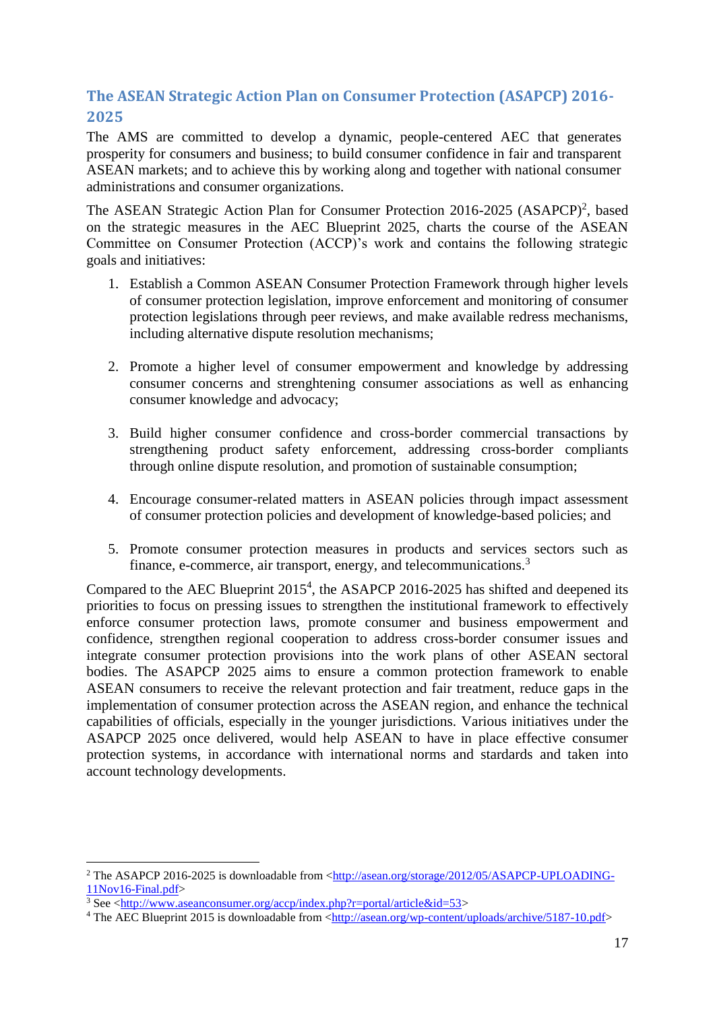# <span id="page-16-0"></span>**The ASEAN Strategic Action Plan on Consumer Protection (ASAPCP) 2016- 2025**

The AMS are committed to develop a dynamic, people-centered AEC that generates prosperity for consumers and business; to build consumer confidence in fair and transparent ASEAN markets; and to achieve this by working along and together with national consumer administrations and consumer organizations.

The ASEAN Strategic Action Plan for Consumer Protection 2016-2025 (ASAPCP)<sup>2</sup>, based on the strategic measures in the AEC Blueprint 2025, charts the course of the ASEAN Committee on Consumer Protection (ACCP)'s work and contains the following strategic goals and initiatives:

- 1. Establish a Common ASEAN Consumer Protection Framework through higher levels of consumer protection legislation, improve enforcement and monitoring of consumer protection legislations through peer reviews, and make available redress mechanisms, including alternative dispute resolution mechanisms;
- 2. Promote a higher level of consumer empowerment and knowledge by addressing consumer concerns and strenghtening consumer associations as well as enhancing consumer knowledge and advocacy;
- 3. Build higher consumer confidence and cross-border commercial transactions by strengthening product safety enforcement, addressing cross-border compliants through online dispute resolution, and promotion of sustainable consumption;
- 4. Encourage consumer-related matters in ASEAN policies through impact assessment of consumer protection policies and development of knowledge-based policies; and
- 5. Promote consumer protection measures in products and services sectors such as finance, e-commerce, air transport, energy, and telecommunications.<sup>3</sup>

Compared to the AEC Blueprint  $2015<sup>4</sup>$ , the ASAPCP 2016-2025 has shifted and deepened its priorities to focus on pressing issues to strengthen the institutional framework to effectively enforce consumer protection laws, promote consumer and business empowerment and confidence, strengthen regional cooperation to address cross-border consumer issues and integrate consumer protection provisions into the work plans of other ASEAN sectoral bodies. The ASAPCP 2025 aims to ensure a common protection framework to enable ASEAN consumers to receive the relevant protection and fair treatment, reduce gaps in the implementation of consumer protection across the ASEAN region, and enhance the technical capabilities of officials, especially in the younger jurisdictions. Various initiatives under the ASAPCP 2025 once delivered, would help ASEAN to have in place effective consumer protection systems, in accordance with international norms and stardards and taken into account technology developments.

**.** 

<sup>&</sup>lt;sup>2</sup> The ASAPCP 2016-2025 is downloadable from [<http://asean.org/storage/2012/05/ASAPCP-UPLOADING-](http://asean.org/storage/2012/05/ASAPCP-UPLOADING-11Nov16-Final.pdf)[11Nov16-Final.pdf>](http://asean.org/storage/2012/05/ASAPCP-UPLOADING-11Nov16-Final.pdf)

 $3$  See  $\langle$ http://www.aseanconsumer.org/accp/index.php?r=portal/article&id=53>

<sup>&</sup>lt;sup>4</sup> The AEC Blueprint 2015 is downloadable from [<http://asean.org/wp-content/uploads/archive/5187-10.pdf>](http://asean.org/wp-content/uploads/archive/5187-10.pdf)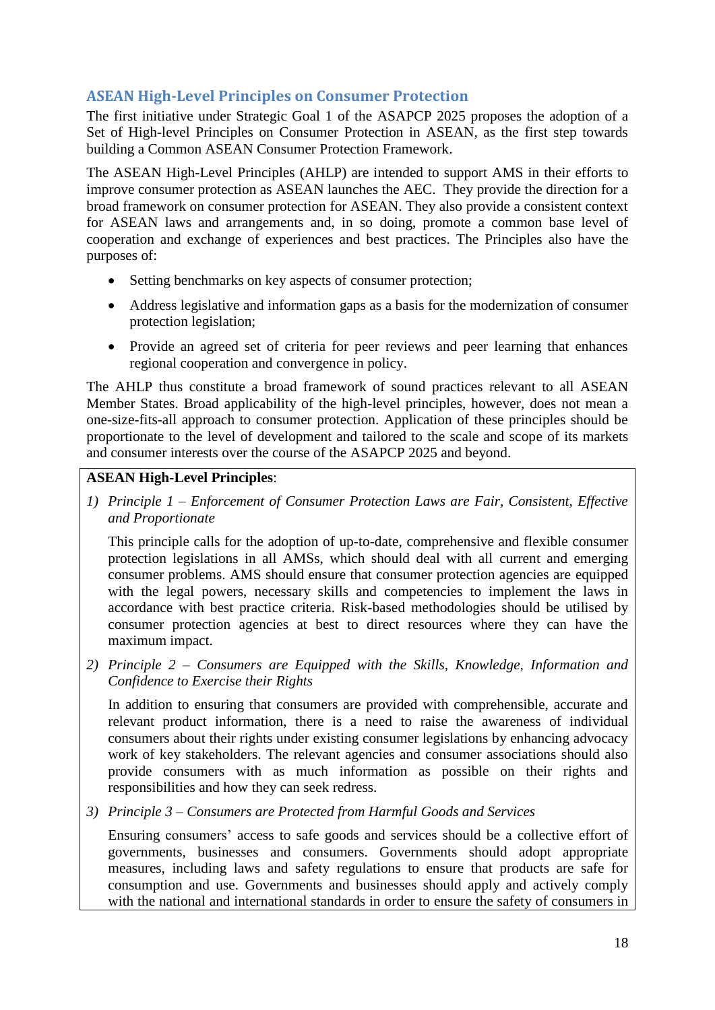# <span id="page-17-0"></span>**ASEAN High-Level Principles on Consumer Protection**

The first initiative under Strategic Goal 1 of the ASAPCP 2025 proposes the adoption of a Set of High-level Principles on Consumer Protection in ASEAN, as the first step towards building a Common ASEAN Consumer Protection Framework.

The ASEAN High-Level Principles (AHLP) are intended to support AMS in their efforts to improve consumer protection as ASEAN launches the AEC. They provide the direction for a broad framework on consumer protection for ASEAN. They also provide a consistent context for ASEAN laws and arrangements and, in so doing, promote a common base level of cooperation and exchange of experiences and best practices. The Principles also have the purposes of:

- Setting benchmarks on key aspects of consumer protection;
- Address legislative and information gaps as a basis for the modernization of consumer protection legislation;
- Provide an agreed set of criteria for peer reviews and peer learning that enhances regional cooperation and convergence in policy.

The AHLP thus constitute a broad framework of sound practices relevant to all ASEAN Member States. Broad applicability of the high-level principles, however, does not mean a one-size-fits-all approach to consumer protection. Application of these principles should be proportionate to the level of development and tailored to the scale and scope of its markets and consumer interests over the course of the ASAPCP 2025 and beyond.

# **ASEAN High-Level Principles**:

*1) Principle 1 – Enforcement of Consumer Protection Laws are Fair, Consistent, Effective and Proportionate*

This principle calls for the adoption of up-to-date, comprehensive and flexible consumer protection legislations in all AMSs, which should deal with all current and emerging consumer problems. AMS should ensure that consumer protection agencies are equipped with the legal powers, necessary skills and competencies to implement the laws in accordance with best practice criteria. Risk-based methodologies should be utilised by consumer protection agencies at best to direct resources where they can have the maximum impact.

*2) Principle 2 – Consumers are Equipped with the Skills, Knowledge, Information and Confidence to Exercise their Rights*

In addition to ensuring that consumers are provided with comprehensible, accurate and relevant product information, there is a need to raise the awareness of individual consumers about their rights under existing consumer legislations by enhancing advocacy work of key stakeholders. The relevant agencies and consumer associations should also provide consumers with as much information as possible on their rights and responsibilities and how they can seek redress.

*3) Principle 3 – Consumers are Protected from Harmful Goods and Services*

Ensuring consumers' access to safe goods and services should be a collective effort of governments, businesses and consumers. Governments should adopt appropriate measures, including laws and safety regulations to ensure that products are safe for consumption and use. Governments and businesses should apply and actively comply with the national and international standards in order to ensure the safety of consumers in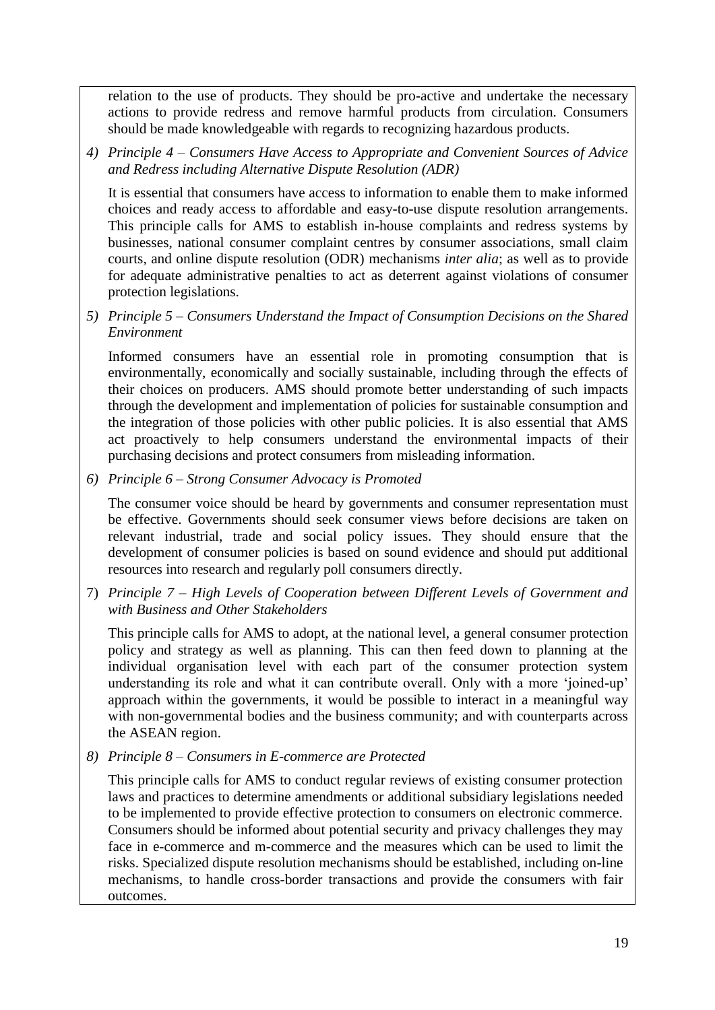relation to the use of products. They should be pro-active and undertake the necessary actions to provide redress and remove harmful products from circulation. Consumers should be made knowledgeable with regards to recognizing hazardous products.

*4) Principle 4 – Consumers Have Access to Appropriate and Convenient Sources of Advice and Redress including Alternative Dispute Resolution (ADR)*

It is essential that consumers have access to information to enable them to make informed choices and ready access to affordable and easy-to-use dispute resolution arrangements. This principle calls for AMS to establish in-house complaints and redress systems by businesses, national consumer complaint centres by consumer associations, small claim courts, and online dispute resolution (ODR) mechanisms *inter alia*; as well as to provide for adequate administrative penalties to act as deterrent against violations of consumer protection legislations.

# *5) Principle 5 – Consumers Understand the Impact of Consumption Decisions on the Shared Environment*

Informed consumers have an essential role in promoting consumption that is environmentally, economically and socially sustainable, including through the effects of their choices on producers. AMS should promote better understanding of such impacts through the development and implementation of policies for sustainable consumption and the integration of those policies with other public policies. It is also essential that AMS act proactively to help consumers understand the environmental impacts of their purchasing decisions and protect consumers from misleading information.

*6) Principle 6 – Strong Consumer Advocacy is Promoted*

The consumer voice should be heard by governments and consumer representation must be effective. Governments should seek consumer views before decisions are taken on relevant industrial, trade and social policy issues. They should ensure that the development of consumer policies is based on sound evidence and should put additional resources into research and regularly poll consumers directly.

7) *Principle 7 – High Levels of Cooperation between Different Levels of Government and with Business and Other Stakeholders*

This principle calls for AMS to adopt, at the national level, a general consumer protection policy and strategy as well as planning. This can then feed down to planning at the individual organisation level with each part of the consumer protection system understanding its role and what it can contribute overall. Only with a more 'joined-up' approach within the governments, it would be possible to interact in a meaningful way with non-governmental bodies and the business community; and with counterparts across the ASEAN region.

*8) Principle 8 – Consumers in E-commerce are Protected*

This principle calls for AMS to conduct regular reviews of existing consumer protection laws and practices to determine amendments or additional subsidiary legislations needed to be implemented to provide effective protection to consumers on electronic commerce. Consumers should be informed about potential security and privacy challenges they may face in e-commerce and m-commerce and the measures which can be used to limit the risks. Specialized dispute resolution mechanisms should be established, including on-line mechanisms, to handle cross-border transactions and provide the consumers with fair outcomes.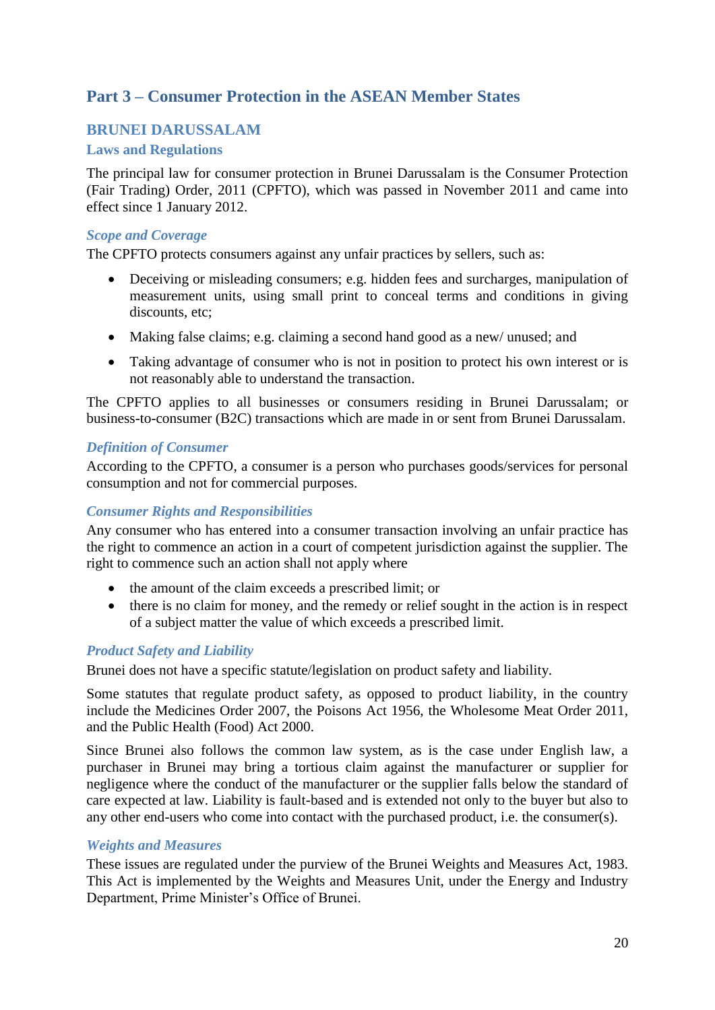# <span id="page-19-0"></span>**Part 3 – Consumer Protection in the ASEAN Member States**

# <span id="page-19-1"></span>**BRUNEI DARUSSALAM**

# <span id="page-19-2"></span>**Laws and Regulations**

The principal law for consumer protection in Brunei Darussalam is the Consumer Protection (Fair Trading) Order, 2011 (CPFTO), which was passed in November 2011 and came into effect since 1 January 2012.

#### *Scope and Coverage*

The CPFTO protects consumers against any unfair practices by sellers, such as:

- Deceiving or misleading consumers; e.g. hidden fees and surcharges, manipulation of measurement units, using small print to conceal terms and conditions in giving discounts, etc:
- Making false claims; e.g. claiming a second hand good as a new/ unused; and
- Taking advantage of consumer who is not in position to protect his own interest or is not reasonably able to understand the transaction.

The CPFTO applies to all businesses or consumers residing in Brunei Darussalam; or business-to-consumer (B2C) transactions which are made in or sent from Brunei Darussalam.

## *Definition of Consumer*

According to the CPFTO, a consumer is a person who purchases goods/services for personal consumption and not for commercial purposes.

# *Consumer Rights and Responsibilities*

Any consumer who has entered into a consumer transaction involving an unfair practice has the right to commence an action in a court of competent jurisdiction against the supplier. The right to commence such an action shall not apply where

- the amount of the claim exceeds a prescribed limit; or
- there is no claim for money, and the remedy or relief sought in the action is in respect of a subject matter the value of which exceeds a prescribed limit.

# *Product Safety and Liability*

Brunei does not have a specific statute/legislation on product safety and liability.

Some statutes that regulate product safety, as opposed to product liability, in the country include the Medicines Order 2007, the Poisons Act 1956, the Wholesome Meat Order 2011, and the Public Health (Food) Act 2000.

Since Brunei also follows the common law system, as is the case under English law, a purchaser in Brunei may bring a tortious claim against the manufacturer or supplier for negligence where the conduct of the manufacturer or the supplier falls below the standard of care expected at law. Liability is fault-based and is extended not only to the buyer but also to any other end-users who come into contact with the purchased product, i.e. the consumer(s).

#### *Weights and Measures*

These issues are regulated under the purview of the Brunei Weights and Measures Act, 1983. This Act is implemented by the Weights and Measures Unit, under the Energy and Industry Department, Prime Minister's Office of Brunei.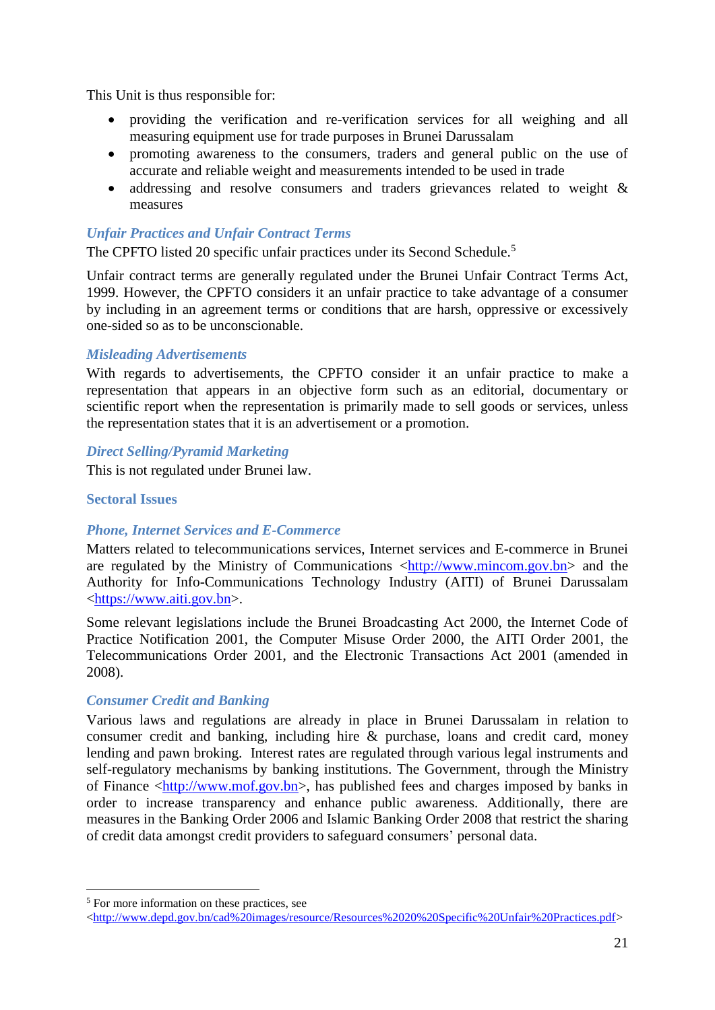This Unit is thus responsible for:

- providing the verification and re-verification services for all weighing and all measuring equipment use for trade purposes in Brunei Darussalam
- promoting awareness to the consumers, traders and general public on the use of accurate and reliable weight and measurements intended to be used in trade
- addressing and resolve consumers and traders grievances related to weight & measures

## *Unfair Practices and Unfair Contract Terms*

The CPFTO listed 20 specific unfair practices under its Second Schedule.<sup>5</sup>

Unfair contract terms are generally regulated under the Brunei Unfair Contract Terms Act, 1999. However, the CPFTO considers it an unfair practice to take advantage of a consumer by including in an agreement terms or conditions that are harsh, oppressive or excessively one-sided so as to be unconscionable.

## *Misleading Advertisements*

With regards to advertisements, the CPFTO consider it an unfair practice to make a representation that appears in an objective form such as an editorial, documentary or scientific report when the representation is primarily made to sell goods or services, unless the representation states that it is an advertisement or a promotion.

## *Direct Selling/Pyramid Marketing*

This is not regulated under Brunei law.

## <span id="page-20-0"></span>**Sectoral Issues**

# *Phone, Internet Services and E-Commerce*

Matters related to telecommunications services, Internet services and E-commerce in Brunei are regulated by the Ministry of Communications  $\langle \frac{http://www.mincom.gov.bn}{http://www.mincom.gov.bn}\rangle$  and the Authority for Info-Communications Technology Industry (AITI) of Brunei Darussalam [<https://www.aiti.gov.bn>](https://www.aiti.gov.bn/).

Some relevant legislations include the Brunei Broadcasting Act 2000, the Internet Code of Practice Notification 2001, the Computer Misuse Order 2000, the AITI Order 2001, the Telecommunications Order 2001, and the Electronic Transactions Act 2001 (amended in 2008).

# *Consumer Credit and Banking*

Various laws and regulations are already in place in Brunei Darussalam in relation to consumer credit and banking, including hire & purchase, loans and credit card, money lending and pawn broking. Interest rates are regulated through various legal instruments and self-regulatory mechanisms by banking institutions. The Government, through the Ministry of Finance [<http://www.mof.gov.bn>](http://www.mof.gov.bn/SitePages/Home.aspx), has published fees and charges imposed by banks in order to increase transparency and enhance public awareness. Additionally, there are measures in the Banking Order 2006 and Islamic Banking Order 2008 that restrict the sharing of credit data amongst credit providers to safeguard consumers' personal data.

1

<sup>5</sup> For more information on these practices, see

[<sup>&</sup>lt;http://www.depd.gov.bn/cad%20images/resource/Resources%2020%20Specific%20Unfair%20Practices.pdf>](http://www.depd.gov.bn/cad%20images/resource/Resources%2020%20Specific%20Unfair%20Practices.pdf)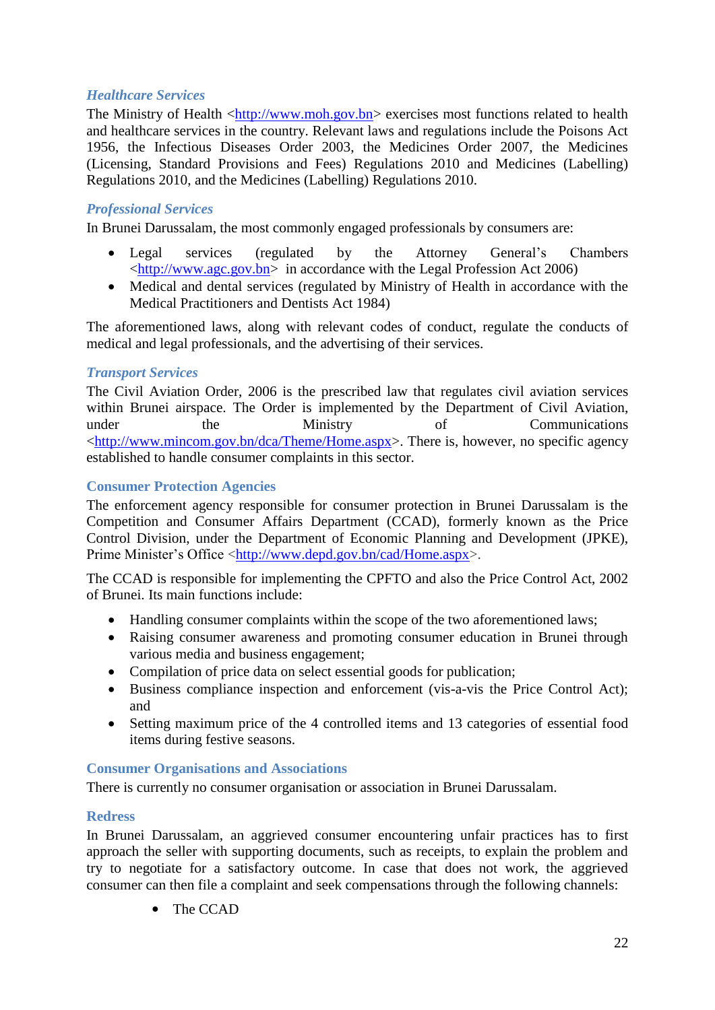# *Healthcare Services*

The Ministry of Health [<http://www.moh.gov.bn>](http://www.moh.gov.bn/Pages/Home.aspx) exercises most functions related to health and healthcare services in the country. Relevant laws and regulations include the Poisons Act 1956, the Infectious Diseases Order 2003, the Medicines Order 2007, the Medicines (Licensing, Standard Provisions and Fees) Regulations 2010 and Medicines (Labelling) Regulations 2010, and the Medicines (Labelling) Regulations 2010.

# *Professional Services*

In Brunei Darussalam, the most commonly engaged professionals by consumers are:

- Legal services (regulated by the Attorney General's Chambers [<http://www.agc.gov.bn>](http://www.agc.gov.bn/) in accordance with the Legal Profession Act 2006)
- Medical and dental services (regulated by Ministry of Health in accordance with the Medical Practitioners and Dentists Act 1984)

The aforementioned laws, along with relevant codes of conduct, regulate the conducts of medical and legal professionals, and the advertising of their services.

## *Transport Services*

The Civil Aviation Order, 2006 is the prescribed law that regulates civil aviation services within Brunei airspace. The Order is implemented by the Department of Civil Aviation, under the Ministry of Communications [<http://www.mincom.gov.bn/dca/Theme/Home.aspx>](http://www.mincom.gov.bn/dca/Theme/Home.aspx). There is, however, no specific agency established to handle consumer complaints in this sector.

## <span id="page-21-0"></span>**Consumer Protection Agencies**

The enforcement agency responsible for consumer protection in Brunei Darussalam is the Competition and Consumer Affairs Department (CCAD), formerly known as the Price Control Division, under the Department of Economic Planning and Development (JPKE), Prime Minister's Office [<http://www.depd.gov.bn/cad/Home.aspx>](http://www.depd.gov.bn/cad/Home.aspx).

The CCAD is responsible for implementing the CPFTO and also the Price Control Act, 2002 of Brunei. Its main functions include:

- Handling consumer complaints within the scope of the two aforementioned laws;
- Raising consumer awareness and promoting consumer education in Brunei through various media and business engagement;
- Compilation of price data on select essential goods for publication;
- Business compliance inspection and enforcement (vis-a-vis the Price Control Act); and
- Setting maximum price of the 4 controlled items and 13 categories of essential food items during festive seasons.

#### <span id="page-21-1"></span>**Consumer Organisations and Associations**

There is currently no consumer organisation or association in Brunei Darussalam.

#### <span id="page-21-2"></span>**Redress**

In Brunei Darussalam, an aggrieved consumer encountering unfair practices has to first approach the seller with supporting documents, such as receipts, to explain the problem and try to negotiate for a satisfactory outcome. In case that does not work, the aggrieved consumer can then file a complaint and seek compensations through the following channels:

• The CCAD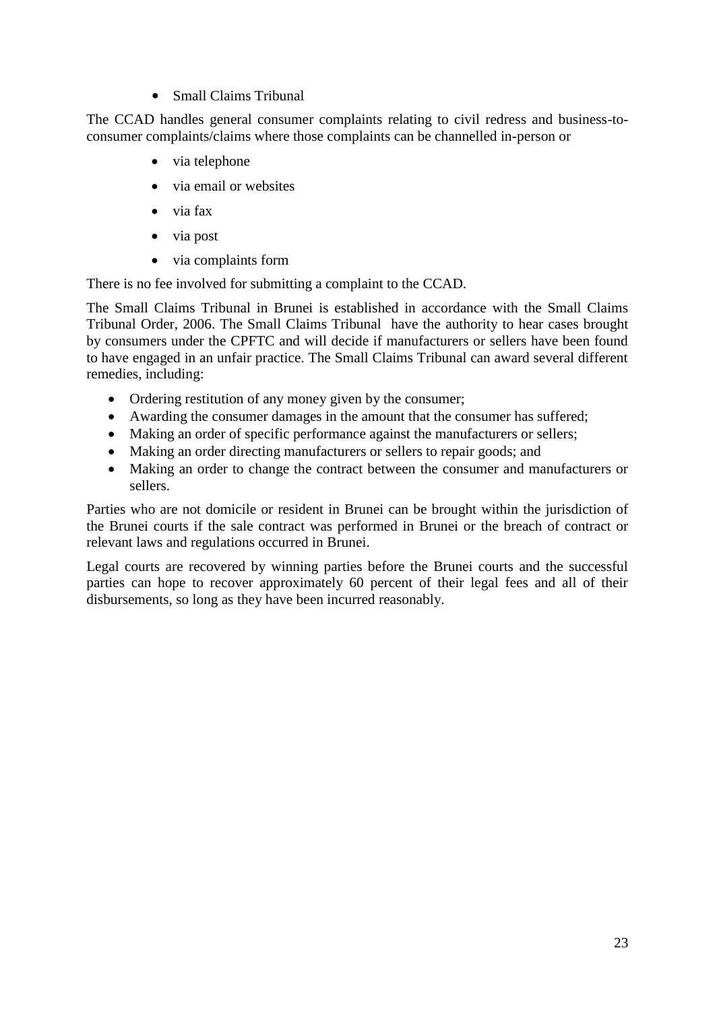• Small Claims Tribunal

The CCAD handles general consumer complaints relating to civil redress and business-toconsumer complaints/claims where those complaints can be channelled in-person or

- via telephone
- via email or websites
- via fax
- via post
- via complaints form

There is no fee involved for submitting a complaint to the CCAD.

The Small Claims Tribunal in Brunei is established in accordance with the Small Claims Tribunal Order, 2006. The Small Claims Tribunal have the authority to hear cases brought by consumers under the CPFTC and will decide if manufacturers or sellers have been found to have engaged in an unfair practice. The Small Claims Tribunal can award several different remedies, including:

- Ordering restitution of any money given by the consumer;
- Awarding the consumer damages in the amount that the consumer has suffered;
- Making an order of specific performance against the manufacturers or sellers;
- Making an order directing manufacturers or sellers to repair goods; and
- Making an order to change the contract between the consumer and manufacturers or sellers.

Parties who are not domicile or resident in Brunei can be brought within the jurisdiction of the Brunei courts if the sale contract was performed in Brunei or the breach of contract or relevant laws and regulations occurred in Brunei.

<span id="page-22-0"></span>Legal courts are recovered by winning parties before the Brunei courts and the successful parties can hope to recover approximately 60 percent of their legal fees and all of their disbursements, so long as they have been incurred reasonably.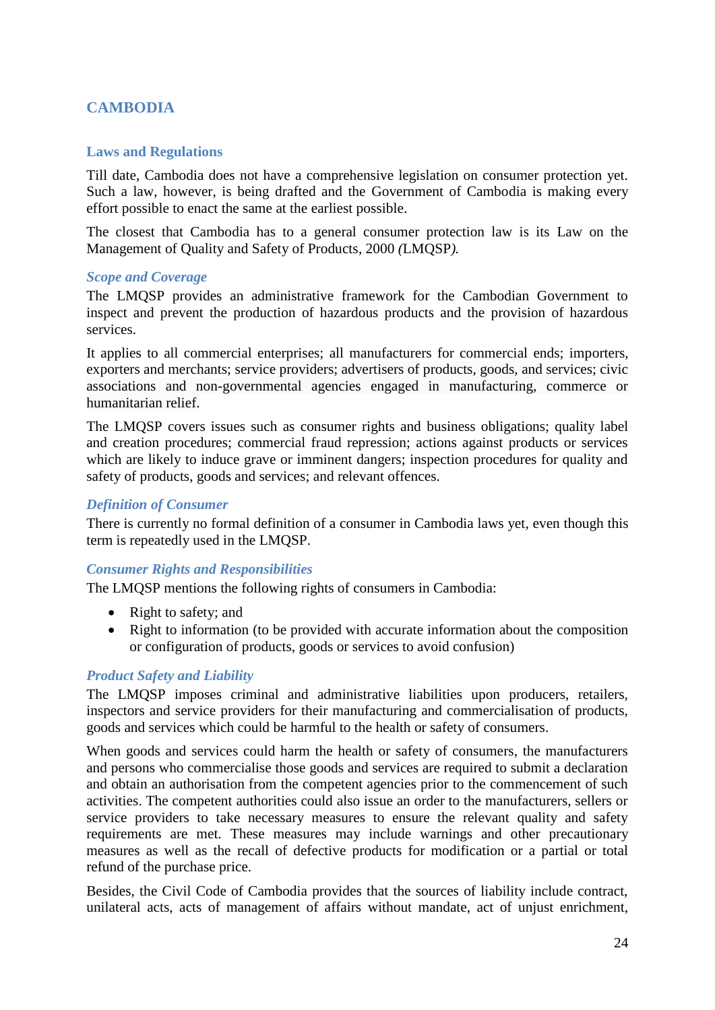# **CAMBODIA**

#### <span id="page-23-0"></span>**Laws and Regulations**

Till date, Cambodia does not have a comprehensive legislation on consumer protection yet. Such a law, however, is being drafted and the Government of Cambodia is making every effort possible to enact the same at the earliest possible.

The closest that Cambodia has to a general consumer protection law is its Law on the Management of Quality and Safety of Products, 2000 *(*LMQSP*).*

#### *Scope and Coverage*

The LMQSP provides an administrative framework for the Cambodian Government to inspect and prevent the production of hazardous products and the provision of hazardous services.

It applies to all commercial enterprises; all manufacturers for commercial ends; importers, exporters and merchants; service providers; advertisers of products, goods, and services; civic associations and non-governmental agencies engaged in manufacturing, commerce or humanitarian relief.

The LMQSP covers issues such as consumer rights and business obligations; quality label and creation procedures; commercial fraud repression; actions against products or services which are likely to induce grave or imminent dangers; inspection procedures for quality and safety of products, goods and services; and relevant offences.

#### *Definition of Consumer*

There is currently no formal definition of a consumer in Cambodia laws yet, even though this term is repeatedly used in the LMQSP.

#### *Consumer Rights and Responsibilities*

The LMQSP mentions the following rights of consumers in Cambodia:

- Right to safety; and
- Right to information (to be provided with accurate information about the composition or configuration of products, goods or services to avoid confusion)

#### *Product Safety and Liability*

The LMQSP imposes criminal and administrative liabilities upon producers, retailers, inspectors and service providers for their manufacturing and commercialisation of products, goods and services which could be harmful to the health or safety of consumers.

When goods and services could harm the health or safety of consumers, the manufacturers and persons who commercialise those goods and services are required to submit a declaration and obtain an authorisation from the competent agencies prior to the commencement of such activities. The competent authorities could also issue an order to the manufacturers, sellers or service providers to take necessary measures to ensure the relevant quality and safety requirements are met. These measures may include warnings and other precautionary measures as well as the recall of defective products for modification or a partial or total refund of the purchase price.

Besides, the Civil Code of Cambodia provides that the sources of liability include contract, unilateral acts, acts of management of affairs without mandate, act of unjust enrichment,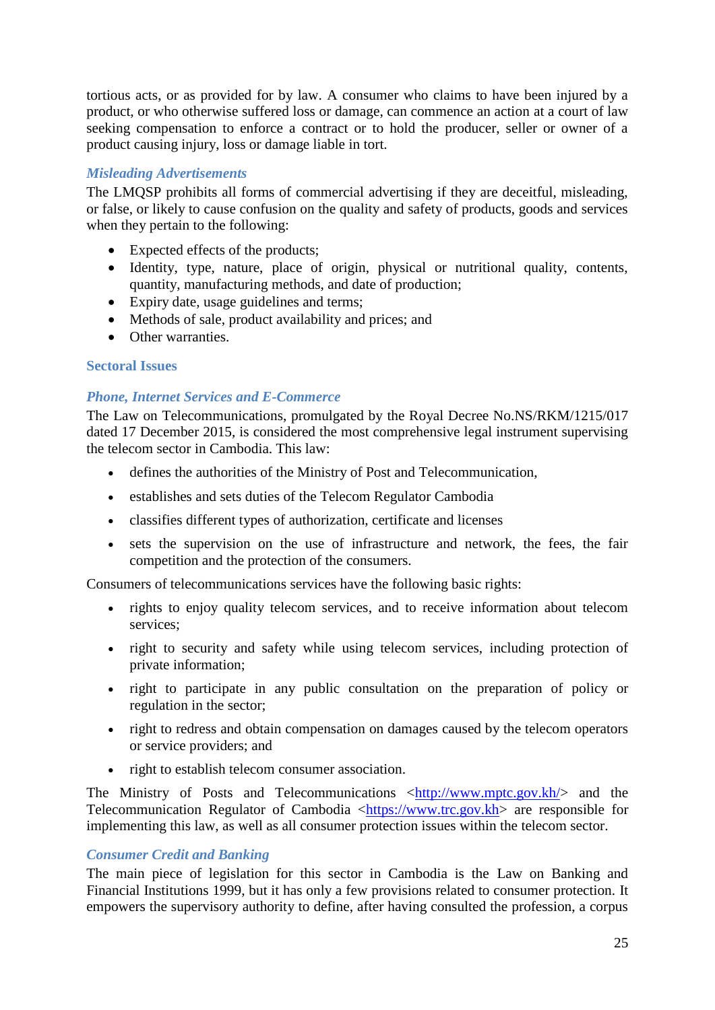tortious acts, or as provided for by law. A consumer who claims to have been injured by a product, or who otherwise suffered loss or damage, can commence an action at a court of law seeking compensation to enforce a contract or to hold the producer, seller or owner of a product causing injury, loss or damage liable in tort.

# *Misleading Advertisements*

The LMQSP prohibits all forms of commercial advertising if they are deceitful, misleading, or false, or likely to cause confusion on the quality and safety of products, goods and services when they pertain to the following:

- Expected effects of the products;
- Identity, type, nature, place of origin, physical or nutritional quality, contents, quantity, manufacturing methods, and date of production;
- Expiry date, usage guidelines and terms;
- Methods of sale, product availability and prices; and
- Other warranties.

# <span id="page-24-0"></span>**Sectoral Issues**

# *Phone, Internet Services and E-Commerce*

The Law on Telecommunications, promulgated by the Royal Decree No.NS/RKM/1215/017 dated 17 December 2015, is considered the most comprehensive legal instrument supervising the telecom sector in Cambodia. This law:

- defines the authorities of the Ministry of Post and Telecommunication,
- establishes and sets duties of the Telecom Regulator Cambodia
- classifies different types of authorization, certificate and licenses
- sets the supervision on the use of infrastructure and network, the fees, the fair competition and the protection of the consumers.

Consumers of telecommunications services have the following basic rights:

- rights to enjoy quality telecom services, and to receive information about telecom services;
- right to security and safety while using telecom services, including protection of private information;
- right to participate in any public consultation on the preparation of policy or regulation in the sector;
- right to redress and obtain compensation on damages caused by the telecom operators or service providers; and
- right to establish telecom consumer association.

The Ministry of Posts and Telecommunications  $\langle \frac{http://www.mptc.gov.kh}{\rangle}$  and the Telecommunication Regulator of Cambodia [<https://www.trc.gov.kh>](https://www.trc.gov.kh/) are responsible for implementing this law, as well as all consumer protection issues within the telecom sector.

# *Consumer Credit and Banking*

The main piece of legislation for this sector in Cambodia is the Law on Banking and Financial Institutions 1999, but it has only a few provisions related to consumer protection. It empowers the supervisory authority to define, after having consulted the profession, a corpus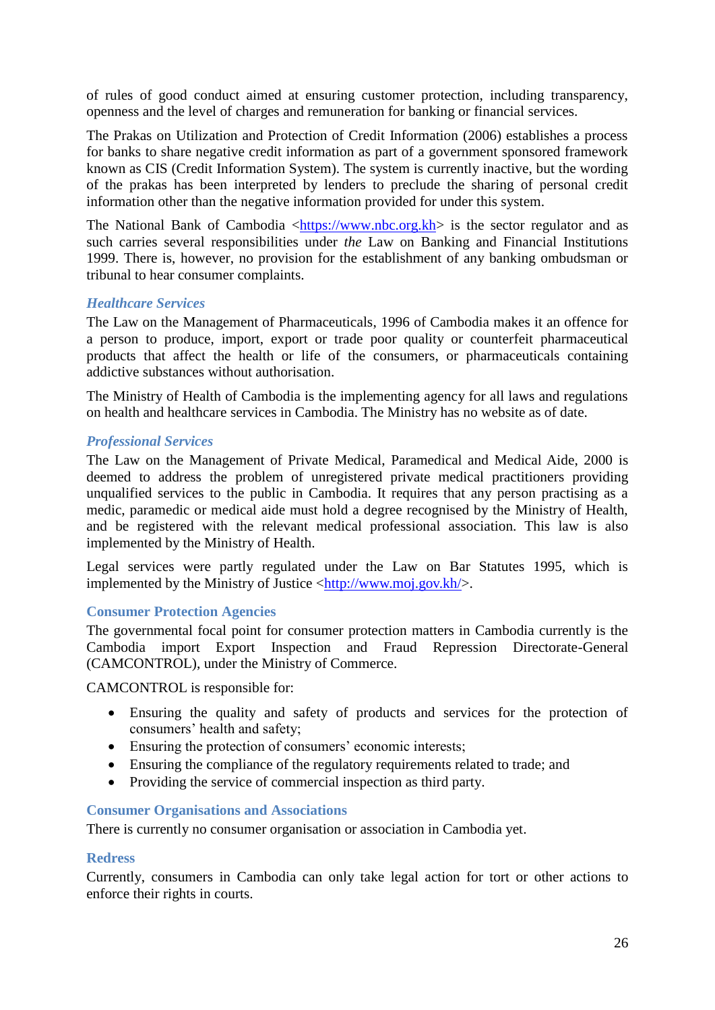of rules of good conduct aimed at ensuring customer protection, including transparency, openness and the level of charges and remuneration for banking or financial services.

The Prakas on Utilization and Protection of Credit Information (2006) establishes a process for banks to share negative credit information as part of a government sponsored framework known as CIS (Credit Information System). The system is currently inactive, but the wording of the prakas has been interpreted by lenders to preclude the sharing of personal credit information other than the negative information provided for under this system.

The National Bank of Cambodia  $\langle \frac{https://www.nbc.org.kh}{https://www.nbc.org.kh} \rangle$  is the sector regulator and as such carries several responsibilities under *the* Law on Banking and Financial Institutions 1999. There is, however, no provision for the establishment of any banking ombudsman or tribunal to hear consumer complaints.

#### *Healthcare Services*

The Law on the Management of Pharmaceuticals, 1996 of Cambodia makes it an offence for a person to produce, import, export or trade poor quality or counterfeit pharmaceutical products that affect the health or life of the consumers, or pharmaceuticals containing addictive substances without authorisation.

The Ministry of Health of Cambodia is the implementing agency for all laws and regulations on health and healthcare services in Cambodia. The Ministry has no website as of date.

#### *Professional Services*

The Law on the Management of Private Medical, Paramedical and Medical Aide, 2000 is deemed to address the problem of unregistered private medical practitioners providing unqualified services to the public in Cambodia. It requires that any person practising as a medic, paramedic or medical aide must hold a degree recognised by the Ministry of Health, and be registered with the relevant medical professional association. This law is also implemented by the Ministry of Health.

Legal services were partly regulated under the Law on Bar Statutes 1995, which is implemented by the Ministry of Justice  $\langle \frac{http://www.moj.gov.kh}{\rangle}$ .

#### <span id="page-25-0"></span>**Consumer Protection Agencies**

The governmental focal point for consumer protection matters in Cambodia currently is the Cambodia import Export Inspection and Fraud Repression Directorate-General (CAMCONTROL), under the Ministry of Commerce.

CAMCONTROL is responsible for:

- Ensuring the quality and safety of products and services for the protection of consumers' health and safety;
- Ensuring the protection of consumers' economic interests:
- Ensuring the compliance of the regulatory requirements related to trade; and
- Providing the service of commercial inspection as third party.

#### <span id="page-25-1"></span>**Consumer Organisations and Associations**

There is currently no consumer organisation or association in Cambodia yet.

#### <span id="page-25-2"></span>**Redress**

<span id="page-25-3"></span>Currently, consumers in Cambodia can only take legal action for tort or other actions to enforce their rights in courts.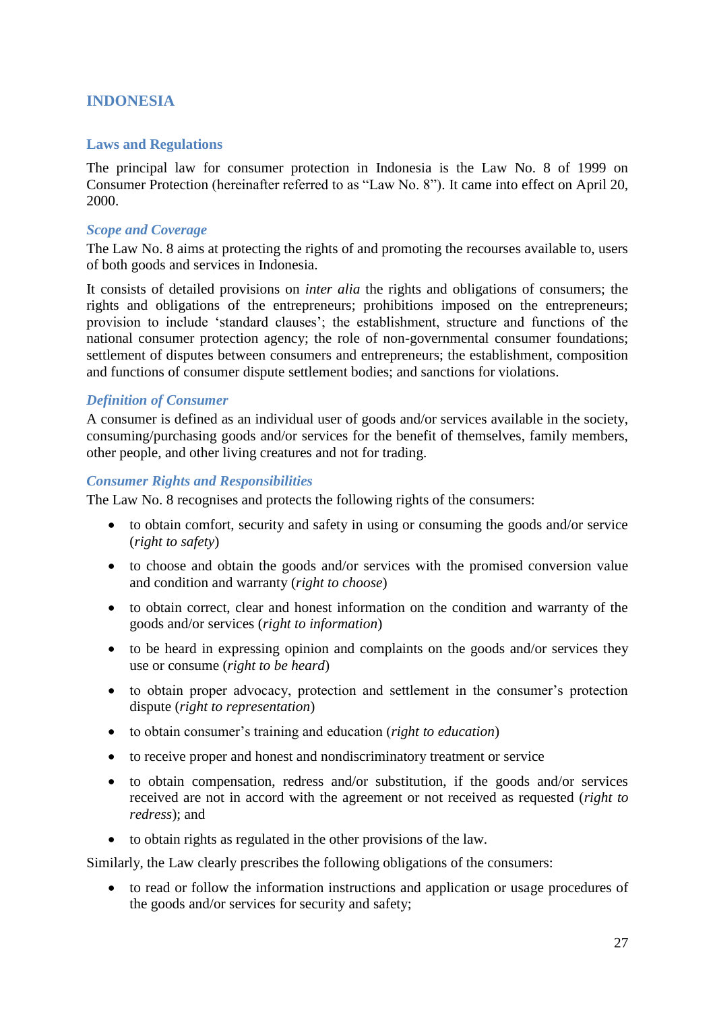# **INDONESIA**

#### <span id="page-26-0"></span>**Laws and Regulations**

The principal law for consumer protection in Indonesia is the Law No. 8 of 1999 on Consumer Protection (hereinafter referred to as "Law No. 8"). It came into effect on April 20, 2000.

## *Scope and Coverage*

The Law No. 8 aims at protecting the rights of and promoting the recourses available to, users of both goods and services in Indonesia.

It consists of detailed provisions on *inter alia* the rights and obligations of consumers; the rights and obligations of the entrepreneurs; prohibitions imposed on the entrepreneurs; provision to include 'standard clauses'; the establishment, structure and functions of the national consumer protection agency; the role of non-governmental consumer foundations; settlement of disputes between consumers and entrepreneurs; the establishment, composition and functions of consumer dispute settlement bodies; and sanctions for violations.

## *Definition of Consumer*

A consumer is defined as an individual user of goods and/or services available in the society, consuming/purchasing goods and/or services for the benefit of themselves, family members, other people, and other living creatures and not for trading.

#### *Consumer Rights and Responsibilities*

The Law No. 8 recognises and protects the following rights of the consumers:

- to obtain comfort, security and safety in using or consuming the goods and/or service (*right to safety*)
- to choose and obtain the goods and/or services with the promised conversion value and condition and warranty (*right to choose*)
- to obtain correct, clear and honest information on the condition and warranty of the goods and/or services (*right to information*)
- to be heard in expressing opinion and complaints on the goods and/or services they use or consume (*right to be heard*)
- to obtain proper advocacy, protection and settlement in the consumer's protection dispute (*right to representation*)
- to obtain consumer's training and education (*right to education*)
- to receive proper and honest and nondiscriminatory treatment or service
- to obtain compensation, redress and/or substitution, if the goods and/or services received are not in accord with the agreement or not received as requested (*right to redress*); and
- to obtain rights as regulated in the other provisions of the law.

Similarly, the Law clearly prescribes the following obligations of the consumers:

• to read or follow the information instructions and application or usage procedures of the goods and/or services for security and safety;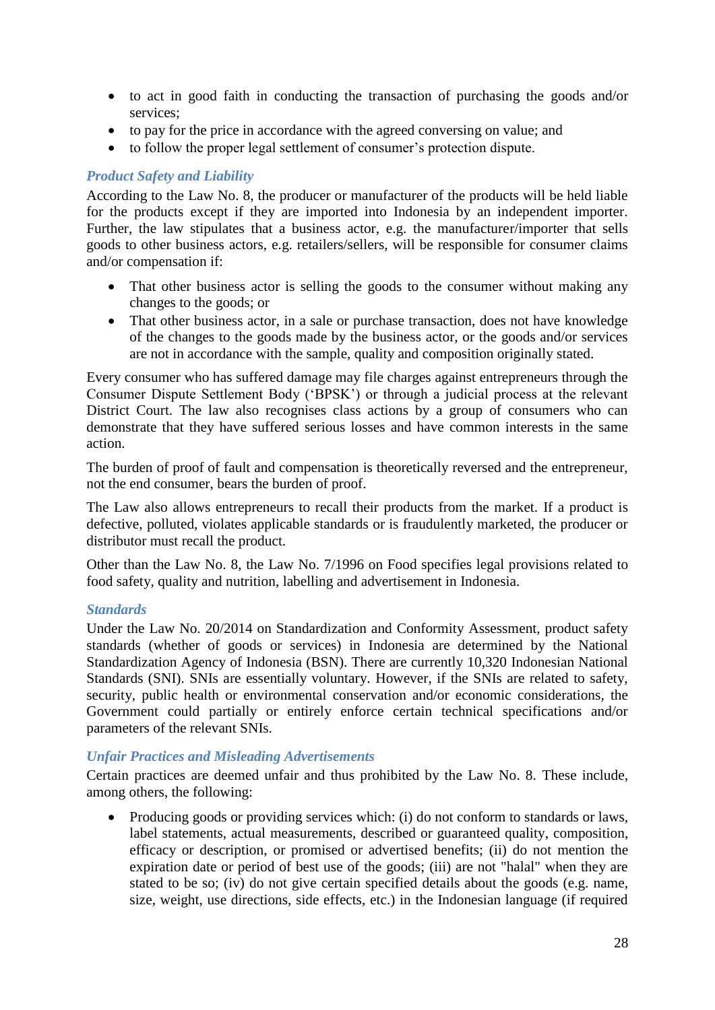- to act in good faith in conducting the transaction of purchasing the goods and/or services;
- to pay for the price in accordance with the agreed conversing on value; and
- to follow the proper legal settlement of consumer's protection dispute.

## *Product Safety and Liability*

According to the Law No. 8, the producer or manufacturer of the products will be held liable for the products except if they are imported into Indonesia by an independent importer. Further, the law stipulates that a business actor, e.g. the manufacturer/importer that sells goods to other business actors, e.g. retailers/sellers, will be responsible for consumer claims and/or compensation if:

- That other business actor is selling the goods to the consumer without making any changes to the goods; or
- That other business actor, in a sale or purchase transaction, does not have knowledge of the changes to the goods made by the business actor, or the goods and/or services are not in accordance with the sample, quality and composition originally stated.

Every consumer who has suffered damage may file charges against entrepreneurs through the Consumer Dispute Settlement Body ('BPSK') or through a judicial process at the relevant District Court. The law also recognises class actions by a group of consumers who can demonstrate that they have suffered serious losses and have common interests in the same action.

The burden of proof of fault and compensation is theoretically reversed and the entrepreneur, not the end consumer, bears the burden of proof.

The Law also allows entrepreneurs to recall their products from the market. If a product is defective, polluted, violates applicable standards or is fraudulently marketed, the producer or distributor must recall the product.

Other than the Law No. 8, the Law No. 7/1996 on Food specifies legal provisions related to food safety, quality and nutrition, labelling and advertisement in Indonesia.

#### *Standards*

Under the Law No. 20/2014 on Standardization and Conformity Assessment, product safety standards (whether of goods or services) in Indonesia are determined by the National Standardization Agency of Indonesia (BSN). There are currently 10,320 Indonesian National Standards (SNI). SNIs are essentially voluntary. However, if the SNIs are related to safety, security, public health or environmental conservation and/or economic considerations, the Government could partially or entirely enforce certain technical specifications and/or parameters of the relevant SNIs.

#### *Unfair Practices and Misleading Advertisements*

Certain practices are deemed unfair and thus prohibited by the Law No. 8. These include, among others, the following:

• Producing goods or providing services which: (i) do not conform to standards or laws, label statements, actual measurements, described or guaranteed quality, composition, efficacy or description, or promised or advertised benefits; (ii) do not mention the expiration date or period of best use of the goods; (iii) are not "halal" when they are stated to be so; (iv) do not give certain specified details about the goods (e.g. name, size, weight, use directions, side effects, etc.) in the Indonesian language (if required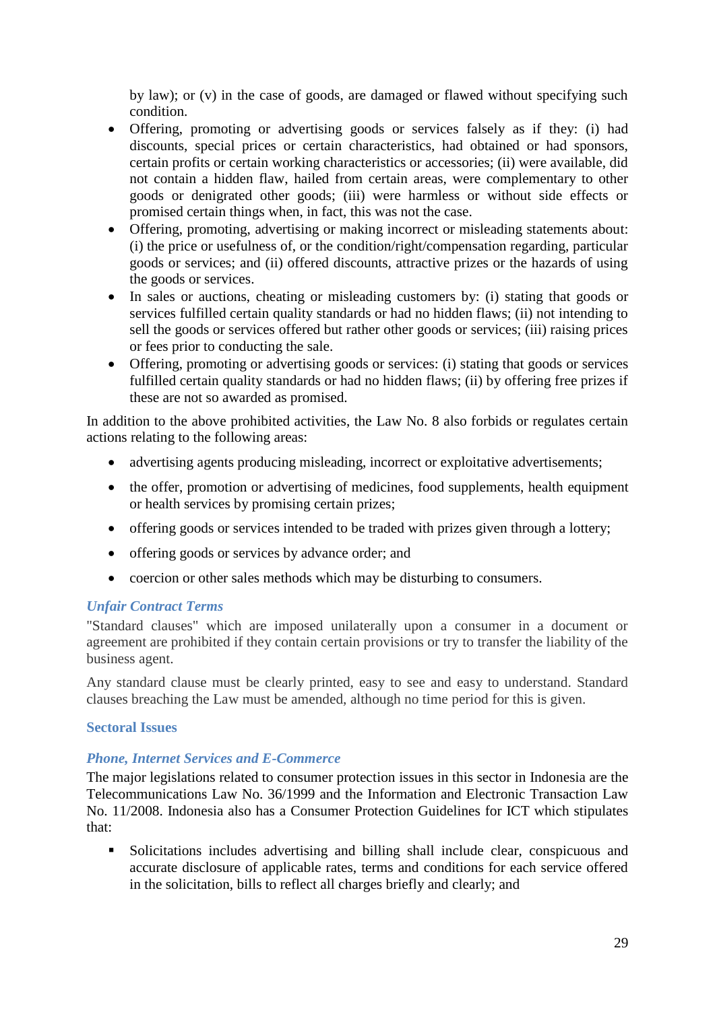by law); or (v) in the case of goods, are damaged or flawed without specifying such condition.

- Offering, promoting or advertising goods or services falsely as if they: (i) had discounts, special prices or certain characteristics, had obtained or had sponsors, certain profits or certain working characteristics or accessories; (ii) were available, did not contain a hidden flaw, hailed from certain areas, were complementary to other goods or denigrated other goods; (iii) were harmless or without side effects or promised certain things when, in fact, this was not the case.
- Offering, promoting, advertising or making incorrect or misleading statements about: (i) the price or usefulness of, or the condition/right/compensation regarding, particular goods or services; and (ii) offered discounts, attractive prizes or the hazards of using the goods or services.
- In sales or auctions, cheating or misleading customers by: (i) stating that goods or services fulfilled certain quality standards or had no hidden flaws; (ii) not intending to sell the goods or services offered but rather other goods or services; (iii) raising prices or fees prior to conducting the sale.
- Offering, promoting or advertising goods or services: (i) stating that goods or services fulfilled certain quality standards or had no hidden flaws; (ii) by offering free prizes if these are not so awarded as promised.

In addition to the above prohibited activities, the Law No. 8 also forbids or regulates certain actions relating to the following areas:

- advertising agents producing misleading, incorrect or exploitative advertisements;
- the offer, promotion or advertising of medicines, food supplements, health equipment or health services by promising certain prizes;
- offering goods or services intended to be traded with prizes given through a lottery;
- offering goods or services by advance order; and
- coercion or other sales methods which may be disturbing to consumers.

# *Unfair Contract Terms*

"Standard clauses" which are imposed unilaterally upon a consumer in a document or agreement are prohibited if they contain certain provisions or try to transfer the liability of the business agent.

Any standard clause must be clearly printed, easy to see and easy to understand. Standard clauses breaching the Law must be amended, although no time period for this is given.

#### <span id="page-28-0"></span>**Sectoral Issues**

#### *Phone, Internet Services and E-Commerce*

The major legislations related to consumer protection issues in this sector in Indonesia are the Telecommunications Law No. 36/1999 and the Information and Electronic Transaction Law No. 11/2008. Indonesia also has a Consumer Protection Guidelines for ICT which stipulates that:

▪ Solicitations includes advertising and billing shall include clear, conspicuous and accurate disclosure of applicable rates, terms and conditions for each service offered in the solicitation, bills to reflect all charges briefly and clearly; and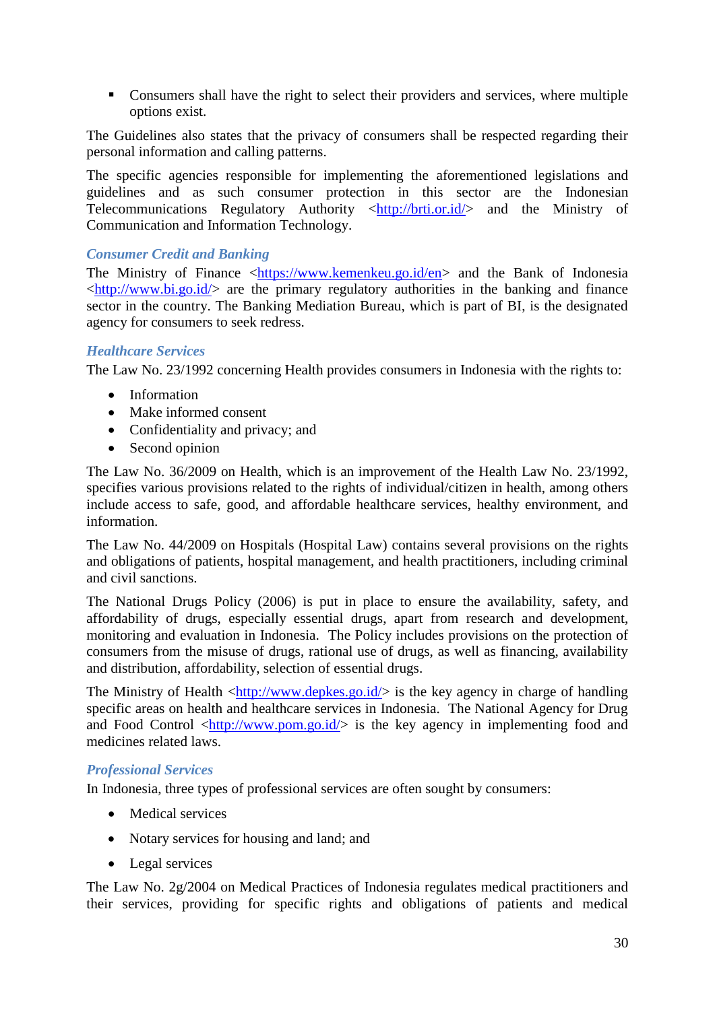■ Consumers shall have the right to select their providers and services, where multiple options exist.

The Guidelines also states that the privacy of consumers shall be respected regarding their personal information and calling patterns.

The specific agencies responsible for implementing the aforementioned legislations and guidelines and as such consumer protection in this sector are the Indonesian Telecommunications Regulatory Authority  $\langle \frac{http://brit.or.id/\rangle}{http://brit.or.id/\rangle}$  and the Ministry of Communication and Information Technology.

# *Consumer Credit and Banking*

The Ministry of Finance [<https://www.kemenkeu.go.id/en>](https://www.kemenkeu.go.id/en) and the Bank of Indonesia  $\langle \text{http://www.bi.gov.id/> are the primary regulatory authorities in the banking and finance}$ sector in the country. The Banking Mediation Bureau, which is part of BI, is the designated agency for consumers to seek redress.

## *Healthcare Services*

The Law No. 23/1992 concerning Health provides consumers in Indonesia with the rights to:

- Information
- Make informed consent
- Confidentiality and privacy; and
- Second opinion

The Law No. 36/2009 on Health, which is an improvement of the Health Law No. 23/1992, specifies various provisions related to the rights of individual/citizen in health, among others include access to safe, good, and affordable healthcare services, healthy environment, and information.

The Law No. 44/2009 on Hospitals (Hospital Law) contains several provisions on the rights and obligations of patients, hospital management, and health practitioners, including criminal and civil sanctions.

The National Drugs Policy (2006) is put in place to ensure the availability, safety, and affordability of drugs, especially essential drugs, apart from research and development, monitoring and evaluation in Indonesia. The Policy includes provisions on the protection of consumers from the misuse of drugs, rational use of drugs, as well as financing, availability and distribution, affordability, selection of essential drugs.

The Ministry of Health  $\langle \frac{http://www.deokes.gov.id/}{$  is the key agency in charge of handling specific areas on health and healthcare services in Indonesia. The National Agency for Drug and Food Control  $\langle \frac{http://www.pom.gov.id/}{$  is the key agency in implementing food and medicines related laws.

#### *Professional Services*

In Indonesia, three types of professional services are often sought by consumers:

- Medical services
- Notary services for housing and land; and
- Legal services

The Law No. 2g/2004 on Medical Practices of Indonesia regulates medical practitioners and their services, providing for specific rights and obligations of patients and medical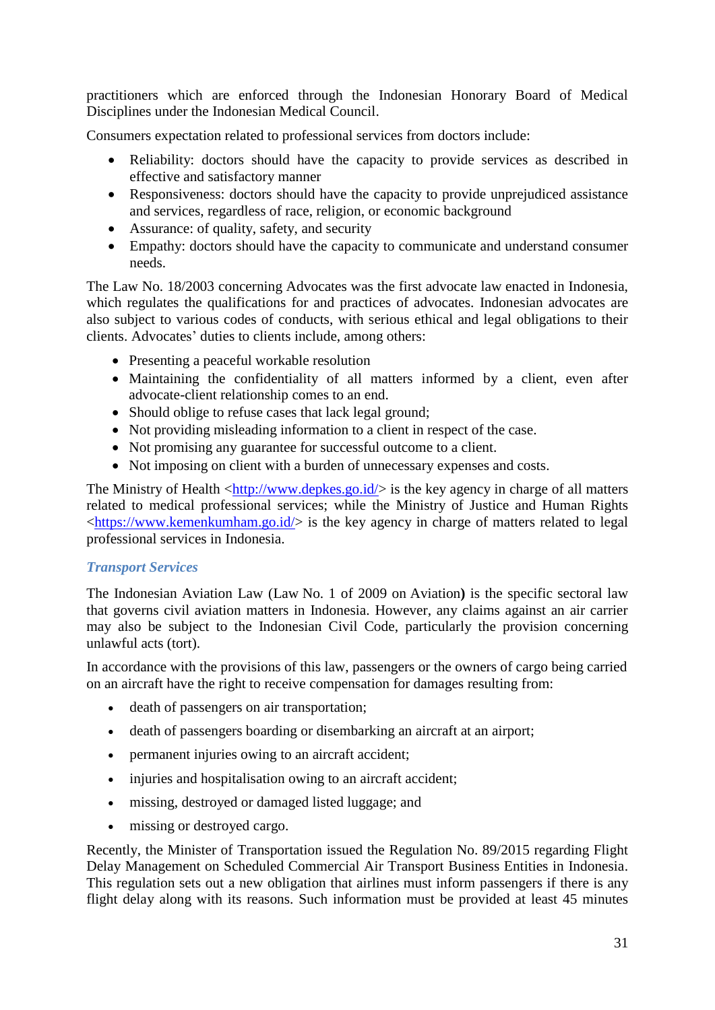practitioners which are enforced through the Indonesian Honorary Board of Medical Disciplines under the Indonesian Medical Council.

Consumers expectation related to professional services from doctors include:

- Reliability: doctors should have the capacity to provide services as described in effective and satisfactory manner
- Responsiveness: doctors should have the capacity to provide unprejudiced assistance and services, regardless of race, religion, or economic background
- Assurance: of quality, safety, and security
- Empathy: doctors should have the capacity to communicate and understand consumer needs.

The Law No. 18/2003 concerning Advocates was the first advocate law enacted in Indonesia, which regulates the qualifications for and practices of advocates. Indonesian advocates are also subject to various codes of conducts, with serious ethical and legal obligations to their clients. Advocates' duties to clients include, among others:

- Presenting a peaceful workable resolution
- Maintaining the confidentiality of all matters informed by a client, even after advocate-client relationship comes to an end.
- Should oblige to refuse cases that lack legal ground;
- Not providing misleading information to a client in respect of the case.
- Not promising any guarantee for successful outcome to a client.
- Not imposing on client with a burden of unnecessary expenses and costs.

The Ministry of Health  $\langle \frac{http://www.depkes.gov.id/}{$  is the key agency in charge of all matters related to medical professional services; while the Ministry of Justice and Human Rights  $\langle$ https://www.kemenkumham.go.id/ $>$  is the key agency in charge of matters related to legal professional services in Indonesia.

# *Transport Services*

The Indonesian Aviation Law (Law No. 1 of 2009 on Aviation**)** is the specific sectoral law that governs civil aviation matters in Indonesia. However, any claims against an air carrier may also be subject to the Indonesian Civil Code, particularly the provision concerning unlawful acts (tort).

In accordance with the provisions of this law, passengers or the owners of cargo being carried on an aircraft have the right to receive compensation for damages resulting from:

- death of passengers on air transportation;
- death of passengers boarding or disembarking an aircraft at an airport;
- permanent injuries owing to an aircraft accident:
- injuries and hospitalisation owing to an aircraft accident;
- missing, destroyed or damaged listed luggage; and
- missing or destroyed cargo.

Recently, the Minister of Transportation issued the Regulation No. 89/2015 regarding Flight Delay Management on Scheduled Commercial Air Transport Business Entities in Indonesia. This regulation sets out a new obligation that airlines must inform passengers if there is any flight delay along with its reasons. Such information must be provided at least 45 minutes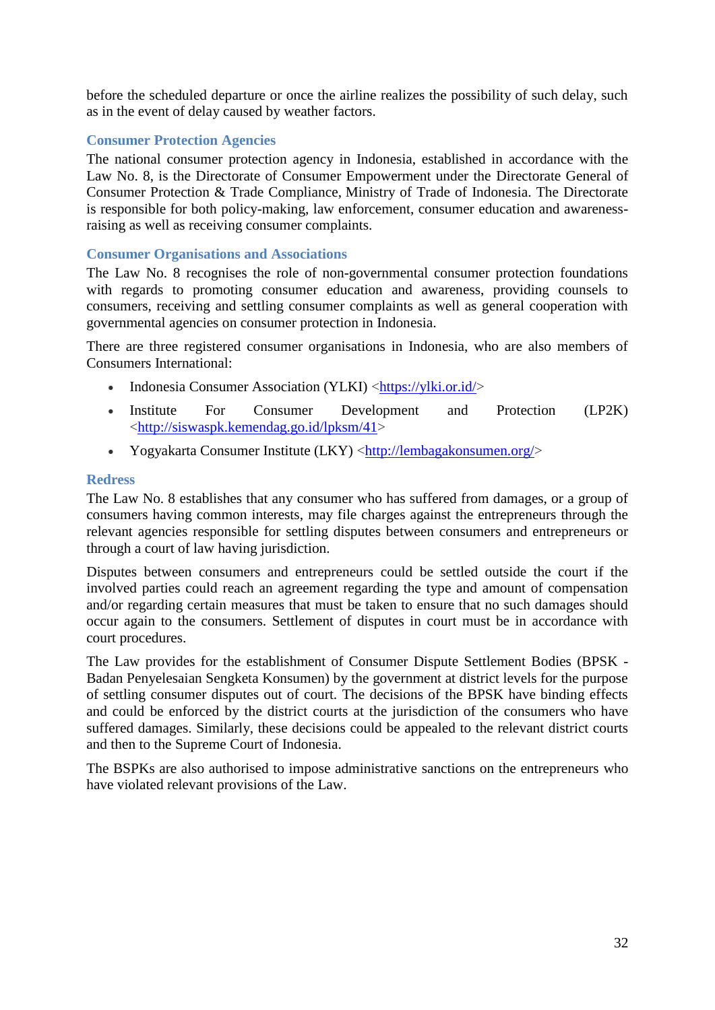before the scheduled departure or once the airline realizes the possibility of such delay, such as in the event of delay caused by weather factors.

# <span id="page-31-0"></span>**Consumer Protection Agencies**

The national consumer protection agency in Indonesia, established in accordance with the Law No. 8, is the Directorate of Consumer Empowerment under the Directorate General of Consumer Protection & Trade Compliance, Ministry of Trade of Indonesia. The Directorate is responsible for both policy-making, law enforcement, consumer education and awarenessraising as well as receiving consumer complaints.

## <span id="page-31-1"></span>**Consumer Organisations and Associations**

The Law No. 8 recognises the role of non-governmental consumer protection foundations with regards to promoting consumer education and awareness, providing counsels to consumers, receiving and settling consumer complaints as well as general cooperation with governmental agencies on consumer protection in Indonesia.

There are three registered consumer organisations in Indonesia, who are also members of Consumers International:

- Indonesia Consumer Association (YLKI) [<https://ylki.or.id/>](https://ylki.or.id/)
- Institute For Consumer Development and Protection (LP2K) [<http://siswaspk.kemendag.go.id/lpksm/41>](http://siswaspk.kemendag.go.id/lpksm/41)
- Yogyakarta Consumer Institute (LKY) [<http://lembagakonsumen.org/>](http://lembagakonsumen.org/)

#### <span id="page-31-2"></span>**Redress**

The Law No. 8 establishes that any consumer who has suffered from damages, or a group of consumers having common interests, may file charges against the entrepreneurs through the relevant agencies responsible for settling disputes between consumers and entrepreneurs or through a court of law having jurisdiction.

Disputes between consumers and entrepreneurs could be settled outside the court if the involved parties could reach an agreement regarding the type and amount of compensation and/or regarding certain measures that must be taken to ensure that no such damages should occur again to the consumers. Settlement of disputes in court must be in accordance with court procedures.

The Law provides for the establishment of Consumer Dispute Settlement Bodies (BPSK - Badan Penyelesaian Sengketa Konsumen) by the government at district levels for the purpose of settling consumer disputes out of court. The decisions of the BPSK have binding effects and could be enforced by the district courts at the jurisdiction of the consumers who have suffered damages. Similarly, these decisions could be appealed to the relevant district courts and then to the Supreme Court of Indonesia.

<span id="page-31-3"></span>The BSPKs are also authorised to impose administrative sanctions on the entrepreneurs who have violated relevant provisions of the Law.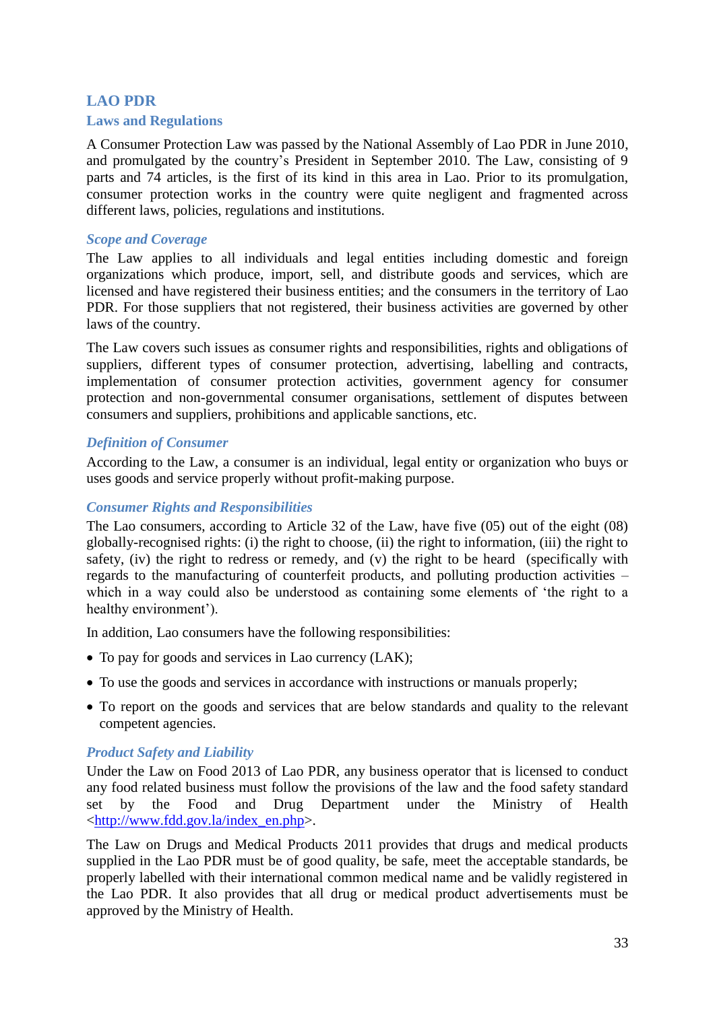# <span id="page-32-0"></span>**LAO PDR Laws and Regulations**

A Consumer Protection Law was passed by the National Assembly of Lao PDR in June 2010, and promulgated by the country's President in September 2010. The Law, consisting of 9 parts and 74 articles, is the first of its kind in this area in Lao. Prior to its promulgation, consumer protection works in the country were quite negligent and fragmented across different laws, policies, regulations and institutions.

# *Scope and Coverage*

The Law applies to all individuals and legal entities including domestic and foreign organizations which produce, import, sell, and distribute goods and services, which are licensed and have registered their business entities; and the consumers in the territory of Lao PDR. For those suppliers that not registered, their business activities are governed by other laws of the country.

The Law covers such issues as consumer rights and responsibilities, rights and obligations of suppliers, different types of consumer protection, advertising, labelling and contracts, implementation of consumer protection activities, government agency for consumer protection and non-governmental consumer organisations, settlement of disputes between consumers and suppliers, prohibitions and applicable sanctions, etc.

## *Definition of Consumer*

According to the Law, a consumer is an individual, legal entity or organization who buys or uses goods and service properly without profit-making purpose.

#### *Consumer Rights and Responsibilities*

The Lao consumers, according to Article 32 of the Law, have five (05) out of the eight (08) globally-recognised rights: (i) the right to choose, (ii) the right to information, (iii) the right to safety, (iv) the right to redress or remedy, and (v) the right to be heard (specifically with regards to the manufacturing of counterfeit products, and polluting production activities – which in a way could also be understood as containing some elements of 'the right to a healthy environment').

In addition, Lao consumers have the following responsibilities:

- To pay for goods and services in Lao currency (LAK);
- To use the goods and services in accordance with instructions or manuals properly;
- To report on the goods and services that are below standards and quality to the relevant competent agencies.

# *Product Safety and Liability*

Under the Law on Food 2013 of Lao PDR, any business operator that is licensed to conduct any food related business must follow the provisions of the law and the food safety standard set by the Food and Drug Department under the Ministry of Health [<http://www.fdd.gov.la/index\\_en.php>](http://www.fdd.gov.la/index_en.php).

The Law on Drugs and Medical Products 2011 provides that drugs and medical products supplied in the Lao PDR must be of good quality, be safe, meet the acceptable standards, be properly labelled with their international common medical name and be validly registered in the Lao PDR. It also provides that all drug or medical product advertisements must be approved by the Ministry of Health.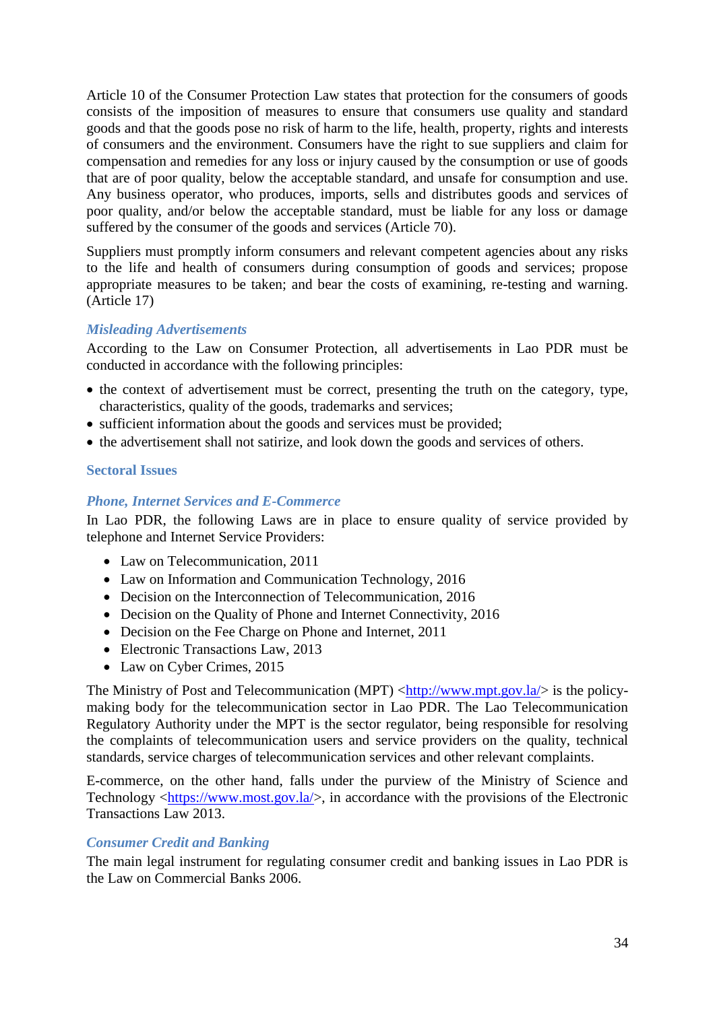Article 10 of the Consumer Protection Law states that protection for the consumers of goods consists of the imposition of measures to ensure that consumers use quality and standard goods and that the goods pose no risk of harm to the life, health, property, rights and interests of consumers and the environment. Consumers have the right to sue suppliers and claim for compensation and remedies for any loss or injury caused by the consumption or use of goods that are of poor quality, below the acceptable standard, and unsafe for consumption and use. Any business operator, who produces, imports, sells and distributes goods and services of poor quality, and/or below the acceptable standard, must be liable for any loss or damage suffered by the consumer of the goods and services (Article 70).

Suppliers must promptly inform consumers and relevant competent agencies about any risks to the life and health of consumers during consumption of goods and services; propose appropriate measures to be taken; and bear the costs of examining, re-testing and warning. (Article 17)

## *Misleading Advertisements*

According to the Law on Consumer Protection, all advertisements in Lao PDR must be conducted in accordance with the following principles:

- the context of advertisement must be correct, presenting the truth on the category, type, characteristics, quality of the goods, trademarks and services;
- sufficient information about the goods and services must be provided;
- the advertisement shall not satirize, and look down the goods and services of others.

#### <span id="page-33-0"></span>**Sectoral Issues**

#### *Phone, Internet Services and E-Commerce*

In Lao PDR, the following Laws are in place to ensure quality of service provided by telephone and Internet Service Providers:

- Law on Telecommunication, 2011
- Law on Information and Communication Technology, 2016
- Decision on the Interconnection of Telecommunication, 2016
- Decision on the Quality of Phone and Internet Connectivity, 2016
- Decision on the Fee Charge on Phone and Internet, 2011
- Electronic Transactions Law, 2013
- Law on Cyber Crimes, 2015

The Ministry of Post and Telecommunication (MPT)  $\langle \frac{http://www.mpt.gov.la/}{http://www.mpt.gov.la/}{\rangle}$  is the policymaking body for the telecommunication sector in Lao PDR. The Lao Telecommunication Regulatory Authority under the MPT is the sector regulator, being responsible for resolving the complaints of telecommunication users and service providers on the quality, technical standards, service charges of telecommunication services and other relevant complaints.

E-commerce, on the other hand, falls under the purview of the Ministry of Science and Technology [<https://www.most.gov.la/>](https://www.most.gov.la/), in accordance with the provisions of the Electronic Transactions Law 2013.

#### *Consumer Credit and Banking*

The main legal instrument for regulating consumer credit and banking issues in Lao PDR is the Law on Commercial Banks 2006.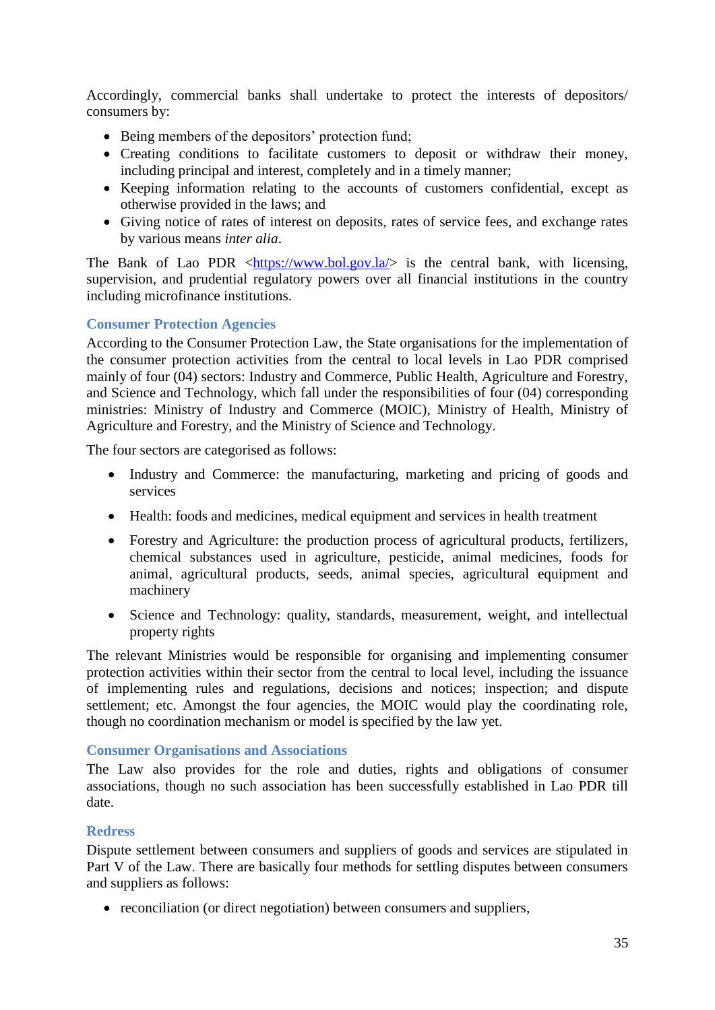Accordingly, commercial banks shall undertake to protect the interests of depositors/ consumers by:

- Being members of the depositors' protection fund;
- Creating conditions to facilitate customers to deposit or withdraw their money, including principal and interest, completely and in a timely manner;
- Keeping information relating to the accounts of customers confidential, except as otherwise provided in the laws; and
- Giving notice of rates of interest on deposits, rates of service fees, and exchange rates by various means *inter alia*.

The Bank of Lao PDR  $\langle$ https://www.bol.gov.la/ $>$  is the central bank, with licensing, supervision, and prudential regulatory powers over all financial institutions in the country including microfinance institutions.

## <span id="page-34-0"></span>**Consumer Protection Agencies**

According to the Consumer Protection Law, the State organisations for the implementation of the consumer protection activities from the central to local levels in Lao PDR comprised mainly of four (04) sectors: Industry and Commerce, Public Health, Agriculture and Forestry, and Science and Technology, which fall under the responsibilities of four (04) corresponding ministries: Ministry of Industry and Commerce (MOIC), Ministry of Health, Ministry of Agriculture and Forestry, and the Ministry of Science and Technology.

The four sectors are categorised as follows:

- Industry and Commerce: the manufacturing, marketing and pricing of goods and services
- Health: foods and medicines, medical equipment and services in health treatment
- Forestry and Agriculture: the production process of agricultural products, fertilizers, chemical substances used in agriculture, pesticide, animal medicines, foods for animal, agricultural products, seeds, animal species, agricultural equipment and machinery
- Science and Technology: quality, standards, measurement, weight, and intellectual property rights

The relevant Ministries would be responsible for organising and implementing consumer protection activities within their sector from the central to local level, including the issuance of implementing rules and regulations, decisions and notices; inspection; and dispute settlement; etc. Amongst the four agencies, the MOIC would play the coordinating role, though no coordination mechanism or model is specified by the law yet.

#### <span id="page-34-1"></span>**Consumer Organisations and Associations**

The Law also provides for the role and duties, rights and obligations of consumer associations, though no such association has been successfully established in Lao PDR till date.

#### <span id="page-34-2"></span>**Redress**

Dispute settlement between consumers and suppliers of goods and services are stipulated in Part V of the Law. There are basically four methods for settling disputes between consumers and suppliers as follows:

• reconciliation (or direct negotiation) between consumers and suppliers,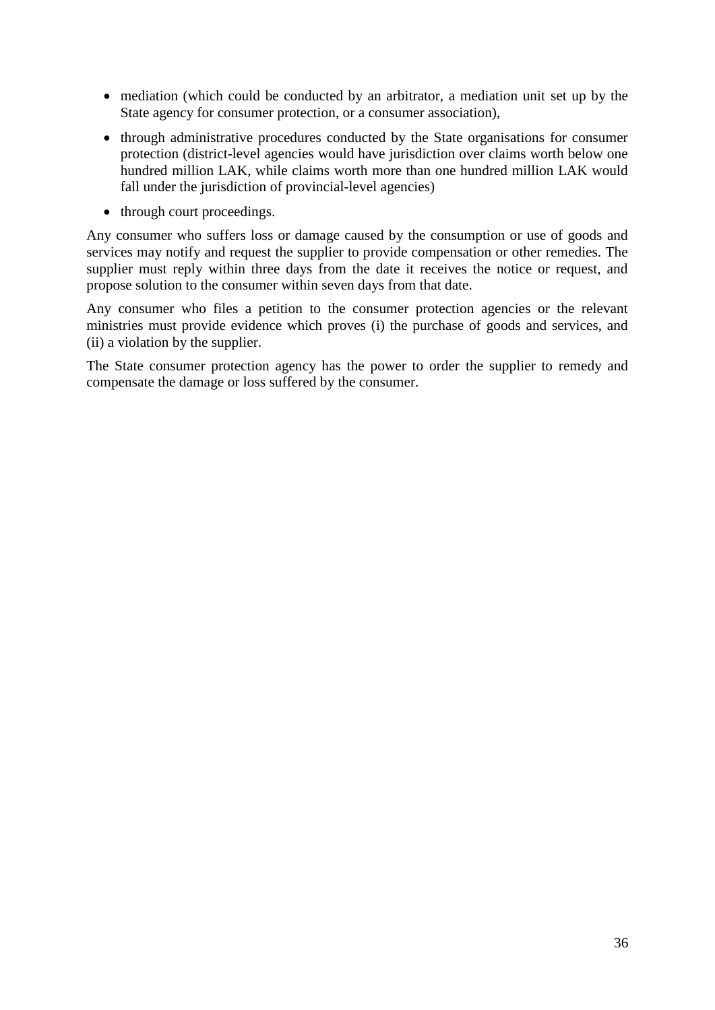- mediation (which could be conducted by an arbitrator, a mediation unit set up by the State agency for consumer protection, or a consumer association),
- through administrative procedures conducted by the State organisations for consumer protection (district-level agencies would have jurisdiction over claims worth below one hundred million LAK, while claims worth more than one hundred million LAK would fall under the jurisdiction of provincial-level agencies)
- through court proceedings.

Any consumer who suffers loss or damage caused by the consumption or use of goods and services may notify and request the supplier to provide compensation or other remedies. The supplier must reply within three days from the date it receives the notice or request, and propose solution to the consumer within seven days from that date.

Any consumer who files a petition to the consumer protection agencies or the relevant ministries must provide evidence which proves (i) the purchase of goods and services, and (ii) a violation by the supplier.

The State consumer protection agency has the power to order the supplier to remedy and compensate the damage or loss suffered by the consumer.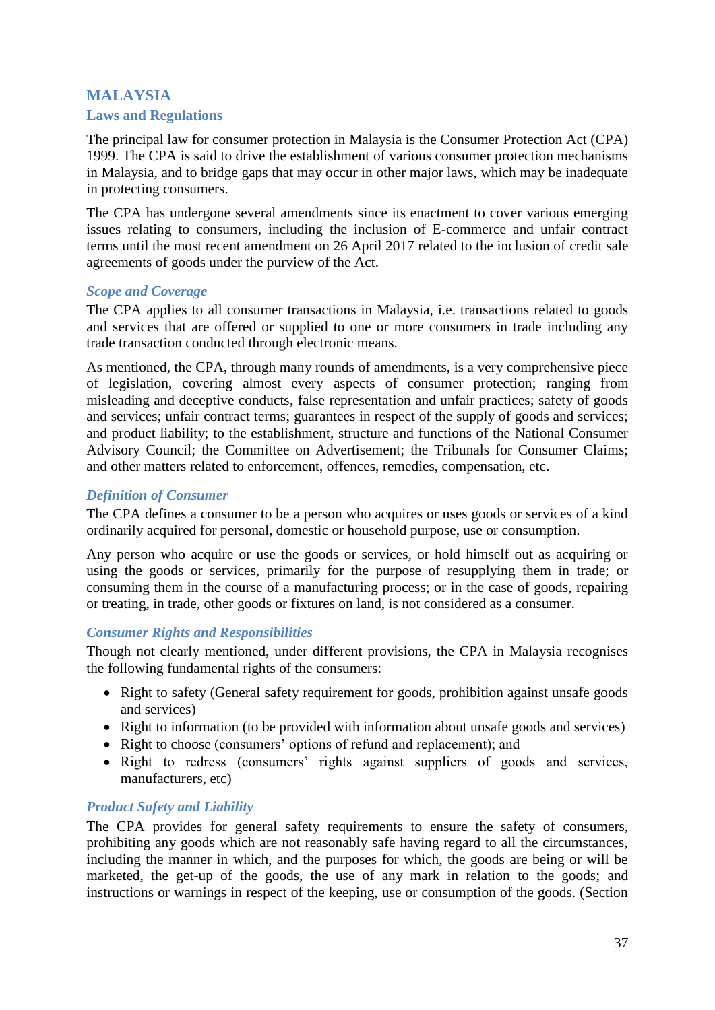# **MALAYSIA**

# <span id="page-36-0"></span>**Laws and Regulations**

The principal law for consumer protection in Malaysia is the Consumer Protection Act (CPA) 1999. The CPA is said to drive the establishment of various consumer protection mechanisms in Malaysia, and to bridge gaps that may occur in other major laws, which may be inadequate in protecting consumers.

The CPA has undergone several amendments since its enactment to cover various emerging issues relating to consumers, including the inclusion of E-commerce and unfair contract terms until the most recent amendment on 26 April 2017 related to the inclusion of credit sale agreements of goods under the purview of the Act.

## *Scope and Coverage*

The CPA applies to all consumer transactions in Malaysia, i.e. transactions related to goods and services that are offered or supplied to one or more consumers in trade including any trade transaction conducted through electronic means.

As mentioned, the CPA, through many rounds of amendments, is a very comprehensive piece of legislation, covering almost every aspects of consumer protection; ranging from misleading and deceptive conducts, false representation and unfair practices; safety of goods and services; unfair contract terms; guarantees in respect of the supply of goods and services; and product liability; to the establishment, structure and functions of the National Consumer Advisory Council; the Committee on Advertisement; the Tribunals for Consumer Claims; and other matters related to enforcement, offences, remedies, compensation, etc.

## *Definition of Consumer*

The CPA defines a consumer to be a person who acquires or uses goods or services of a kind ordinarily acquired for personal, domestic or household purpose, use or consumption.

Any person who acquire or use the goods or services, or hold himself out as acquiring or using the goods or services, primarily for the purpose of resupplying them in trade; or consuming them in the course of a manufacturing process; or in the case of goods, repairing or treating, in trade, other goods or fixtures on land, is not considered as a consumer.

# *Consumer Rights and Responsibilities*

Though not clearly mentioned, under different provisions, the CPA in Malaysia recognises the following fundamental rights of the consumers:

- Right to safety (General safety requirement for goods, prohibition against unsafe goods and services)
- Right to information (to be provided with information about unsafe goods and services)
- Right to choose (consumers' options of refund and replacement); and
- Right to redress (consumers' rights against suppliers of goods and services, manufacturers, etc)

# *Product Safety and Liability*

The CPA provides for general safety requirements to ensure the safety of consumers, prohibiting any goods which are not reasonably safe having regard to all the circumstances, including the manner in which, and the purposes for which, the goods are being or will be marketed, the get-up of the goods, the use of any mark in relation to the goods; and instructions or warnings in respect of the keeping, use or consumption of the goods. (Section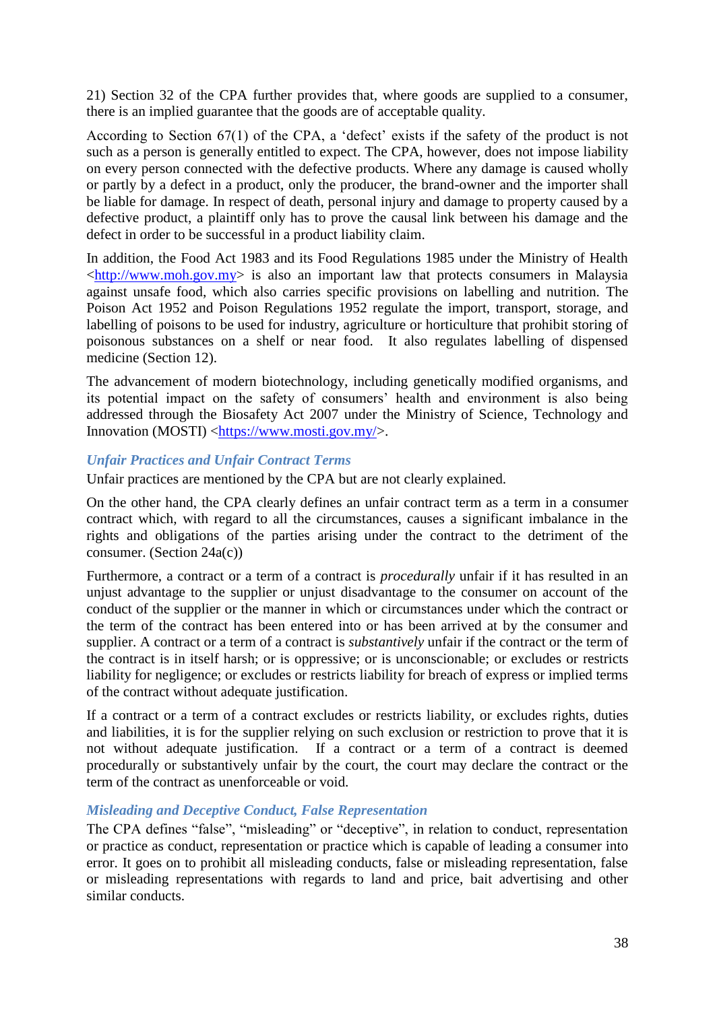21) Section 32 of the CPA further provides that, where goods are supplied to a consumer, there is an implied guarantee that the goods are of acceptable quality.

According to Section 67(1) of the CPA, a 'defect' exists if the safety of the product is not such as a person is generally entitled to expect. The CPA, however, does not impose liability on every person connected with the defective products. Where any damage is caused wholly or partly by a defect in a product, only the producer, the brand-owner and the importer shall be liable for damage. In respect of death, personal injury and damage to property caused by a defective product, a plaintiff only has to prove the causal link between his damage and the defect in order to be successful in a product liability claim.

In addition, the Food Act 1983 and its Food Regulations 1985 under the Ministry of Health  $\langle \frac{http://www.moh.gov.my}{\rangle}$  is also an important law that protects consumers in Malaysia against unsafe food, which also carries specific provisions on labelling and nutrition. The Poison Act 1952 and Poison Regulations 1952 regulate the import, transport, storage, and labelling of poisons to be used for industry, agriculture or horticulture that prohibit storing of poisonous substances on a shelf or near food. It also regulates labelling of dispensed medicine (Section 12).

The advancement of modern biotechnology, including genetically modified organisms, and its potential impact on the safety of consumers' health and environment is also being addressed through the Biosafety Act 2007 under the Ministry of Science, Technology and Innovation (MOSTI) [<https://www.mosti.gov.my/>](https://www.mosti.gov.my/).

#### *Unfair Practices and Unfair Contract Terms*

Unfair practices are mentioned by the CPA but are not clearly explained.

On the other hand, the CPA clearly defines an unfair contract term as a term in a consumer contract which, with regard to all the circumstances, causes a significant imbalance in the rights and obligations of the parties arising under the contract to the detriment of the consumer. (Section 24a(c))

Furthermore, a contract or a term of a contract is *procedurally* unfair if it has resulted in an unjust advantage to the supplier or unjust disadvantage to the consumer on account of the conduct of the supplier or the manner in which or circumstances under which the contract or the term of the contract has been entered into or has been arrived at by the consumer and supplier. A contract or a term of a contract is *substantively* unfair if the contract or the term of the contract is in itself harsh; or is oppressive; or is unconscionable; or excludes or restricts liability for negligence; or excludes or restricts liability for breach of express or implied terms of the contract without adequate justification.

If a contract or a term of a contract excludes or restricts liability, or excludes rights, duties and liabilities, it is for the supplier relying on such exclusion or restriction to prove that it is not without adequate justification. If a contract or a term of a contract is deemed procedurally or substantively unfair by the court, the court may declare the contract or the term of the contract as unenforceable or void.

#### *Misleading and Deceptive Conduct, False Representation*

The CPA defines "false", "misleading" or "deceptive", in relation to conduct, representation or practice as conduct, representation or practice which is capable of leading a consumer into error. It goes on to prohibit all misleading conducts, false or misleading representation, false or misleading representations with regards to land and price, bait advertising and other similar conducts.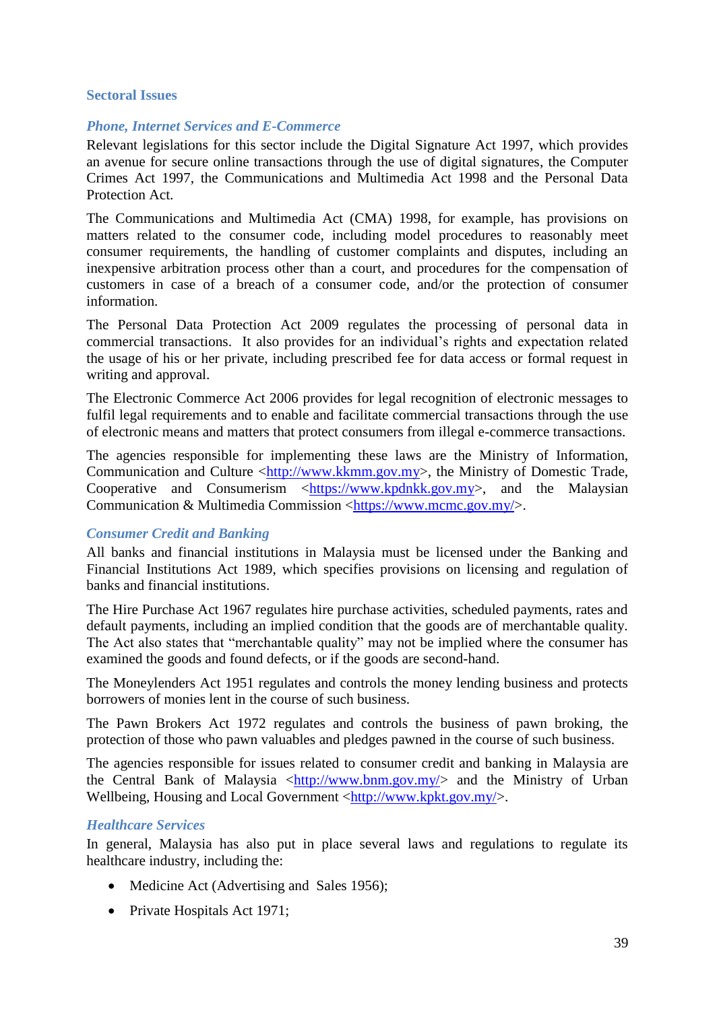#### <span id="page-38-0"></span>**Sectoral Issues**

# *Phone, Internet Services and E-Commerce*

Relevant legislations for this sector include the Digital Signature Act 1997, which provides an avenue for secure online transactions through the use of digital signatures, the Computer Crimes Act 1997, the Communications and Multimedia Act 1998 and the Personal Data Protection Act.

The Communications and Multimedia Act (CMA) 1998, for example, has provisions on matters related to the consumer code, including model procedures to reasonably meet consumer requirements, the handling of customer complaints and disputes, including an inexpensive arbitration process other than a court, and procedures for the compensation of customers in case of a breach of a consumer code, and/or the protection of consumer information.

The Personal Data Protection Act 2009 regulates the processing of personal data in commercial transactions. It also provides for an individual's rights and expectation related the usage of his or her private, including prescribed fee for data access or formal request in writing and approval.

The Electronic Commerce Act 2006 provides for legal recognition of electronic messages to fulfil legal requirements and to enable and facilitate commercial transactions through the use of electronic means and matters that protect consumers from illegal e-commerce transactions.

The agencies responsible for implementing these laws are the Ministry of Information, Communication and Culture [<http://www.kkmm.gov.my>](http://www.kkmm.gov.my/), the Ministry of Domestic Trade, Cooperative and Consumerism  $\langle \frac{h(t)_{y}}{h(t)} \rangle$  [<https://www.kpdnkk.gov.my>](https://www.kpdnkk.gov.my/kpdnkk/), and the Malaysian Communication & Multimedia Commission <https://www.mcmc.gov.mv/>.

# *Consumer Credit and Banking*

All banks and financial institutions in Malaysia must be licensed under the Banking and Financial Institutions Act 1989, which specifies provisions on licensing and regulation of banks and financial institutions.

The Hire Purchase Act 1967 regulates hire purchase activities, scheduled payments, rates and default payments, including an implied condition that the goods are of merchantable quality. The Act also states that "merchantable quality" may not be implied where the consumer has examined the goods and found defects, or if the goods are second-hand.

The Moneylenders Act 1951 regulates and controls the money lending business and protects borrowers of monies lent in the course of such business.

The Pawn Brokers Act 1972 regulates and controls the business of pawn broking, the protection of those who pawn valuables and pledges pawned in the course of such business.

The agencies responsible for issues related to consumer credit and banking in Malaysia are the Central Bank of Malaysia [<http://www.bnm.gov.my/>](http://www.bnm.gov.my/) and the Ministry of Urban Wellbeing, Housing and Local Government [<http://www.kpkt.gov.my/>](http://www.kpkt.gov.my/).

#### *Healthcare Services*

In general, Malaysia has also put in place several laws and regulations to regulate its healthcare industry, including the:

- Medicine Act (Advertising and Sales 1956);
- Private Hospitals Act 1971;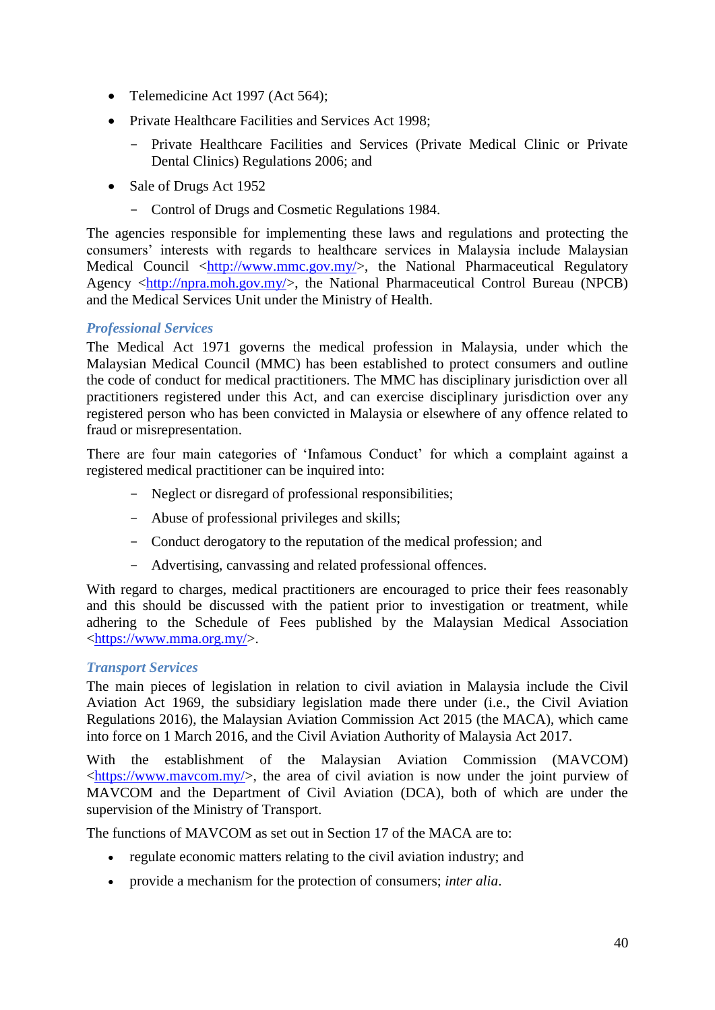- Telemedicine Act 1997 (Act 564);
- Private Healthcare Facilities and Services Act 1998;
	- Private Healthcare Facilities and Services (Private Medical Clinic or Private Dental Clinics) Regulations 2006; and
- Sale of Drugs Act 1952
	- Control of Drugs and Cosmetic Regulations 1984.

The agencies responsible for implementing these laws and regulations and protecting the consumers' interests with regards to healthcare services in Malaysia include Malaysian Medical Council  $\langle \frac{http://www.mmc.gov.my/}{http://www.mmc.gov.my/}{\rangle}$ , the National Pharmaceutical Regulatory Agency [<http://npra.moh.gov.my/>](http://npra.moh.gov.my/), the National Pharmaceutical Control Bureau (NPCB) and the Medical Services Unit under the Ministry of Health.

# *Professional Services*

The Medical Act 1971 governs the medical profession in Malaysia, under which the Malaysian Medical Council (MMC) has been established to protect consumers and outline the code of conduct for medical practitioners. The MMC has disciplinary jurisdiction over all practitioners registered under this Act, and can exercise disciplinary jurisdiction over any registered person who has been convicted in Malaysia or elsewhere of any offence related to fraud or misrepresentation.

There are four main categories of 'Infamous Conduct' for which a complaint against a registered medical practitioner can be inquired into:

- Neglect or disregard of professional responsibilities;
- Abuse of professional privileges and skills;
- Conduct derogatory to the reputation of the medical profession; and
- Advertising, canvassing and related professional offences.

With regard to charges, medical practitioners are encouraged to price their fees reasonably and this should be discussed with the patient prior to investigation or treatment, while adhering to the Schedule of Fees published by the Malaysian Medical Association [<https://www.mma.org.my/>](https://www.mma.org.my/).

# *Transport Services*

The main pieces of legislation in relation to civil aviation in Malaysia include the Civil Aviation Act 1969, the subsidiary legislation made there under (i.e., the Civil Aviation Regulations 2016), the Malaysian Aviation Commission Act 2015 (the MACA), which came into force on 1 March 2016, and the Civil Aviation Authority of Malaysia Act 2017.

With the establishment of the Malaysian Aviation Commission (MAVCOM)  $\langle \frac{h}{t} \cdot h(t) \cdot h(t) \rangle$ , the area of civil aviation is now under the joint purview of MAVCOM and the Department of Civil Aviation (DCA), both of which are under the supervision of the Ministry of Transport.

The functions of MAVCOM as set out in Section 17 of the MACA are to:

- regulate economic matters relating to the civil aviation industry; and
- provide a mechanism for the protection of consumers; *inter alia*.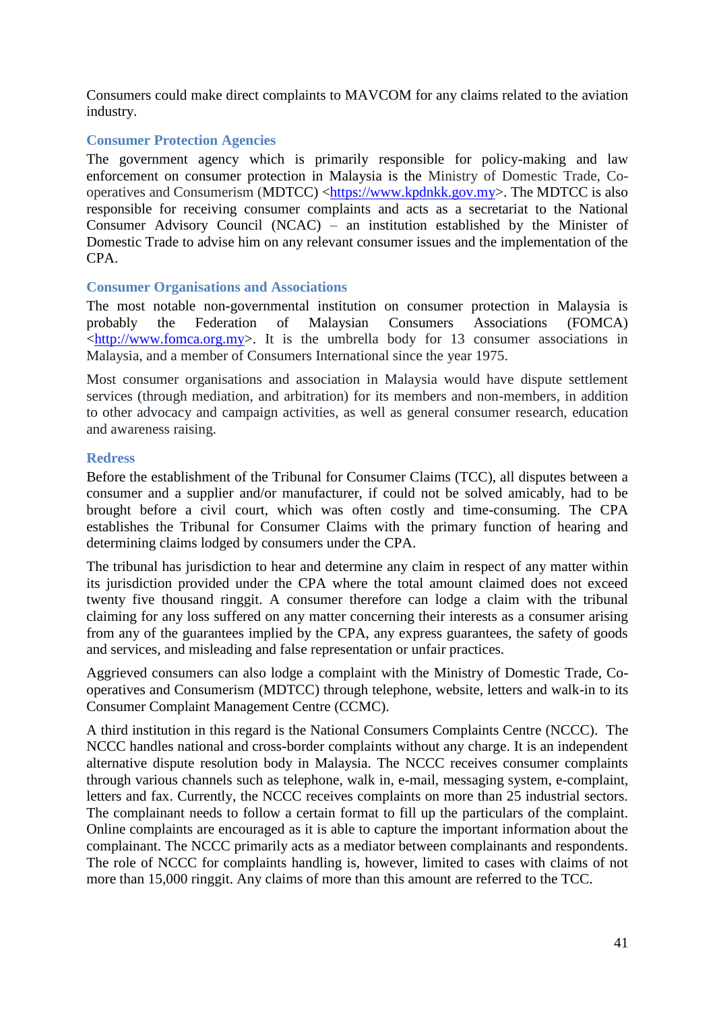Consumers could make direct complaints to MAVCOM for any claims related to the aviation industry.

# <span id="page-40-0"></span>**Consumer Protection Agencies**

The government agency which is primarily responsible for policy-making and law enforcement on consumer protection in Malaysia is the Ministry of Domestic Trade, Cooperatives and Consumerism (MDTCC) [<https://www.kpdnkk.gov.my>](https://www.kpdnkk.gov.my/). The MDTCC is also responsible for receiving consumer complaints and acts as a secretariat to the National Consumer Advisory Council (NCAC) – an institution established by the Minister of Domestic Trade to advise him on any relevant consumer issues and the implementation of the CPA.

#### <span id="page-40-1"></span>**Consumer Organisations and Associations**

The most notable non-governmental institution on consumer protection in Malaysia is probably the Federation of Malaysian Consumers Associations (FOMCA)  $\text{th}\text{t}$ ://www.fomca.org.my>. It is the umbrella body for 13 consumer associations in Malaysia, and a member of Consumers International since the year 1975.

Most consumer organisations and association in Malaysia would have dispute settlement services (through mediation, and arbitration) for its members and non-members, in addition to other advocacy and campaign activities, as well as general consumer research, education and awareness raising.

#### <span id="page-40-2"></span>**Redress**

Before the establishment of the Tribunal for Consumer Claims (TCC), all disputes between a consumer and a supplier and/or manufacturer, if could not be solved amicably, had to be brought before a civil court, which was often costly and time-consuming. The CPA establishes the Tribunal for Consumer Claims with the primary function of hearing and determining claims lodged by consumers under the CPA.

The tribunal has jurisdiction to hear and determine any claim in respect of any matter within its jurisdiction provided under the CPA where the total amount claimed does not exceed twenty five thousand ringgit. A consumer therefore can lodge a claim with the tribunal claiming for any loss suffered on any matter concerning their interests as a consumer arising from any of the guarantees implied by the CPA, any express guarantees, the safety of goods and services, and misleading and false representation or unfair practices.

Aggrieved consumers can also lodge a complaint with the Ministry of Domestic Trade, Cooperatives and Consumerism (MDTCC) through telephone, website, letters and walk-in to its Consumer Complaint Management Centre (CCMC).

<span id="page-40-3"></span>A third institution in this regard is the National Consumers Complaints Centre (NCCC). The NCCC handles national and cross-border complaints without any charge. It is an independent alternative dispute resolution body in Malaysia. The NCCC receives consumer complaints through various channels such as telephone, walk in, e-mail, messaging system, e-complaint, letters and fax. Currently, the NCCC receives complaints on more than 25 industrial sectors. The complainant needs to follow a certain format to fill up the particulars of the complaint. Online complaints are encouraged as it is able to capture the important information about the complainant. The NCCC primarily acts as a mediator between complainants and respondents. The role of NCCC for complaints handling is, however, limited to cases with claims of not more than 15,000 ringgit. Any claims of more than this amount are referred to the TCC.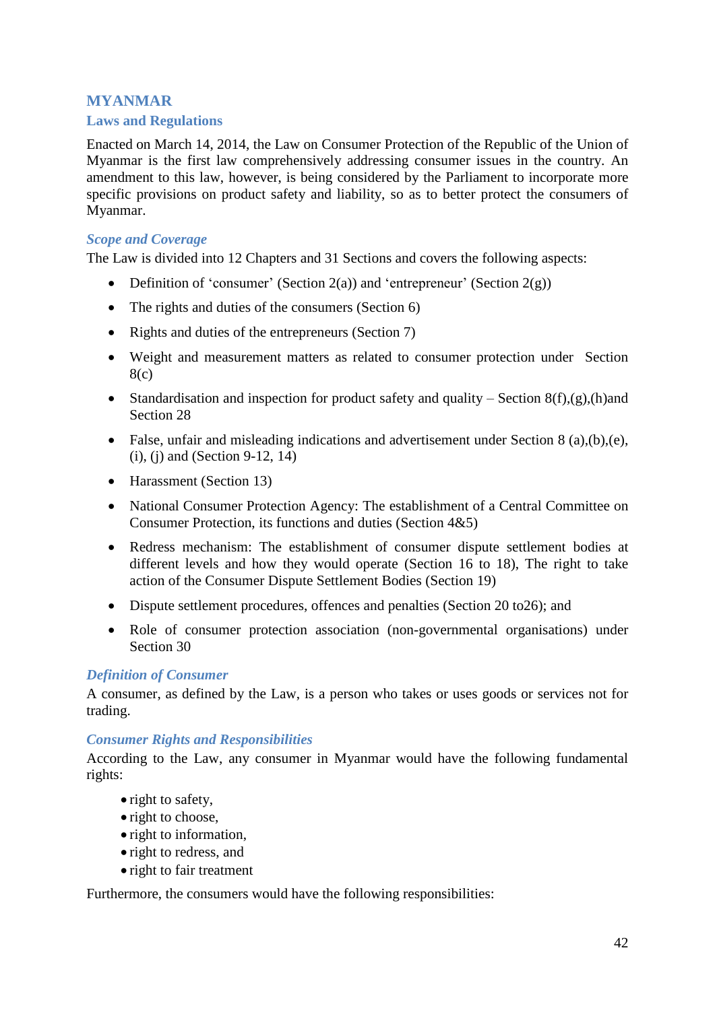# **MYANMAR**

# <span id="page-41-0"></span>**Laws and Regulations**

Enacted on March 14, 2014, the Law on Consumer Protection of the Republic of the Union of Myanmar is the first law comprehensively addressing consumer issues in the country. An amendment to this law, however, is being considered by the Parliament to incorporate more specific provisions on product safety and liability, so as to better protect the consumers of Myanmar.

#### *Scope and Coverage*

The Law is divided into 12 Chapters and 31 Sections and covers the following aspects:

- Definition of 'consumer' (Section 2(a)) and 'entrepreneur' (Section  $2(g)$ )
- The rights and duties of the consumers (Section 6)
- Rights and duties of the entrepreneurs (Section 7)
- Weight and measurement matters as related to consumer protection under Section 8(c)
- Standardisation and inspection for product safety and quality Section  $8(f),(g),(h)$ and Section 28
- False, unfair and misleading indications and advertisement under Section 8 (a), (b), (e), (i), (j) and (Section 9-12, 14)
- Harassment (Section 13)
- National Consumer Protection Agency: The establishment of a Central Committee on Consumer Protection, its functions and duties (Section 4&5)
- Redress mechanism: The establishment of consumer dispute settlement bodies at different levels and how they would operate (Section 16 to 18), The right to take action of the Consumer Dispute Settlement Bodies (Section 19)
- Dispute settlement procedures, offences and penalties (Section 20 to 26); and
- Role of consumer protection association (non-governmental organisations) under Section 30

## *Definition of Consumer*

A consumer, as defined by the Law, is a person who takes or uses goods or services not for trading.

#### *Consumer Rights and Responsibilities*

According to the Law, any consumer in Myanmar would have the following fundamental rights:

- right to safety,
- right to choose,
- right to information,
- right to redress, and
- right to fair treatment

Furthermore, the consumers would have the following responsibilities: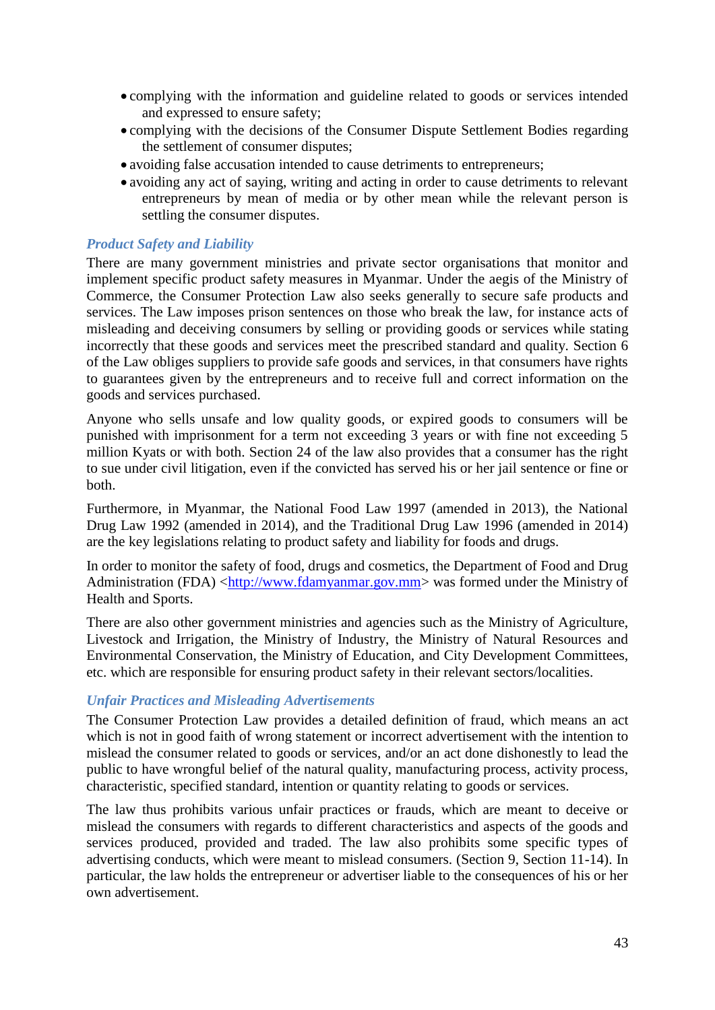- complying with the information and guideline related to goods or services intended and expressed to ensure safety;
- complying with the decisions of the Consumer Dispute Settlement Bodies regarding the settlement of consumer disputes;
- avoiding false accusation intended to cause detriments to entrepreneurs;
- avoiding any act of saying, writing and acting in order to cause detriments to relevant entrepreneurs by mean of media or by other mean while the relevant person is settling the consumer disputes.

# *Product Safety and Liability*

There are many government ministries and private sector organisations that monitor and implement specific product safety measures in Myanmar. Under the aegis of the Ministry of Commerce, the Consumer Protection Law also seeks generally to secure safe products and services. The Law imposes prison sentences on those who break the law, for instance acts of misleading and deceiving consumers by selling or providing goods or services while stating incorrectly that these goods and services meet the prescribed standard and quality. Section 6 of the Law obliges suppliers to provide safe goods and services, in that consumers have rights to guarantees given by the entrepreneurs and to receive full and correct information on the goods and services purchased.

Anyone who sells unsafe and low quality goods, or expired goods to consumers will be punished with imprisonment for a term not exceeding 3 years or with fine not exceeding 5 million Kyats or with both. Section 24 of the law also provides that a consumer has the right to sue under civil litigation, even if the convicted has served his or her jail sentence or fine or both.

Furthermore, in Myanmar, the National Food Law 1997 (amended in 2013), the National Drug Law 1992 (amended in 2014), and the Traditional Drug Law 1996 (amended in 2014) are the key legislations relating to product safety and liability for foods and drugs.

In order to monitor the safety of food, drugs and cosmetics, the Department of Food and Drug Administration (FDA) [<http://www.fdamyanmar.gov.mm>](http://www.fdamyanmar.gov.mm/) was formed under the Ministry of Health and Sports.

There are also other government ministries and agencies such as the Ministry of Agriculture, Livestock and Irrigation, the Ministry of Industry, the Ministry of Natural Resources and Environmental Conservation, the Ministry of Education, and City Development Committees, etc. which are responsible for ensuring product safety in their relevant sectors/localities.

#### *Unfair Practices and Misleading Advertisements*

The Consumer Protection Law provides a detailed definition of fraud, which means an act which is not in good faith of wrong statement or incorrect advertisement with the intention to mislead the consumer related to goods or services, and/or an act done dishonestly to lead the public to have wrongful belief of the natural quality, manufacturing process, activity process, characteristic, specified standard, intention or quantity relating to goods or services.

The law thus prohibits various unfair practices or frauds, which are meant to deceive or mislead the consumers with regards to different characteristics and aspects of the goods and services produced, provided and traded. The law also prohibits some specific types of advertising conducts, which were meant to mislead consumers. (Section 9, Section 11-14). In particular, the law holds the entrepreneur or advertiser liable to the consequences of his or her own advertisement.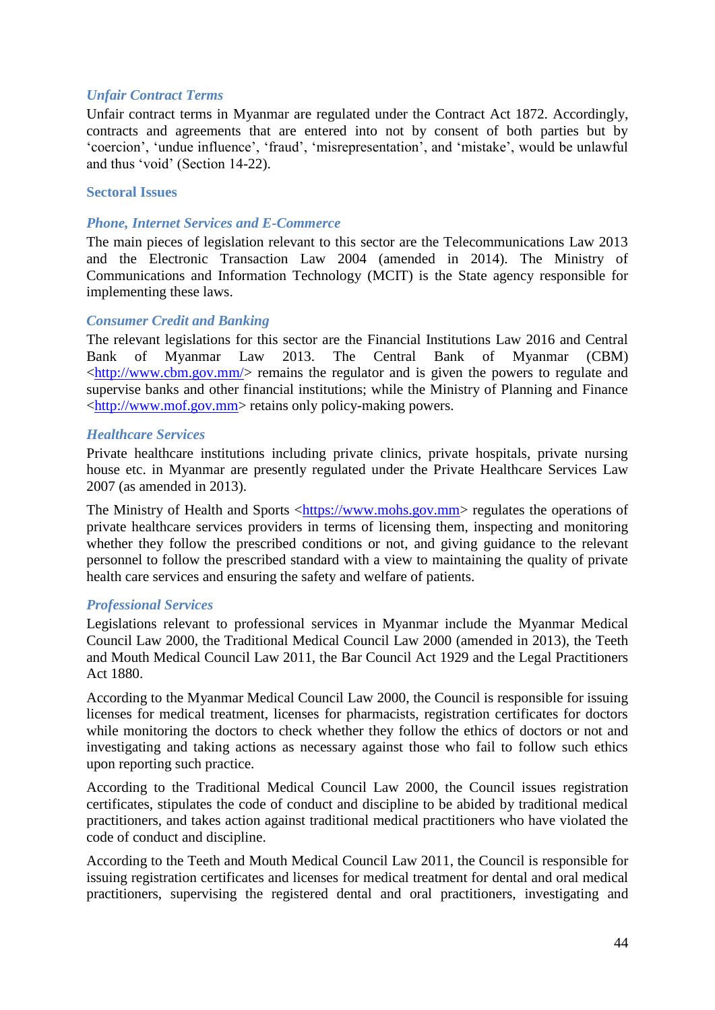# *Unfair Contract Terms*

Unfair contract terms in Myanmar are regulated under the Contract Act 1872. Accordingly, contracts and agreements that are entered into not by consent of both parties but by 'coercion', 'undue influence', 'fraud', 'misrepresentation', and 'mistake', would be unlawful and thus 'void' (Section 14-22).

## <span id="page-43-0"></span>**Sectoral Issues**

## *Phone, Internet Services and E-Commerce*

The main pieces of legislation relevant to this sector are the Telecommunications Law 2013 and the Electronic Transaction Law 2004 (amended in 2014). The Ministry of Communications and Information Technology (MCIT) is the State agency responsible for implementing these laws.

#### *Consumer Credit and Banking*

The relevant legislations for this sector are the Financial Institutions Law 2016 and Central Bank of Myanmar Law 2013. The Central Bank of Myanmar (CBM)  $\langle \frac{\text{http://www.cbm.gov.mm/}}{\text{www.cbm.gov.mm/}} \rangle$  remains the regulator and is given the powers to regulate and supervise banks and other financial institutions; while the Ministry of Planning and Finance [<http://www.mof.gov.mm>](http://www.mof.gov.mm/) retains only policy-making powers.

## *Healthcare Services*

Private healthcare institutions including private clinics, private hospitals, private nursing house etc. in Myanmar are presently regulated under the Private Healthcare Services Law 2007 (as amended in 2013).

The Ministry of Health and Sports [<https://www.mohs.gov.mm>](https://www.mohs.gov.mm/) regulates the operations of private healthcare services providers in terms of licensing them, inspecting and monitoring whether they follow the prescribed conditions or not, and giving guidance to the relevant personnel to follow the prescribed standard with a view to maintaining the quality of private health care services and ensuring the safety and welfare of patients.

# *Professional Services*

Legislations relevant to professional services in Myanmar include the Myanmar Medical Council Law 2000, the Traditional Medical Council Law 2000 (amended in 2013), the Teeth and Mouth Medical Council Law 2011, the Bar Council Act 1929 and the Legal Practitioners Act 1880.

According to the Myanmar Medical Council Law 2000, the Council is responsible for issuing licenses for medical treatment, licenses for pharmacists, registration certificates for doctors while monitoring the doctors to check whether they follow the ethics of doctors or not and investigating and taking actions as necessary against those who fail to follow such ethics upon reporting such practice.

According to the Traditional Medical Council Law 2000, the Council issues registration certificates, stipulates the code of conduct and discipline to be abided by traditional medical practitioners, and takes action against traditional medical practitioners who have violated the code of conduct and discipline.

According to the Teeth and Mouth Medical Council Law 2011, the Council is responsible for issuing registration certificates and licenses for medical treatment for dental and oral medical practitioners, supervising the registered dental and oral practitioners, investigating and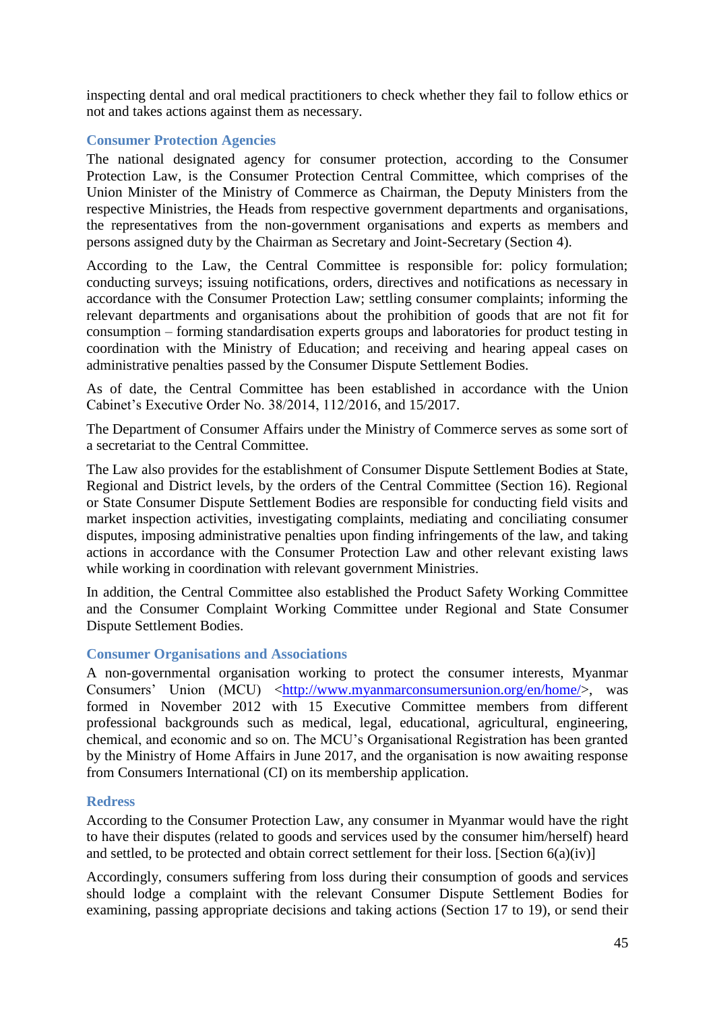inspecting dental and oral medical practitioners to check whether they fail to follow ethics or not and takes actions against them as necessary.

# <span id="page-44-0"></span>**Consumer Protection Agencies**

The national designated agency for consumer protection, according to the Consumer Protection Law, is the Consumer Protection Central Committee, which comprises of the Union Minister of the Ministry of Commerce as Chairman, the Deputy Ministers from the respective Ministries, the Heads from respective government departments and organisations, the representatives from the non-government organisations and experts as members and persons assigned duty by the Chairman as Secretary and Joint-Secretary (Section 4).

According to the Law, the Central Committee is responsible for: policy formulation; conducting surveys; issuing notifications, orders, directives and notifications as necessary in accordance with the Consumer Protection Law; settling consumer complaints; informing the relevant departments and organisations about the prohibition of goods that are not fit for consumption – forming standardisation experts groups and laboratories for product testing in coordination with the Ministry of Education; and receiving and hearing appeal cases on administrative penalties passed by the Consumer Dispute Settlement Bodies.

As of date, the Central Committee has been established in accordance with the Union Cabinet's Executive Order No. 38/2014, 112/2016, and 15/2017.

The Department of Consumer Affairs under the Ministry of Commerce serves as some sort of a secretariat to the Central Committee.

The Law also provides for the establishment of Consumer Dispute Settlement Bodies at State, Regional and District levels, by the orders of the Central Committee (Section 16). Regional or State Consumer Dispute Settlement Bodies are responsible for conducting field visits and market inspection activities, investigating complaints, mediating and conciliating consumer disputes, imposing administrative penalties upon finding infringements of the law, and taking actions in accordance with the Consumer Protection Law and other relevant existing laws while working in coordination with relevant government Ministries.

In addition, the Central Committee also established the Product Safety Working Committee and the Consumer Complaint Working Committee under Regional and State Consumer Dispute Settlement Bodies.

#### <span id="page-44-1"></span>**Consumer Organisations and Associations**

A non-governmental organisation working to protect the consumer interests, Myanmar Consumers' Union (MCU) [<http://www.myanmarconsumersunion.org/en/home/>](http://www.myanmarconsumersunion.org/en/home/), was formed in November 2012 with 15 Executive Committee members from different professional backgrounds such as medical, legal, educational, agricultural, engineering, chemical, and economic and so on. The MCU's Organisational Registration has been granted by the Ministry of Home Affairs in June 2017, and the organisation is now awaiting response from Consumers International (CI) on its membership application.

# <span id="page-44-2"></span>**Redress**

According to the Consumer Protection Law, any consumer in Myanmar would have the right to have their disputes (related to goods and services used by the consumer him/herself) heard and settled, to be protected and obtain correct settlement for their loss. [Section  $6(a)(iv)$ ]

Accordingly, consumers suffering from loss during their consumption of goods and services should lodge a complaint with the relevant Consumer Dispute Settlement Bodies for examining, passing appropriate decisions and taking actions (Section 17 to 19), or send their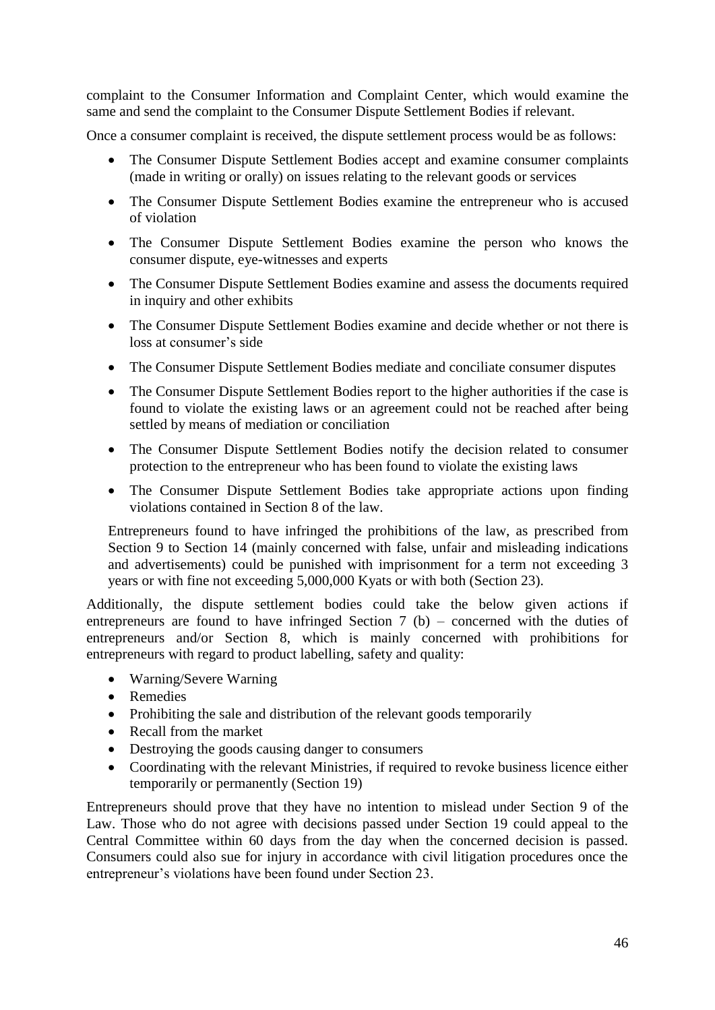complaint to the Consumer Information and Complaint Center, which would examine the same and send the complaint to the Consumer Dispute Settlement Bodies if relevant.

Once a consumer complaint is received, the dispute settlement process would be as follows:

- The Consumer Dispute Settlement Bodies accept and examine consumer complaints (made in writing or orally) on issues relating to the relevant goods or services
- The Consumer Dispute Settlement Bodies examine the entrepreneur who is accused of violation
- The Consumer Dispute Settlement Bodies examine the person who knows the consumer dispute, eye-witnesses and experts
- The Consumer Dispute Settlement Bodies examine and assess the documents required in inquiry and other exhibits
- The Consumer Dispute Settlement Bodies examine and decide whether or not there is loss at consumer's side
- The Consumer Dispute Settlement Bodies mediate and conciliate consumer disputes
- The Consumer Dispute Settlement Bodies report to the higher authorities if the case is found to violate the existing laws or an agreement could not be reached after being settled by means of mediation or conciliation
- The Consumer Dispute Settlement Bodies notify the decision related to consumer protection to the entrepreneur who has been found to violate the existing laws
- The Consumer Dispute Settlement Bodies take appropriate actions upon finding violations contained in Section 8 of the law.

Entrepreneurs found to have infringed the prohibitions of the law, as prescribed from Section 9 to Section 14 (mainly concerned with false, unfair and misleading indications and advertisements) could be punished with imprisonment for a term not exceeding 3 years or with fine not exceeding 5,000,000 Kyats or with both (Section 23).

Additionally, the dispute settlement bodies could take the below given actions if entrepreneurs are found to have infringed Section  $7$  (b) – concerned with the duties of entrepreneurs and/or Section 8, which is mainly concerned with prohibitions for entrepreneurs with regard to product labelling, safety and quality:

- Warning/Severe Warning
- Remedies
- Prohibiting the sale and distribution of the relevant goods temporarily
- Recall from the market
- Destroying the goods causing danger to consumers
- Coordinating with the relevant Ministries, if required to revoke business licence either temporarily or permanently (Section 19)

<span id="page-45-0"></span>Entrepreneurs should prove that they have no intention to mislead under Section 9 of the Law. Those who do not agree with decisions passed under Section 19 could appeal to the Central Committee within 60 days from the day when the concerned decision is passed. Consumers could also sue for injury in accordance with civil litigation procedures once the entrepreneur's violations have been found under Section 23.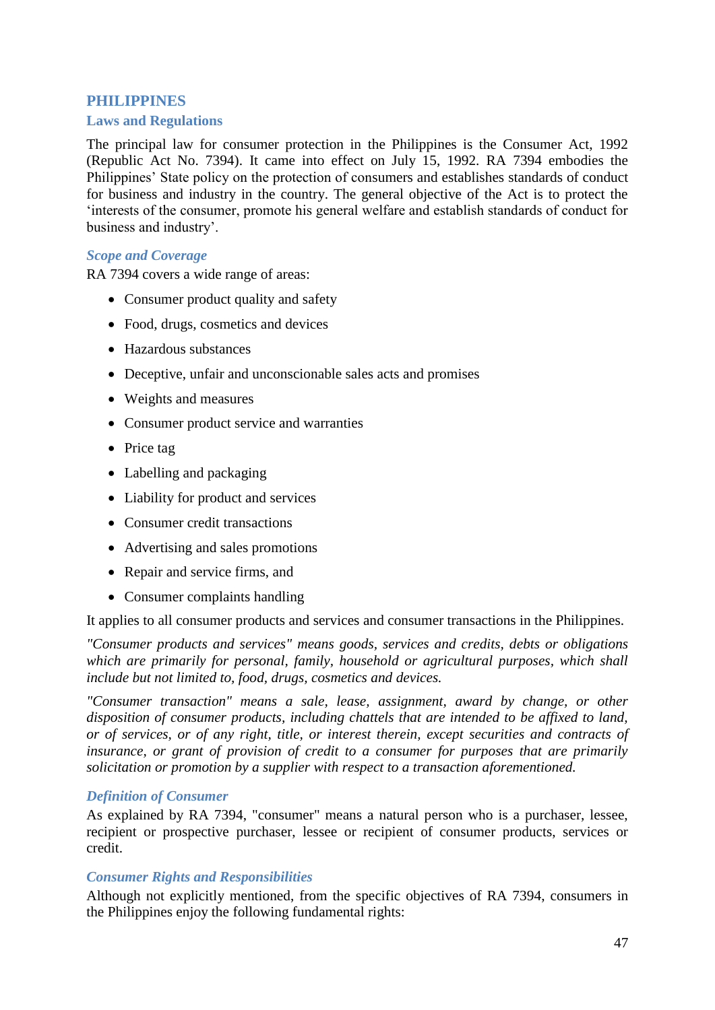# **PHILIPPINES**

#### <span id="page-46-0"></span>**Laws and Regulations**

The principal law for consumer protection in the Philippines is the Consumer Act, 1992 (Republic Act No. 7394). It came into effect on July 15, 1992. RA 7394 embodies the Philippines' State policy on the protection of consumers and establishes standards of conduct for business and industry in the country. The general objective of the Act is to protect the 'interests of the consumer, promote his general welfare and establish standards of conduct for business and industry'.

## *Scope and Coverage*

RA 7394 covers a wide range of areas:

- Consumer product quality and safety
- Food, drugs, cosmetics and devices
- Hazardous substances
- Deceptive, unfair and unconscionable sales acts and promises
- Weights and measures
- Consumer product service and warranties
- Price tag
- Labelling and packaging
- Liability for product and services
- Consumer credit transactions
- Advertising and sales promotions
- Repair and service firms, and
- Consumer complaints handling

It applies to all consumer products and services and consumer transactions in the Philippines.

*"Consumer products and services" means goods, services and credits, debts or obligations which are primarily for personal, family, household or agricultural purposes, which shall include but not limited to, food, drugs, cosmetics and devices.*

*"Consumer transaction" means a sale, lease, assignment, award by change, or other disposition of consumer products, including chattels that are intended to be affixed to land, or of services, or of any right, title, or interest therein, except securities and contracts of insurance, or grant of provision of credit to a consumer for purposes that are primarily solicitation or promotion by a supplier with respect to a transaction aforementioned.*

# *Definition of Consumer*

As explained by RA 7394, "consumer" means a natural person who is a purchaser, lessee, recipient or prospective purchaser, lessee or recipient of consumer products, services or credit.

#### *Consumer Rights and Responsibilities*

Although not explicitly mentioned, from the specific objectives of RA 7394, consumers in the Philippines enjoy the following fundamental rights: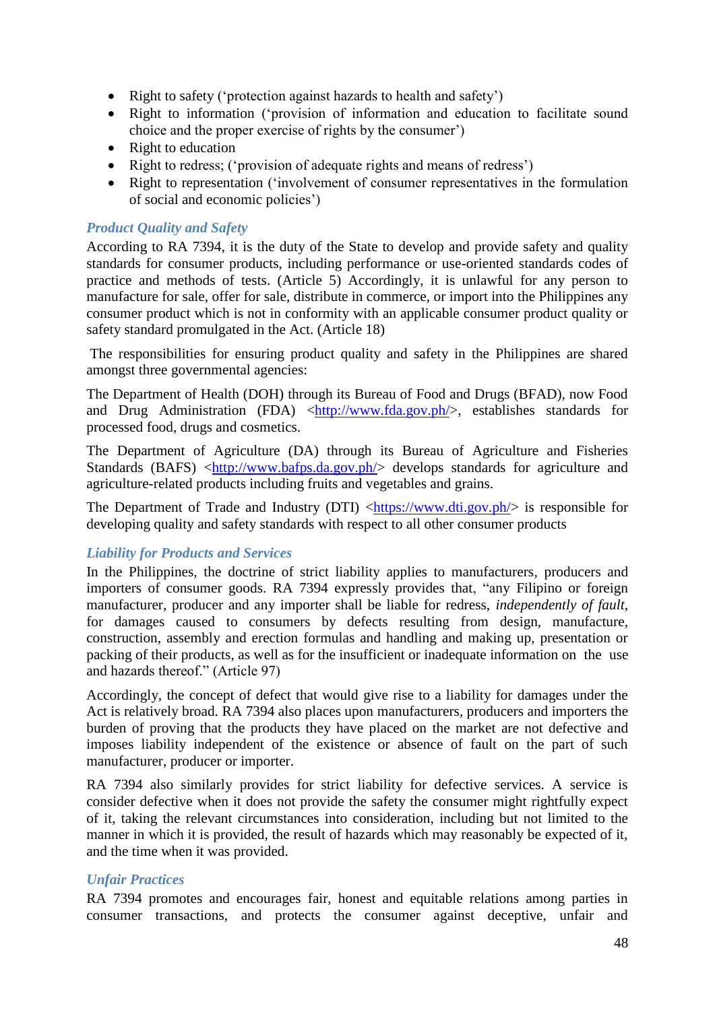- Right to safety ('protection against hazards to health and safety')
- Right to information ('provision of information and education to facilitate sound choice and the proper exercise of rights by the consumer')
- Right to education
- Right to redress; ('provision of adequate rights and means of redress')
- Right to representation ('involvement of consumer representatives in the formulation of social and economic policies')

#### *Product Quality and Safety*

According to RA 7394, it is the duty of the State to develop and provide safety and quality standards for consumer products, including performance or use-oriented standards codes of practice and methods of tests. (Article 5) Accordingly, it is unlawful for any person to manufacture for sale, offer for sale, distribute in commerce, or import into the Philippines any consumer product which is not in conformity with an applicable consumer product quality or safety standard promulgated in the Act. (Article 18)

The responsibilities for ensuring product quality and safety in the Philippines are shared amongst three governmental agencies:

The Department of Health (DOH) through its Bureau of Food and Drugs (BFAD), now Food and Drug Administration (FDA) [<http://www.fda.gov.ph/>](http://www.fda.gov.ph/), establishes standards for processed food, drugs and cosmetics.

The Department of Agriculture (DA) through its Bureau of Agriculture and Fisheries Standards (BAFS) [<http://www.bafps.da.gov.ph/>](http://www.bafps.da.gov.ph/) develops standards for agriculture and agriculture-related products including fruits and vegetables and grains.

The Department of Trade and Industry (DTI) [<https://www.dti.gov.ph/>](https://www.dti.gov.ph/) is responsible for developing quality and safety standards with respect to all other consumer products

#### *Liability for Products and Services*

In the Philippines, the doctrine of strict liability applies to manufacturers, producers and importers of consumer goods. RA 7394 expressly provides that, "any Filipino or foreign manufacturer, producer and any importer shall be liable for redress, *independently of fault*, for damages caused to consumers by defects resulting from design, manufacture, construction, assembly and erection formulas and handling and making up, presentation or packing of their products, as well as for the insufficient or inadequate information on the use and hazards thereof." (Article 97)

Accordingly, the concept of defect that would give rise to a liability for damages under the Act is relatively broad. RA 7394 also places upon manufacturers, producers and importers the burden of proving that the products they have placed on the market are not defective and imposes liability independent of the existence or absence of fault on the part of such manufacturer, producer or importer.

RA 7394 also similarly provides for strict liability for defective services. A service is consider defective when it does not provide the safety the consumer might rightfully expect of it, taking the relevant circumstances into consideration, including but not limited to the manner in which it is provided, the result of hazards which may reasonably be expected of it, and the time when it was provided.

#### *Unfair Practices*

RA 7394 promotes and encourages fair, honest and equitable relations among parties in consumer transactions, and protects the consumer against deceptive, unfair and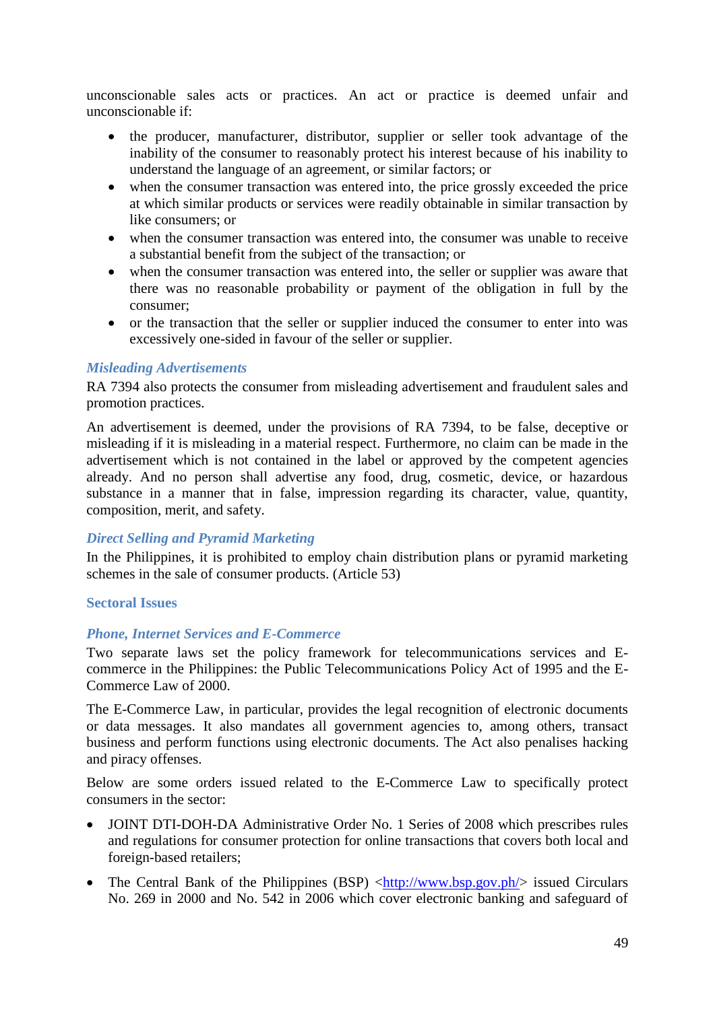unconscionable sales acts or practices. An act or practice is deemed unfair and unconscionable if:

- the producer, manufacturer, distributor, supplier or seller took advantage of the inability of the consumer to reasonably protect his interest because of his inability to understand the language of an agreement, or similar factors; or
- when the consumer transaction was entered into, the price grossly exceeded the price at which similar products or services were readily obtainable in similar transaction by like consumers; or
- when the consumer transaction was entered into, the consumer was unable to receive a substantial benefit from the subject of the transaction; or
- when the consumer transaction was entered into, the seller or supplier was aware that there was no reasonable probability or payment of the obligation in full by the consumer;
- or the transaction that the seller or supplier induced the consumer to enter into was excessively one-sided in favour of the seller or supplier.

#### *Misleading Advertisements*

RA 7394 also protects the consumer from misleading advertisement and fraudulent sales and promotion practices.

An advertisement is deemed, under the provisions of RA 7394, to be false, deceptive or misleading if it is misleading in a material respect. Furthermore, no claim can be made in the advertisement which is not contained in the label or approved by the competent agencies already. And no person shall advertise any food, drug, cosmetic, device, or hazardous substance in a manner that in false, impression regarding its character, value, quantity, composition, merit, and safety.

#### *Direct Selling and Pyramid Marketing*

In the Philippines, it is prohibited to employ chain distribution plans or pyramid marketing schemes in the sale of consumer products. (Article 53)

#### <span id="page-48-0"></span>**Sectoral Issues**

#### *Phone, Internet Services and E-Commerce*

Two separate laws set the policy framework for telecommunications services and Ecommerce in the Philippines: the Public Telecommunications Policy Act of 1995 and the E-Commerce Law of 2000.

The E-Commerce Law, in particular, provides the legal recognition of electronic documents or data messages. It also mandates all government agencies to, among others, transact business and perform functions using electronic documents. The Act also penalises hacking and piracy offenses.

Below are some orders issued related to the E-Commerce Law to specifically protect consumers in the sector:

- JOINT DTI-DOH-DA Administrative Order No. 1 Series of 2008 which prescribes rules and regulations for consumer protection for online transactions that covers both local and foreign-based retailers;
- The Central Bank of the Philippines (BSP)  $\langle$ http://www.bsp.gov.ph/ $>$  issued Circulars No. 269 in 2000 and No. 542 in 2006 which cover electronic banking and safeguard of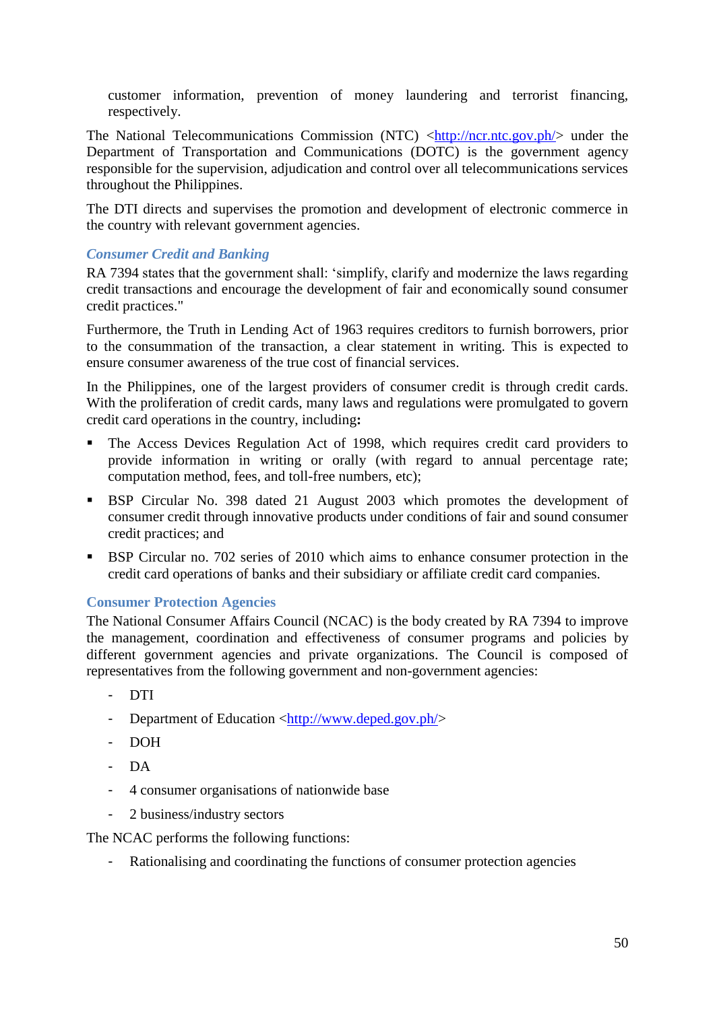customer information, prevention of money laundering and terrorist financing, respectively.

The National Telecommunications Commission (NTC) [<http://ncr.ntc.gov.ph/>](http://ncr.ntc.gov.ph/) under the Department of Transportation and Communications (DOTC) is the government agency responsible for the supervision, adjudication and control over all telecommunications services throughout the Philippines.

The DTI directs and supervises the promotion and development of electronic commerce in the country with relevant government agencies.

# *Consumer Credit and Banking*

RA 7394 states that the government shall: 'simplify, clarify and modernize the laws regarding credit transactions and encourage the development of fair and economically sound consumer credit practices."

Furthermore, the Truth in Lending Act of 1963 requires creditors to furnish borrowers, prior to the consummation of the transaction, a clear statement in writing. This is expected to ensure consumer awareness of the true cost of financial services.

In the Philippines, one of the largest providers of consumer credit is through credit cards. With the proliferation of credit cards, many laws and regulations were promulgated to govern credit card operations in the country, including**:** 

- The Access Devices Regulation Act of 1998, which requires credit card providers to provide information in writing or orally (with regard to annual percentage rate; computation method, fees, and toll-free numbers, etc);
- BSP Circular No. 398 dated 21 August 2003 which promotes the development of consumer credit through innovative products under conditions of fair and sound consumer credit practices; and
- BSP Circular no. 702 series of 2010 which aims to enhance consumer protection in the credit card operations of banks and their subsidiary or affiliate credit card companies.

# <span id="page-49-0"></span>**Consumer Protection Agencies**

The National Consumer Affairs Council (NCAC) is the body created by RA 7394 to improve the management, coordination and effectiveness of consumer programs and policies by different government agencies and private organizations. The Council is composed of representatives from the following government and non-government agencies:

- DTI
- Department of Education [<http://www.deped.gov.ph/>](http://www.deped.gov.ph/)
- DOH
- DA
- 4 consumer organisations of nationwide base
- 2 business/industry sectors

The NCAC performs the following functions:

- Rationalising and coordinating the functions of consumer protection agencies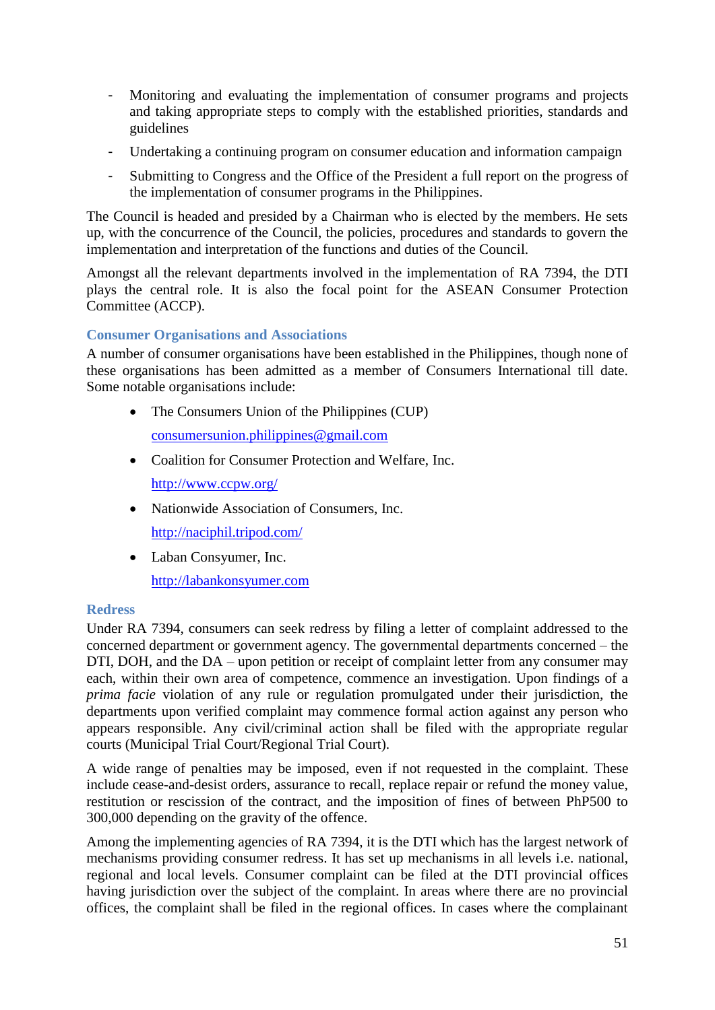- Monitoring and evaluating the implementation of consumer programs and projects and taking appropriate steps to comply with the established priorities, standards and guidelines
- Undertaking a continuing program on consumer education and information campaign
- Submitting to Congress and the Office of the President a full report on the progress of the implementation of consumer programs in the Philippines.

The Council is headed and presided by a Chairman who is elected by the members. He sets up, with the concurrence of the Council, the policies, procedures and standards to govern the implementation and interpretation of the functions and duties of the Council.

Amongst all the relevant departments involved in the implementation of RA 7394, the DTI plays the central role. It is also the focal point for the ASEAN Consumer Protection Committee (ACCP).

# <span id="page-50-0"></span>**Consumer Organisations and Associations**

A number of consumer organisations have been established in the Philippines, though none of these organisations has been admitted as a member of Consumers International till date. Some notable organisations include:

- The Consumers Union of the Philippines (CUP) [consumersunion.philippines@gmail.com](mailto:consumersunion.philippines@gmail.com)
- Coalition for Consumer Protection and Welfare, Inc. <http://www.ccpw.org/>
- Nationwide Association of Consumers, Inc. <http://naciphil.tripod.com/>
- Laban Consyumer, Inc. [http://labankonsyumer.com](http://labankonsyumer.com/)

# <span id="page-50-1"></span>**Redress**

Under RA 7394, consumers can seek redress by filing a letter of complaint addressed to the concerned department or government agency. The governmental departments concerned – the DTI, DOH, and the DA – upon petition or receipt of complaint letter from any consumer may each, within their own area of competence, commence an investigation. Upon findings of a *prima facie* violation of any rule or regulation promulgated under their jurisdiction, the departments upon verified complaint may commence formal action against any person who appears responsible. Any civil/criminal action shall be filed with the appropriate regular courts (Municipal Trial Court/Regional Trial Court).

A wide range of penalties may be imposed, even if not requested in the complaint. These include cease-and-desist orders, assurance to recall, replace repair or refund the money value, restitution or rescission of the contract, and the imposition of fines of between PhP500 to 300,000 depending on the gravity of the offence.

Among the implementing agencies of RA 7394, it is the DTI which has the largest network of mechanisms providing consumer redress. It has set up mechanisms in all levels i.e. national, regional and local levels. Consumer complaint can be filed at the DTI provincial offices having jurisdiction over the subject of the complaint. In areas where there are no provincial offices, the complaint shall be filed in the regional offices. In cases where the complainant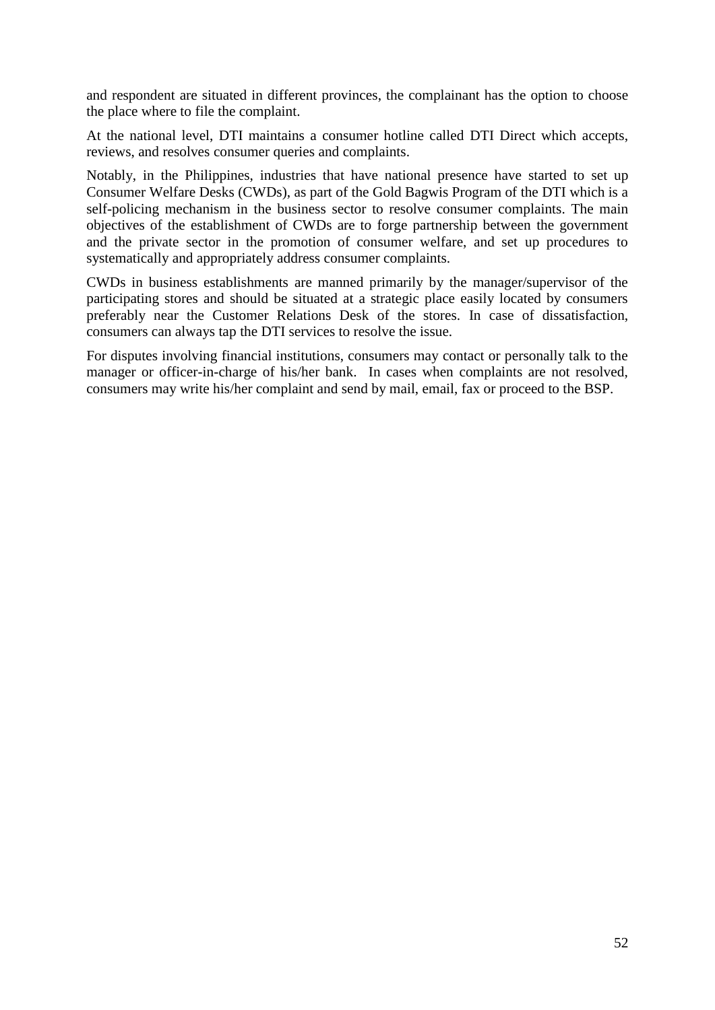and respondent are situated in different provinces, the complainant has the option to choose the place where to file the complaint.

At the national level, DTI maintains a consumer hotline called DTI Direct which accepts, reviews, and resolves consumer queries and complaints.

Notably, in the Philippines, industries that have national presence have started to set up Consumer Welfare Desks (CWDs), as part of the Gold Bagwis Program of the DTI which is a self-policing mechanism in the business sector to resolve consumer complaints. The main objectives of the establishment of CWDs are to forge partnership between the government and the private sector in the promotion of consumer welfare, and set up procedures to systematically and appropriately address consumer complaints.

CWDs in business establishments are manned primarily by the manager/supervisor of the participating stores and should be situated at a strategic place easily located by consumers preferably near the Customer Relations Desk of the stores. In case of dissatisfaction, consumers can always tap the DTI services to resolve the issue.

<span id="page-51-0"></span>For disputes involving financial institutions, consumers may contact or personally talk to the manager or officer-in-charge of his/her bank. In cases when complaints are not resolved, consumers may write his/her complaint and send by mail, email, fax or proceed to the BSP.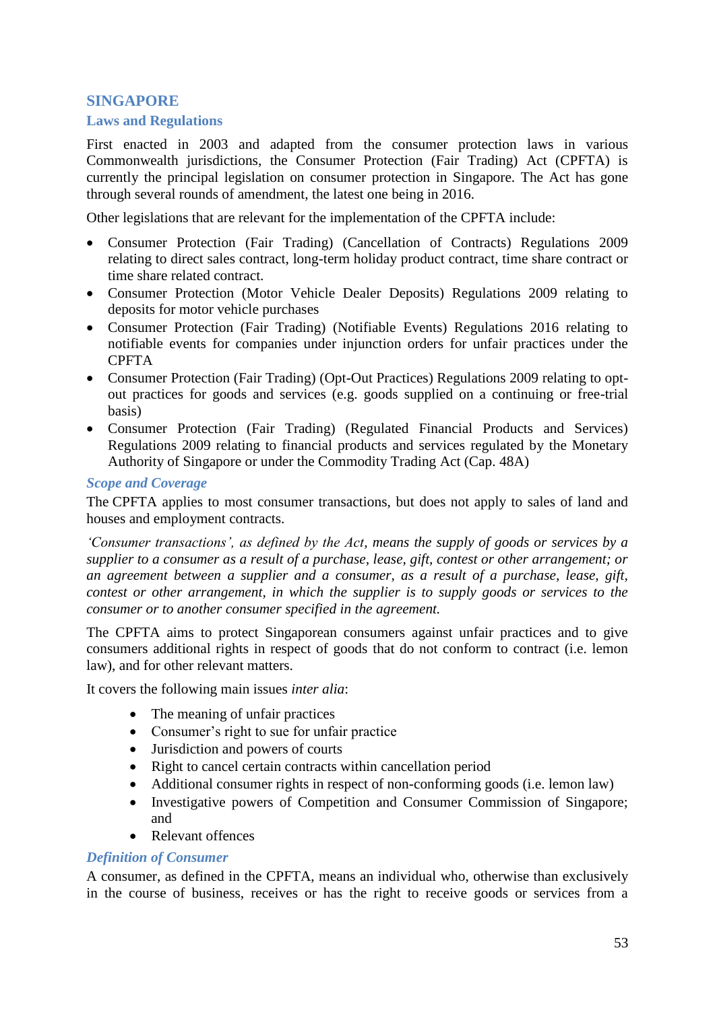# **SINGAPORE**

## <span id="page-52-0"></span>**Laws and Regulations**

<span id="page-52-1"></span>First enacted in 2003 and adapted from the consumer protection laws in various Commonwealth jurisdictions, the Consumer Protection (Fair Trading) Act (CPFTA) is currently the principal legislation on consumer protection in Singapore. The Act has gone through several rounds of amendment, the latest one being in 2016.

Other legislations that are relevant for the implementation of the CPFTA include:

- Consumer Protection (Fair Trading) (Cancellation of Contracts) Regulations 2009 relating to direct sales contract, long-term holiday product contract, time share contract or time share related contract.
- Consumer Protection (Motor Vehicle Dealer Deposits) Regulations 2009 relating to deposits for motor vehicle purchases
- Consumer Protection (Fair Trading) (Notifiable Events) Regulations 2016 relating to notifiable events for companies under injunction orders for unfair practices under the CPFTA
- Consumer Protection (Fair Trading) (Opt-Out Practices) Regulations 2009 relating to optout practices for goods and services (e.g. goods supplied on a continuing or free-trial basis)
- Consumer Protection (Fair Trading) (Regulated Financial Products and Services) Regulations 2009 relating to financial products and services regulated by the Monetary Authority of Singapore or under the Commodity Trading Act (Cap. 48A)

#### *Scope and Coverage*

The CPFTA applies to most consumer transactions, but does not apply to sales of land and houses and employment contracts.

*'Consumer transactions', as defined by the Act, means the supply of goods or services by a supplier to a consumer as a result of a purchase, lease, gift, contest or other arrangement; or an agreement between a supplier and a consumer, as a result of a purchase, lease, gift, contest or other arrangement, in which the supplier is to supply goods or services to the consumer or to another consumer specified in the agreement.*

The CPFTA aims to protect Singaporean consumers against unfair practices and to give consumers additional rights in respect of goods that do not conform to contract (i.e. lemon law), and for other relevant matters.

It covers the following main issues *inter alia*:

- The meaning of unfair practices
- Consumer's right to sue for unfair practice
- Jurisdiction and powers of courts
- Right to cancel certain contracts within cancellation period
- Additional consumer rights in respect of non-conforming goods (i.e. lemon law)
- Investigative powers of Competition and Consumer Commission of Singapore; and
- Relevant offences

# *Definition of Consumer*

A consumer, as defined in the CPFTA, means an individual who, otherwise than exclusively in the course of business, receives or has the right to receive goods or services from a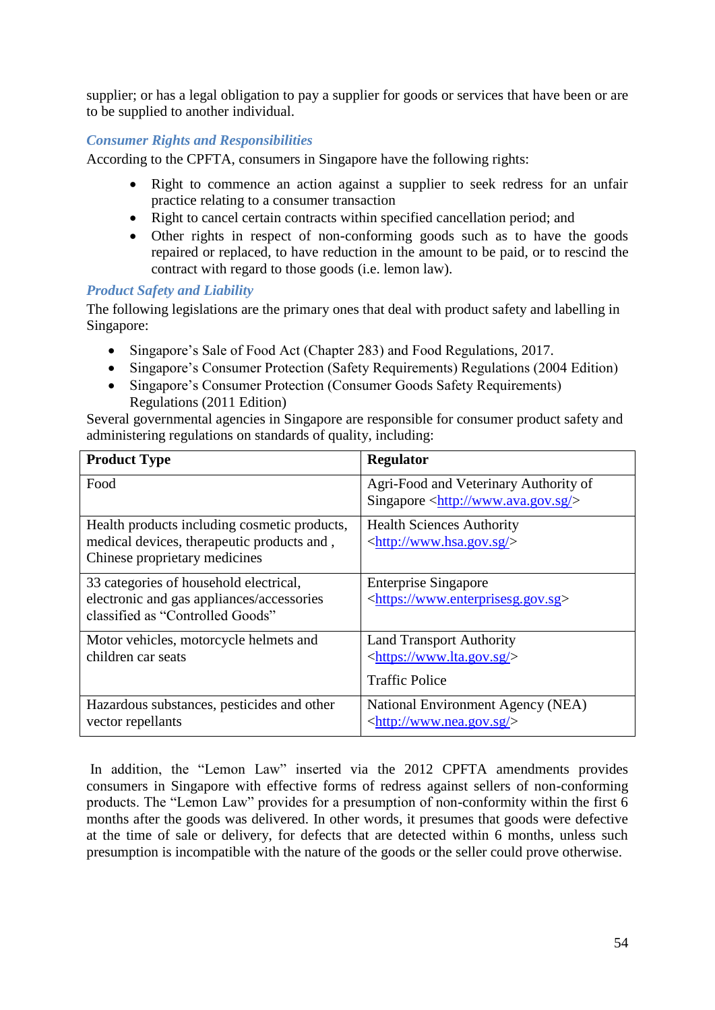supplier; or has a legal obligation to pay a supplier for goods or services that have been or are to be supplied to another individual.

# *Consumer Rights and Responsibilities*

According to the CPFTA, consumers in Singapore have the following rights:

- Right to commence an action against a supplier to seek redress for an unfair practice relating to a consumer transaction
- Right to cancel certain contracts within specified cancellation period; and
- Other rights in respect of non-conforming goods such as to have the goods repaired or replaced, to have reduction in the amount to be paid, or to rescind the contract with regard to those goods (i.e. lemon law).

# *Product Safety and Liability*

The following legislations are the primary ones that deal with product safety and labelling in Singapore:

- Singapore's Sale of Food Act (Chapter 283) and Food Regulations, 2017.
- Singapore's Consumer Protection (Safety Requirements) Regulations (2004 Edition)
- Singapore's Consumer Protection (Consumer Goods Safety Requirements) Regulations (2011 Edition)

Several governmental agencies in Singapore are responsible for consumer product safety and administering regulations on standards of quality, including:

| <b>Product Type</b>                                                           | <b>Regulator</b>                                   |
|-------------------------------------------------------------------------------|----------------------------------------------------|
| Food                                                                          | Agri-Food and Veterinary Authority of              |
|                                                                               | Singapore $\langle \frac{http://www.ava.gov.sg/}{$ |
| Health products including cosmetic products,                                  | <b>Health Sciences Authority</b>                   |
| medical devices, therapeutic products and,                                    | <http: www.hsa.gov.sg=""></http:>                  |
| Chinese proprietary medicines                                                 |                                                    |
| 33 categories of household electrical,                                        | <b>Enterprise Singapore</b>                        |
| electronic and gas appliances/accessories<br>classified as "Controlled Goods" | <https: www.enterprisesg.gov.sg=""></https:>       |
|                                                                               |                                                    |
| Motor vehicles, motorcycle helmets and                                        | <b>Land Transport Authority</b>                    |
| children car seats                                                            | <https: www.lta.gov.sg=""></https:>                |
|                                                                               | <b>Traffic Police</b>                              |
| Hazardous substances, pesticides and other                                    | National Environment Agency (NEA)                  |
| vector repellants                                                             | <http: www.nea.gov.sg=""></http:>                  |

In addition, the "Lemon Law" inserted via the 2012 CPFTA amendments provides consumers in Singapore with effective forms of redress against sellers of non-conforming products. The "Lemon Law" provides for a presumption of non-conformity within the first 6 months after the goods was delivered. In other words, it presumes that goods were defective at the time of sale or delivery, for defects that are detected within 6 months, unless such presumption is incompatible with the nature of the goods or the seller could prove otherwise.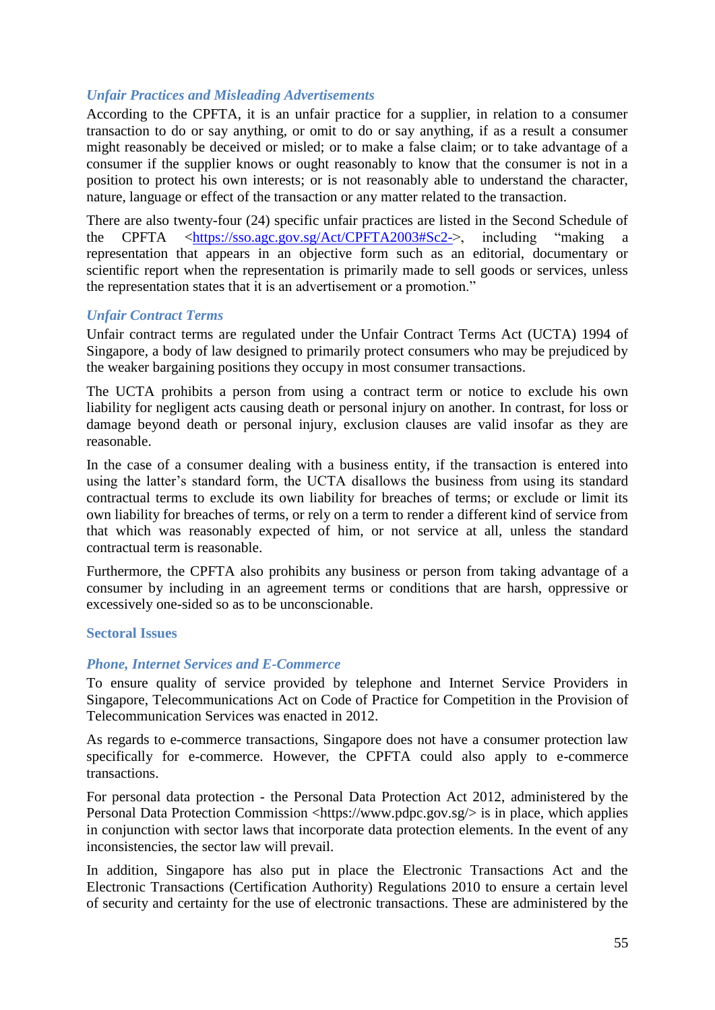# *Unfair Practices and Misleading Advertisements*

According to the CPFTA, it is an unfair practice for a supplier, in relation to a consumer transaction to do or say anything, or omit to do or say anything, if as a result a consumer might reasonably be deceived or misled; or to make a false claim; or to take advantage of a consumer if the supplier knows or ought reasonably to know that the consumer is not in a position to protect his own interests; or is not reasonably able to understand the character, nature, language or effect of the transaction or any matter related to the transaction.

There are also twenty-four (24) specific unfair practices are listed in the Second Schedule of the CPFTA [<https://sso.agc.gov.sg/Act/CPFTA2003#Sc2->](https://sso.agc.gov.sg/Act/CPFTA2003#Sc2-), including "making a representation that appears in an objective form such as an editorial, documentary or scientific report when the representation is primarily made to sell goods or services, unless the representation states that it is an advertisement or a promotion."

#### *Unfair Contract Terms*

Unfair contract terms are regulated under the Unfair Contract Terms Act (UCTA) 1994 of Singapore, a body of law designed to primarily protect consumers who may be prejudiced by the weaker bargaining positions they occupy in most consumer transactions.

The UCTA prohibits a person from using a contract term or notice to exclude his own liability for negligent acts causing death or personal injury on another. In contrast, for loss or damage beyond death or personal injury, exclusion clauses are valid insofar as they are reasonable.

In the case of a consumer dealing with a business entity, if the transaction is entered into using the latter's standard form, the UCTA disallows the business from using its standard contractual terms to exclude its own liability for breaches of terms; or exclude or limit its own liability for breaches of terms, or rely on a term to render a different kind of service from that which was reasonably expected of him, or not service at all, unless the standard contractual term is reasonable.

Furthermore, the CPFTA also prohibits any business or person from taking advantage of a consumer by including in an agreement terms or conditions that are harsh, oppressive or excessively one-sided so as to be unconscionable.

#### <span id="page-54-0"></span>**Sectoral Issues**

# *Phone, Internet Services and E-Commerce*

To ensure quality of service provided by telephone and Internet Service Providers in Singapore, Telecommunications Act on Code of Practice for Competition in the Provision of Telecommunication Services was enacted in 2012.

As regards to e-commerce transactions, Singapore does not have a consumer protection law specifically for e-commerce. However, the CPFTA could also apply to e-commerce transactions.

For personal data protection - the Personal Data Protection Act 2012, administered by the Personal Data Protection Commission [<https://www.pdpc.gov.sg/>](https://www.pdpc.gov.sg/) is in place, which applies in conjunction with sector laws that incorporate data protection elements. In the event of any inconsistencies, the sector law will prevail.

In addition, Singapore has also put in place the Electronic Transactions Act and the Electronic Transactions (Certification Authority) Regulations 2010 to ensure a certain level of security and certainty for the use of electronic transactions. These are administered by the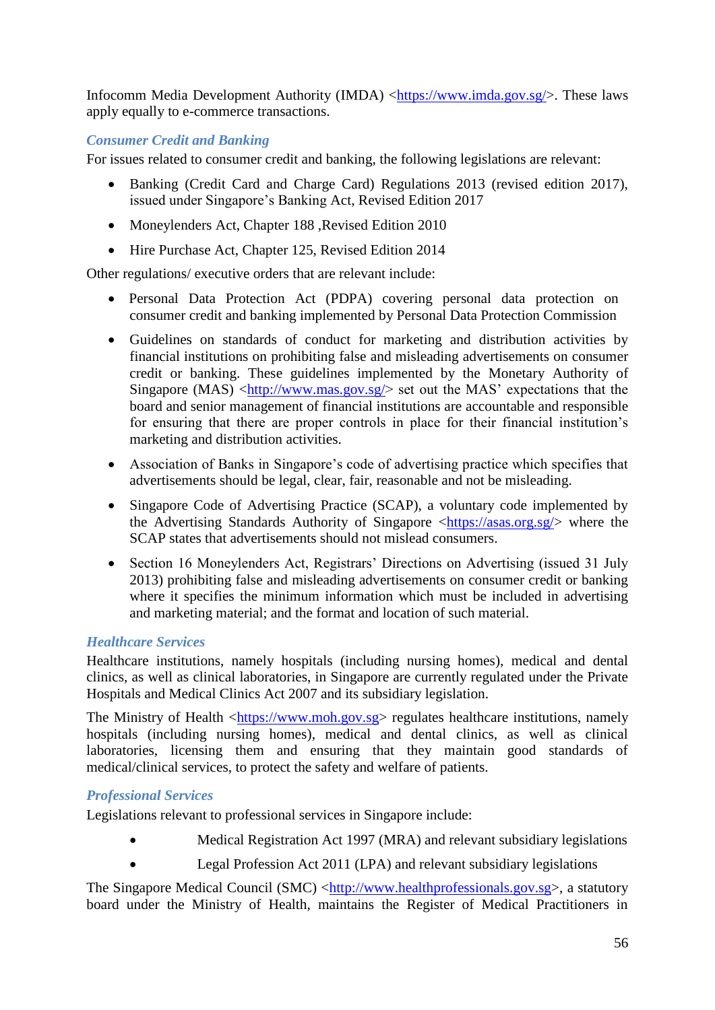Infocomm Media Development Authority (IMDA) [<https://www.imda.gov.sg/>](https://www.imda.gov.sg/). These laws apply equally to e-commerce transactions.

# *Consumer Credit and Banking*

For issues related to consumer credit and banking, the following legislations are relevant:

- Banking (Credit Card and Charge Card) Regulations 2013 (revised edition 2017), issued under Singapore's Banking Act, Revised Edition 2017
- Moneylenders Act, Chapter 188, Revised Edition 2010
- Hire Purchase Act, Chapter 125, Revised Edition 2014

Other regulations/ executive orders that are relevant include:

- Personal Data Protection Act (PDPA) covering personal data protection on consumer credit and banking implemented by Personal Data Protection Commission
- Guidelines on standards of conduct for marketing and distribution activities by financial institutions on prohibiting false and misleading advertisements on consumer credit or banking. These guidelines implemented by the Monetary Authority of Singapore (MAS)  $\langle \frac{http://www.mas.gov.sg/}{http://www.mas.gov.sg/}{\rangle}$  set out the MAS' expectations that the board and senior management of financial institutions are accountable and responsible for ensuring that there are proper controls in place for their financial institution's marketing and distribution activities.
- Association of Banks in Singapore's code of advertising practice which specifies that advertisements should be legal, clear, fair, reasonable and not be misleading.
- Singapore Code of Advertising Practice (SCAP), a voluntary code implemented by the Advertising Standards Authority of Singapore  $\langle \frac{https://asas.org.sg/}{\rangle}$  where the SCAP states that advertisements should not mislead consumers.
- Section 16 Moneylenders Act, Registrars' Directions on Advertising (issued 31 July 2013) prohibiting false and misleading advertisements on consumer credit or banking where it specifies the minimum information which must be included in advertising and marketing material; and the format and location of such material.

# *Healthcare Services*

Healthcare institutions, namely hospitals (including nursing homes), medical and dental clinics, as well as clinical laboratories, in Singapore are currently regulated under the Private Hospitals and Medical Clinics Act 2007 and its subsidiary legislation.

The Ministry of Health [<https://www.moh.gov.sg>](https://www.moh.gov.sg/) regulates healthcare institutions, namely hospitals (including nursing homes), medical and dental clinics, as well as clinical laboratories, licensing them and ensuring that they maintain good standards of medical/clinical services, to protect the safety and welfare of patients.

# *Professional Services*

Legislations relevant to professional services in Singapore include:

- Medical Registration Act 1997 (MRA) and relevant subsidiary legislations
- Legal Profession Act 2011 (LPA) and relevant subsidiary legislations

The Singapore Medical Council (SMC) [<http://www.healthprofessionals.gov.sg>](http://www.healthprofessionals.gov.sg/), a statutory board under the Ministry of Health, maintains the Register of Medical Practitioners in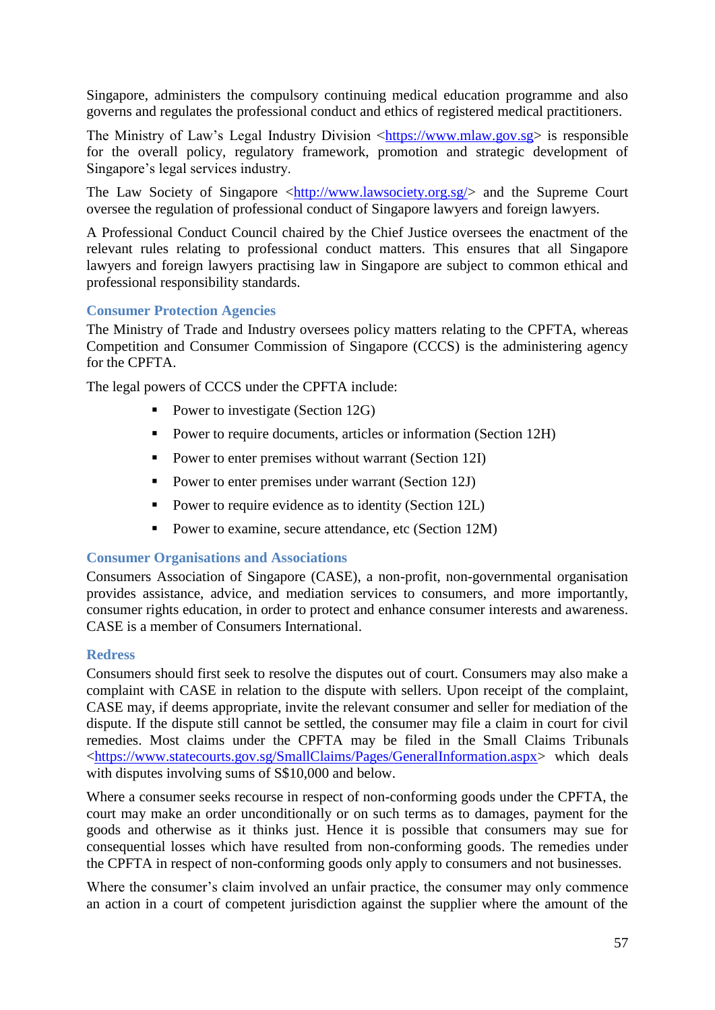Singapore, administers the compulsory continuing medical education programme and also governs and regulates the professional conduct and ethics of registered medical practitioners.

The Ministry of Law's Legal Industry Division [<https://www.mlaw.gov.sg>](https://www.mlaw.gov.sg/) is responsible for the overall policy, regulatory framework, promotion and strategic development of Singapore's legal services industry.

The Law Society of Singapore [<http://www.lawsociety.org.sg/>](http://www.lawsociety.org.sg/) and the Supreme Court oversee the regulation of professional conduct of Singapore lawyers and foreign lawyers.

A Professional Conduct Council chaired by the Chief Justice oversees the enactment of the relevant rules relating to professional conduct matters. This ensures that all Singapore lawyers and foreign lawyers practising law in Singapore are subject to common ethical and professional responsibility standards.

# <span id="page-56-0"></span>**Consumer Protection Agencies**

The Ministry of Trade and Industry oversees policy matters relating to the CPFTA, whereas Competition and Consumer Commission of Singapore (CCCS) is the administering agency for the CPFTA.

The legal powers of CCCS under the CPFTA include:

- Power to investigate (Section 12G)
- Power to require documents, articles or information (Section 12H)
- Power to enter premises without warrant (Section 12I)
- Power to enter premises under warrant (Section 12J)
- Power to require evidence as to identity (Section 12L)
- Power to examine, secure attendance, etc (Section 12M)

#### <span id="page-56-1"></span>**Consumer Organisations and Associations**

Consumers Association of Singapore (CASE), a non-profit, non-governmental organisation provides assistance, advice, and mediation services to consumers, and more importantly, consumer rights education, in order to protect and enhance consumer interests and awareness. CASE is a member of Consumers International.

#### <span id="page-56-2"></span>**Redress**

Consumers should first seek to resolve the disputes out of court. Consumers may also make a complaint with CASE in relation to the dispute with sellers. Upon receipt of the complaint, CASE may, if deems appropriate, invite the relevant consumer and seller for mediation of the dispute. If the dispute still cannot be settled, the consumer may file a claim in court for civil remedies. Most claims under the CPFTA may be filed in the Small Claims Tribunals [<https://www.statecourts.gov.sg/SmallClaims/Pages/GeneralInformation.aspx>](https://www.statecourts.gov.sg/SmallClaims/Pages/GeneralInformation.aspx) which deals with disputes involving sums of S\$10,000 and below.

Where a consumer seeks recourse in respect of non-conforming goods under the CPFTA, the court may make an order unconditionally or on such terms as to damages, payment for the goods and otherwise as it thinks just. Hence it is possible that consumers may sue for consequential losses which have resulted from non-conforming goods. The remedies under the CPFTA in respect of non-conforming goods only apply to consumers and not businesses.

Where the consumer's claim involved an unfair practice, the consumer may only commence an action in a court of competent jurisdiction against the supplier where the amount of the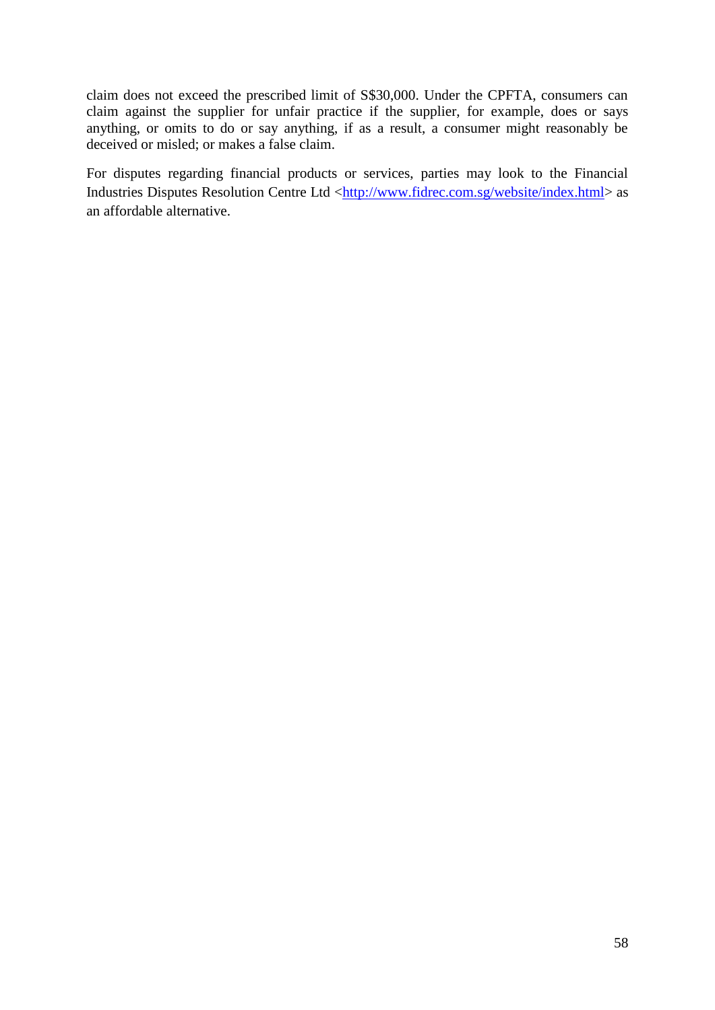claim does not exceed the prescribed limit of S\$30,000. Under the CPFTA, consumers can claim against the supplier for unfair practice if the supplier, for example, does or says anything, or omits to do or say anything, if as a result, a consumer might reasonably be deceived or misled; or makes a false claim.

For disputes regarding financial products or services, parties may look to the Financial Industries Disputes Resolution Centre Ltd [<http://www.fidrec.com.sg/website/index.html>](http://www.fidrec.com.sg/website/index.html) as an affordable alternative.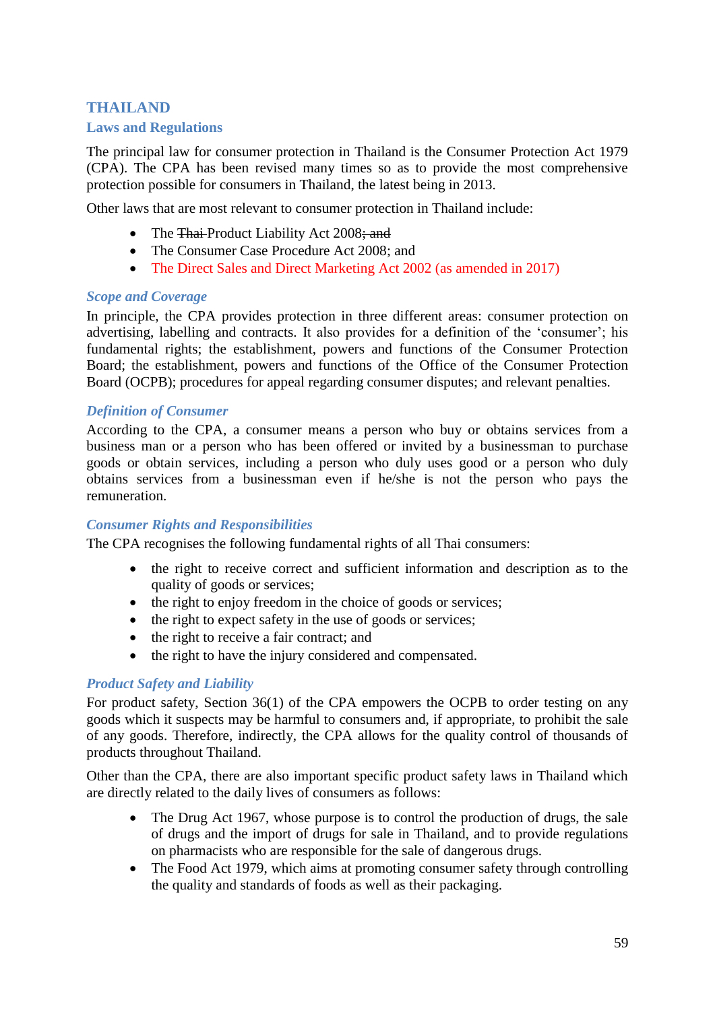# <span id="page-58-0"></span>**THAILAND Laws and Regulations**

The principal law for consumer protection in Thailand is the Consumer Protection Act 1979 (CPA). The CPA has been revised many times so as to provide the most comprehensive protection possible for consumers in Thailand, the latest being in 2013.

Other laws that are most relevant to consumer protection in Thailand include:

- The Thai-Product Liability Act 2008; and
- The Consumer Case Procedure Act 2008; and
- The Direct Sales and Direct Marketing Act 2002 (as amended in 2017)

#### *Scope and Coverage*

In principle, the CPA provides protection in three different areas: consumer protection on advertising, labelling and contracts. It also provides for a definition of the 'consumer'; his fundamental rights; the establishment, powers and functions of the Consumer Protection Board; the establishment, powers and functions of the Office of the Consumer Protection Board (OCPB); procedures for appeal regarding consumer disputes; and relevant penalties.

## *Definition of Consumer*

According to the CPA, a consumer means a person who buy or obtains services from a business man or a person who has been offered or invited by a businessman to purchase goods or obtain services, including a person who duly uses good or a person who duly obtains services from a businessman even if he/she is not the person who pays the remuneration.

#### *Consumer Rights and Responsibilities*

The CPA recognises the following fundamental rights of all Thai consumers:

- the right to receive correct and sufficient information and description as to the quality of goods or services;
- the right to enjoy freedom in the choice of goods or services;
- the right to expect safety in the use of goods or services;
- the right to receive a fair contract; and
- the right to have the injury considered and compensated.

# *Product Safety and Liability*

For product safety, Section 36(1) of the CPA empowers the OCPB to order testing on any goods which it suspects may be harmful to consumers and, if appropriate, to prohibit the sale of any goods. Therefore, indirectly, the CPA allows for the quality control of thousands of products throughout Thailand.

Other than the CPA, there are also important specific product safety laws in Thailand which are directly related to the daily lives of consumers as follows:

- The Drug Act 1967, whose purpose is to control the production of drugs, the sale of drugs and the import of drugs for sale in Thailand, and to provide regulations on pharmacists who are responsible for the sale of dangerous drugs.
- The Food Act 1979, which aims at promoting consumer safety through controlling the quality and standards of foods as well as their packaging.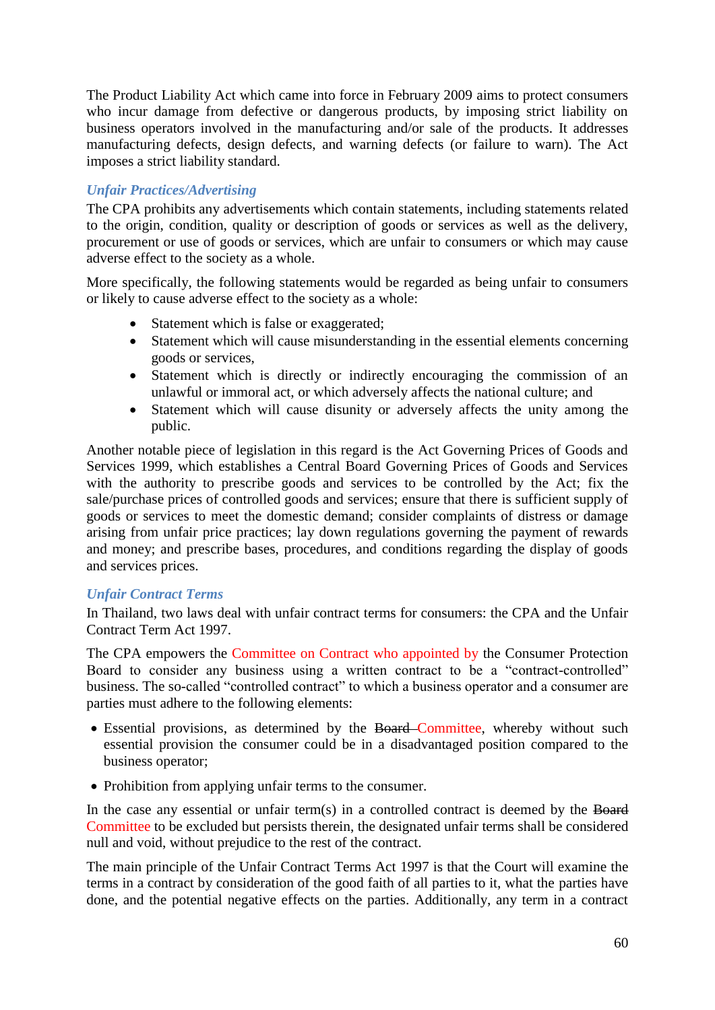The Product Liability Act which came into force in February 2009 aims to protect consumers who incur damage from defective or dangerous products, by imposing strict liability on business operators involved in the manufacturing and/or sale of the products. It addresses manufacturing defects, design defects, and warning defects (or failure to warn). The Act imposes a strict liability standard.

# *Unfair Practices/Advertising*

The CPA prohibits any advertisements which contain statements, including statements related to the origin, condition, quality or description of goods or services as well as the delivery, procurement or use of goods or services, which are unfair to consumers or which may cause adverse effect to the society as a whole.

More specifically, the following statements would be regarded as being unfair to consumers or likely to cause adverse effect to the society as a whole:

- Statement which is false or exaggerated;
- Statement which will cause misunderstanding in the essential elements concerning goods or services,
- Statement which is directly or indirectly encouraging the commission of an unlawful or immoral act, or which adversely affects the national culture; and
- Statement which will cause disunity or adversely affects the unity among the public.

Another notable piece of legislation in this regard is the Act Governing Prices of Goods and Services 1999, which establishes a Central Board Governing Prices of Goods and Services with the authority to prescribe goods and services to be controlled by the Act; fix the sale/purchase prices of controlled goods and services; ensure that there is sufficient supply of goods or services to meet the domestic demand; consider complaints of distress or damage arising from unfair price practices; lay down regulations governing the payment of rewards and money; and prescribe bases, procedures, and conditions regarding the display of goods and services prices.

# *Unfair Contract Terms*

In Thailand, two laws deal with unfair contract terms for consumers: the CPA and the Unfair Contract Term Act 1997.

The CPA empowers the Committee on Contract who appointed by the Consumer Protection Board to consider any business using a written contract to be a "contract-controlled" business. The so-called "controlled contract" to which a business operator and a consumer are parties must adhere to the following elements:

- Essential provisions, as determined by the Board Committee, whereby without such essential provision the consumer could be in a disadvantaged position compared to the business operator;
- Prohibition from applying unfair terms to the consumer.

In the case any essential or unfair term(s) in a controlled contract is deemed by the Board Committee to be excluded but persists therein, the designated unfair terms shall be considered null and void, without prejudice to the rest of the contract.

The main principle of the Unfair Contract Terms Act 1997 is that the Court will examine the terms in a contract by consideration of the good faith of all parties to it, what the parties have done, and the potential negative effects on the parties. Additionally, any term in a contract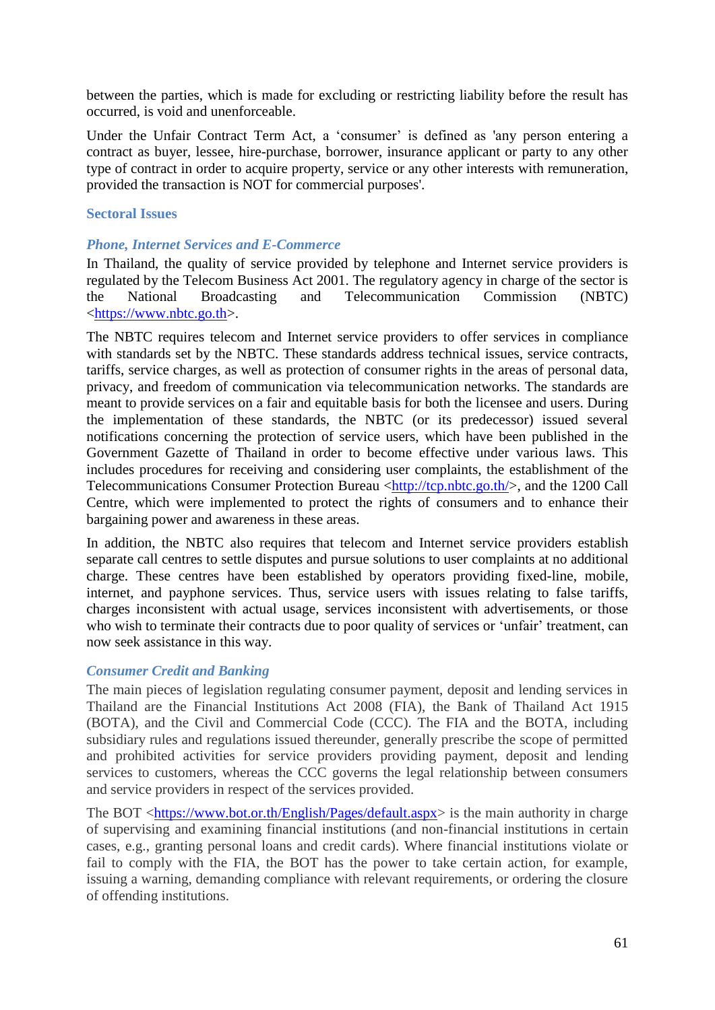between the parties, which is made for excluding or restricting liability before the result has occurred, is void and unenforceable.

Under the Unfair Contract Term Act, a 'consumer' is defined as 'any person entering a contract as buyer, lessee, hire-purchase, borrower, insurance applicant or party to any other type of contract in order to acquire property, service or any other interests with remuneration, provided the transaction is NOT for commercial purposes'.

#### <span id="page-60-0"></span>**Sectoral Issues**

#### *Phone, Internet Services and E-Commerce*

In Thailand, the quality of service provided by telephone and Internet service providers is regulated by the Telecom Business Act 2001. The regulatory agency in charge of the sector is the National Broadcasting and Telecommunication Commission (NBTC) [<https://www.nbtc.go.th>](https://www.nbtc.go.th/).

The NBTC requires telecom and Internet service providers to offer services in compliance with standards set by the NBTC. These standards address technical issues, service contracts, tariffs, service charges, as well as protection of consumer rights in the areas of personal data, privacy, and freedom of communication via telecommunication networks. The standards are meant to provide services on a fair and equitable basis for both the licensee and users. During the implementation of these standards, the NBTC (or its predecessor) issued several notifications concerning the protection of service users, which have been published in the Government Gazette of Thailand in order to become effective under various laws. This includes procedures for receiving and considering user complaints, the establishment of the Telecommunications Consumer Protection Bureau [<http://tcp.nbtc.go.th/>](http://tcp.nbtc.go.th/), and the 1200 Call Centre, which were implemented to protect the rights of consumers and to enhance their bargaining power and awareness in these areas.

In addition, the NBTC also requires that telecom and Internet service providers establish separate call centres to settle disputes and pursue solutions to user complaints at no additional charge. These centres have been established by operators providing fixed-line, mobile, internet, and payphone services. Thus, service users with issues relating to false tariffs, charges inconsistent with actual usage, services inconsistent with advertisements, or those who wish to terminate their contracts due to poor quality of services or 'unfair' treatment, can now seek assistance in this way.

#### *Consumer Credit and Banking*

The main pieces of legislation regulating consumer payment, deposit and lending services in Thailand are the Financial Institutions Act 2008 (FIA), the Bank of Thailand Act 1915 (BOTA), and the Civil and Commercial Code (CCC). The FIA and the BOTA, including subsidiary rules and regulations issued thereunder, generally prescribe the scope of permitted and prohibited activities for service providers providing payment, deposit and lending services to customers, whereas the CCC governs the legal relationship between consumers and service providers in respect of the services provided.

The BOT [<https://www.bot.or.th/English/Pages/default.aspx>](https://www.bot.or.th/English/Pages/default.aspx) is the main authority in charge of supervising and examining financial institutions (and non-financial institutions in certain cases, e.g., granting personal loans and credit cards). Where financial institutions violate or fail to comply with the FIA, the BOT has the power to take certain action, for example, issuing a warning, demanding compliance with relevant requirements, or ordering the closure of offending institutions.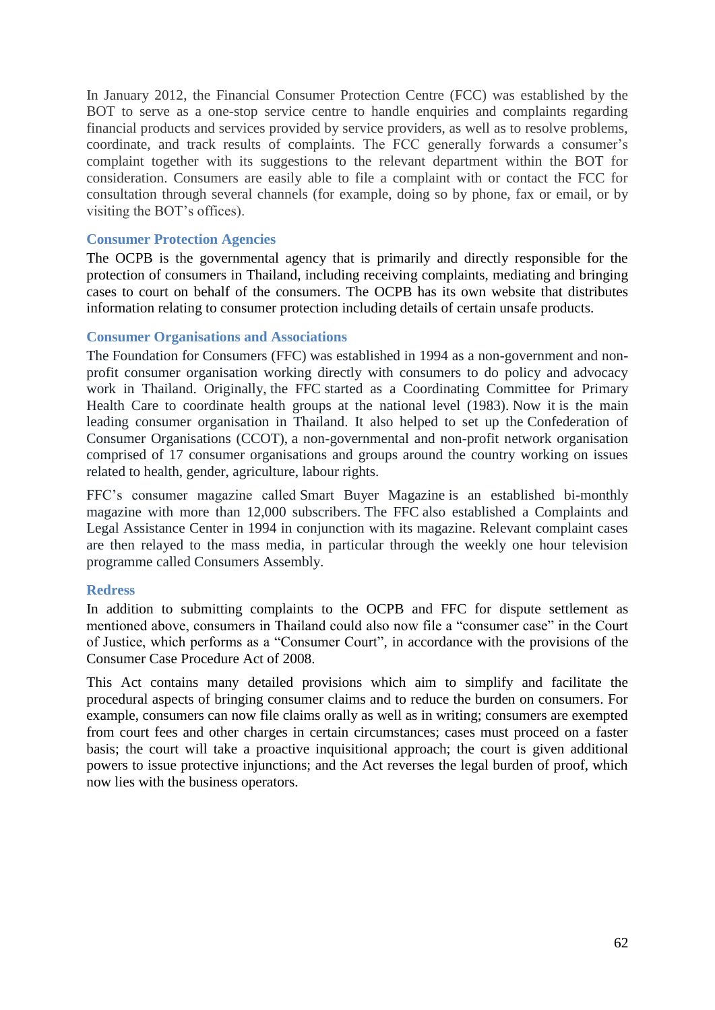In January 2012, the Financial Consumer Protection Centre (FCC) was established by the BOT to serve as a one-stop service centre to handle enquiries and complaints regarding financial products and services provided by service providers, as well as to resolve problems, coordinate, and track results of complaints. The FCC generally forwards a consumer's complaint together with its suggestions to the relevant department within the BOT for consideration. Consumers are easily able to file a complaint with or contact the FCC for consultation through several channels (for example, doing so by phone, fax or email, or by visiting the BOT's offices).

#### <span id="page-61-0"></span>**Consumer Protection Agencies**

The OCPB is the governmental agency that is primarily and directly responsible for the protection of consumers in Thailand, including receiving complaints, mediating and bringing cases to court on behalf of the consumers. The OCPB has its own website that distributes information relating to consumer protection including details of certain unsafe products.

#### <span id="page-61-1"></span>**Consumer Organisations and Associations**

The Foundation for Consumers (FFC) was established in 1994 as a non-government and nonprofit consumer organisation working directly with consumers to do policy and advocacy work in Thailand. Originally, the FFC started as a Coordinating Committee for Primary Health Care to coordinate health groups at the national level (1983). Now it is the main leading consumer organisation in Thailand. It also helped to set up the Confederation of Consumer Organisations (CCOT), a non-governmental and non-profit network organisation comprised of 17 consumer organisations and groups around the country working on issues related to health, gender, agriculture, labour rights.

FFC's consumer magazine called Smart Buyer Magazine is an established bi-monthly magazine with more than 12,000 subscribers. The FFC also established a Complaints and Legal Assistance Center in 1994 in conjunction with its magazine. Relevant complaint cases are then relayed to the mass media, in particular through the weekly one hour television programme called Consumers Assembly.

#### <span id="page-61-2"></span>**Redress**

In addition to submitting complaints to the OCPB and FFC for dispute settlement as mentioned above, consumers in Thailand could also now file a "consumer case" in the Court of Justice, which performs as a "Consumer Court", in accordance with the provisions of the Consumer Case Procedure Act of 2008.

<span id="page-61-3"></span>This Act contains many detailed provisions which aim to simplify and facilitate the procedural aspects of bringing consumer claims and to reduce the burden on consumers. For example, consumers can now file claims orally as well as in writing; consumers are exempted from court fees and other charges in certain circumstances; cases must proceed on a faster basis; the court will take a proactive inquisitional approach; the court is given additional powers to issue protective injunctions; and the Act reverses the legal burden of proof, which now lies with the business operators.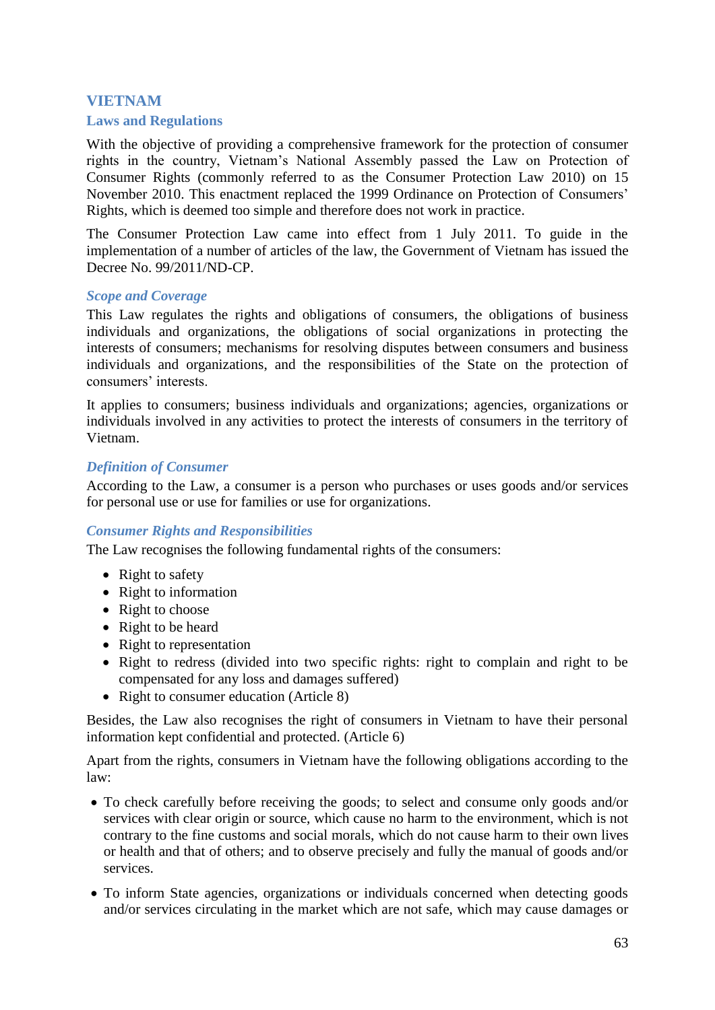# **VIETNAM**

#### <span id="page-62-0"></span>**Laws and Regulations**

With the objective of providing a comprehensive framework for the protection of consumer rights in the country, Vietnam's National Assembly passed the Law on Protection of Consumer Rights (commonly referred to as the Consumer Protection Law 2010) on 15 November 2010. This enactment replaced the 1999 Ordinance on Protection of Consumers' Rights, which is deemed too simple and therefore does not work in practice.

The Consumer Protection Law came into effect from 1 July 2011. To guide in the implementation of a number of articles of the law, the Government of Vietnam has issued the Decree No. 99/2011/ND-CP.

#### *Scope and Coverage*

This Law regulates the rights and obligations of consumers, the obligations of business individuals and organizations, the obligations of social organizations in protecting the interests of consumers; mechanisms for resolving disputes between consumers and business individuals and organizations, and the responsibilities of the State on the protection of consumers' interests.

It applies to consumers; business individuals and organizations; agencies, organizations or individuals involved in any activities to protect the interests of consumers in the territory of Vietnam.

#### *Definition of Consumer*

According to the Law, a consumer is a person who purchases or uses goods and/or services for personal use or use for families or use for organizations.

#### *Consumer Rights and Responsibilities*

The Law recognises the following fundamental rights of the consumers:

- Right to safety
- Right to information
- Right to choose
- Right to be heard
- Right to representation
- Right to redress (divided into two specific rights: right to complain and right to be compensated for any loss and damages suffered)
- Right to consumer education (Article 8)

Besides, the Law also recognises the right of consumers in Vietnam to have their personal information kept confidential and protected. (Article 6)

Apart from the rights, consumers in Vietnam have the following obligations according to the law:

- To check carefully before receiving the goods; to select and consume only goods and/or services with clear origin or source, which cause no harm to the environment, which is not contrary to the fine customs and social morals, which do not cause harm to their own lives or health and that of others; and to observe precisely and fully the manual of goods and/or services.
- To inform State agencies, organizations or individuals concerned when detecting goods and/or services circulating in the market which are not safe, which may cause damages or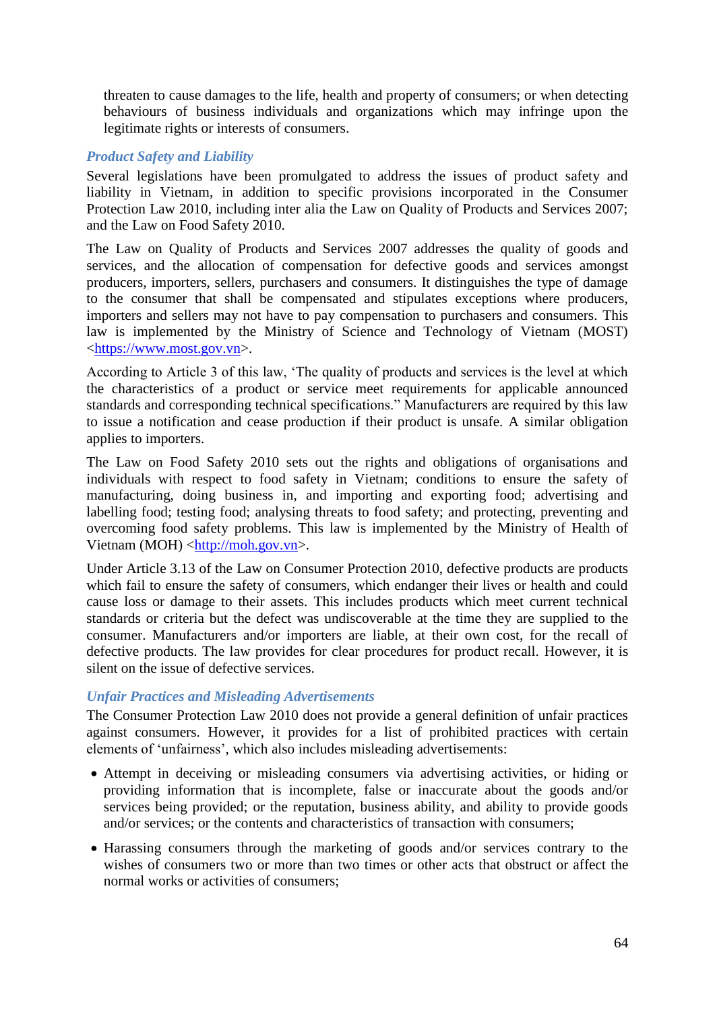threaten to cause damages to the life, health and property of consumers; or when detecting behaviours of business individuals and organizations which may infringe upon the legitimate rights or interests of consumers.

# *Product Safety and Liability*

Several legislations have been promulgated to address the issues of product safety and liability in Vietnam, in addition to specific provisions incorporated in the Consumer Protection Law 2010, including inter alia the Law on Quality of Products and Services 2007; and the Law on Food Safety 2010.

The Law on Quality of Products and Services 2007 addresses the quality of goods and services, and the allocation of compensation for defective goods and services amongst producers, importers, sellers, purchasers and consumers. It distinguishes the type of damage to the consumer that shall be compensated and stipulates exceptions where producers, importers and sellers may not have to pay compensation to purchasers and consumers. This law is implemented by the Ministry of Science and Technology of Vietnam (MOST) [<https://www.most.gov.vn>](https://www.most.gov.vn/).

According to Article 3 of this law, 'The quality of products and services is the level at which the characteristics of a product or service meet requirements for applicable announced standards and corresponding technical specifications." Manufacturers are required by this law to issue a notification and cease production if their product is unsafe. A similar obligation applies to importers.

The Law on Food Safety 2010 sets out the rights and obligations of organisations and individuals with respect to food safety in Vietnam; conditions to ensure the safety of manufacturing, doing business in, and importing and exporting food; advertising and labelling food; testing food; analysing threats to food safety; and protecting, preventing and overcoming food safety problems. This law is implemented by the Ministry of Health of Vietnam (MOH) [<http://moh.gov.vn>](http://moh.gov.vn/).

Under Article 3.13 of the Law on Consumer Protection 2010, defective products are products which fail to ensure the safety of consumers, which endanger their lives or health and could cause loss or damage to their assets. This includes products which meet current technical standards or criteria but the defect was undiscoverable at the time they are supplied to the consumer. Manufacturers and/or importers are liable, at their own cost, for the recall of defective products. The law provides for clear procedures for product recall. However, it is silent on the issue of defective services.

# *Unfair Practices and Misleading Advertisements*

The Consumer Protection Law 2010 does not provide a general definition of unfair practices against consumers. However, it provides for a list of prohibited practices with certain elements of 'unfairness', which also includes misleading advertisements:

- Attempt in deceiving or misleading consumers via advertising activities, or hiding or providing information that is incomplete, false or inaccurate about the goods and/or services being provided; or the reputation, business ability, and ability to provide goods and/or services; or the contents and characteristics of transaction with consumers;
- Harassing consumers through the marketing of goods and/or services contrary to the wishes of consumers two or more than two times or other acts that obstruct or affect the normal works or activities of consumers;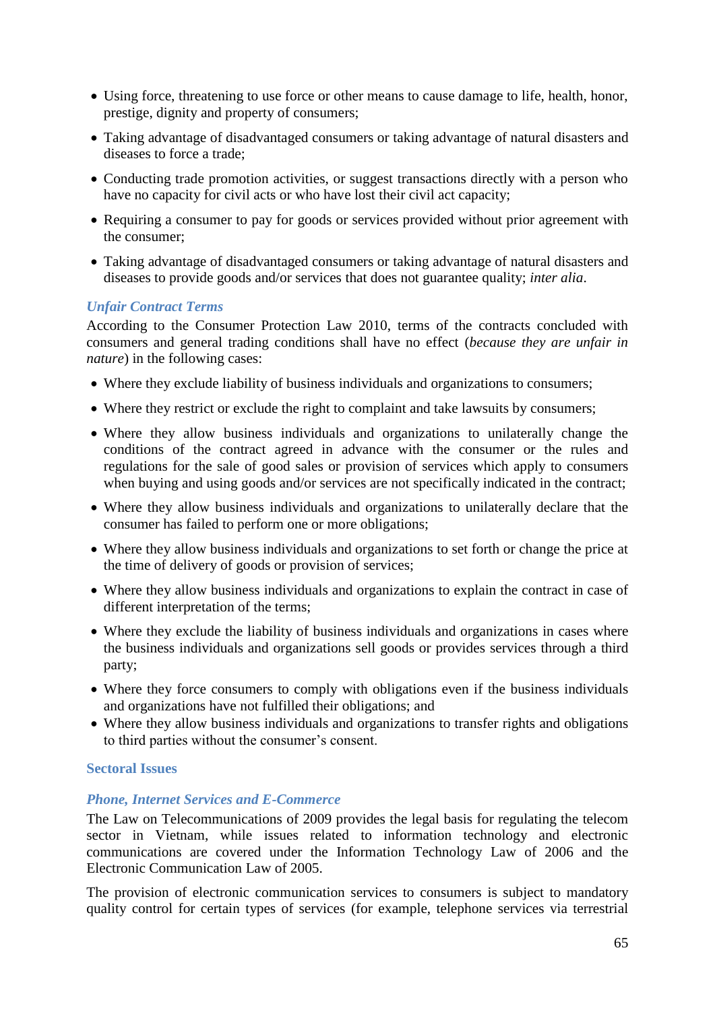- Using force, threatening to use force or other means to cause damage to life, health, honor, prestige, dignity and property of consumers;
- Taking advantage of disadvantaged consumers or taking advantage of natural disasters and diseases to force a trade;
- Conducting trade promotion activities, or suggest transactions directly with a person who have no capacity for civil acts or who have lost their civil act capacity;
- Requiring a consumer to pay for goods or services provided without prior agreement with the consumer;
- Taking advantage of disadvantaged consumers or taking advantage of natural disasters and diseases to provide goods and/or services that does not guarantee quality; *inter alia*.

## *Unfair Contract Terms*

According to the Consumer Protection Law 2010, terms of the contracts concluded with consumers and general trading conditions shall have no effect (*because they are unfair in nature*) in the following cases:

- Where they exclude liability of business individuals and organizations to consumers;
- Where they restrict or exclude the right to complaint and take lawsuits by consumers;
- Where they allow business individuals and organizations to unilaterally change the conditions of the contract agreed in advance with the consumer or the rules and regulations for the sale of good sales or provision of services which apply to consumers when buying and using goods and/or services are not specifically indicated in the contract;
- Where they allow business individuals and organizations to unilaterally declare that the consumer has failed to perform one or more obligations;
- Where they allow business individuals and organizations to set forth or change the price at the time of delivery of goods or provision of services;
- Where they allow business individuals and organizations to explain the contract in case of different interpretation of the terms;
- Where they exclude the liability of business individuals and organizations in cases where the business individuals and organizations sell goods or provides services through a third party;
- Where they force consumers to comply with obligations even if the business individuals and organizations have not fulfilled their obligations; and
- Where they allow business individuals and organizations to transfer rights and obligations to third parties without the consumer's consent.

#### <span id="page-64-0"></span>**Sectoral Issues**

#### *Phone, Internet Services and E-Commerce*

The Law on Telecommunications of 2009 provides the legal basis for regulating the telecom sector in Vietnam, while issues related to information technology and electronic communications are covered under the Information Technology Law of 2006 and the Electronic Communication Law of 2005.

The provision of electronic communication services to consumers is subject to mandatory quality control for certain types of services (for example, telephone services via terrestrial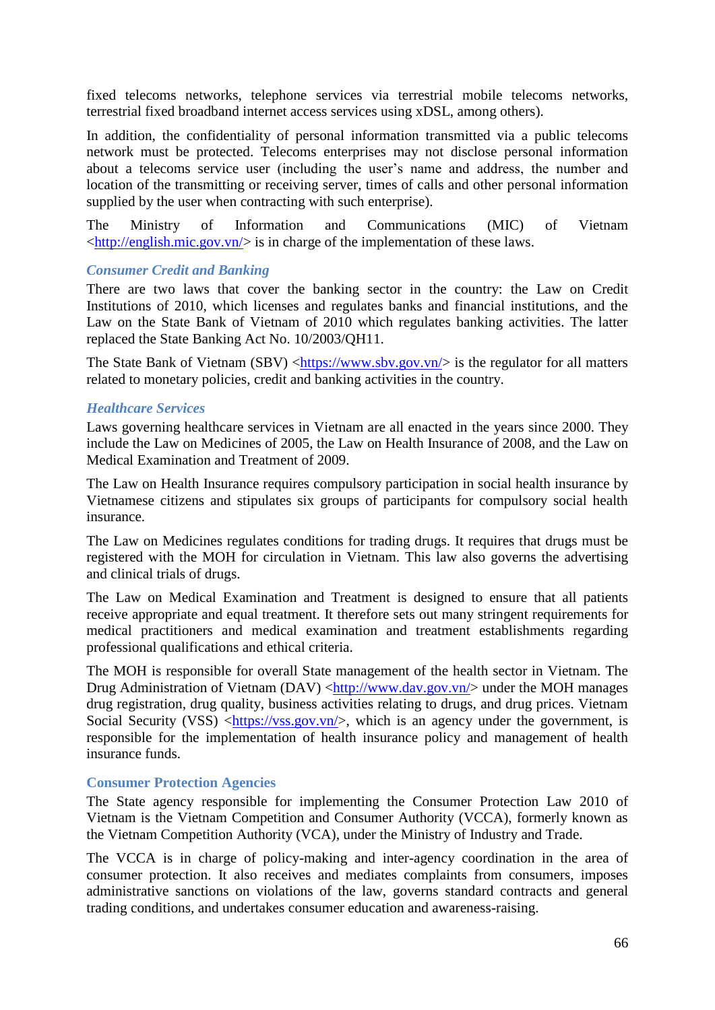fixed telecoms networks, telephone services via terrestrial mobile telecoms networks, terrestrial fixed broadband internet access services using xDSL, among others).

In addition, the confidentiality of personal information transmitted via a public telecoms network must be protected. Telecoms enterprises may not disclose personal information about a telecoms service user (including the user's name and address, the number and location of the transmitting or receiving server, times of calls and other personal information supplied by the user when contracting with such enterprise).

The Ministry of Information and Communications (MIC) of Vietnam [<http://english.mic.gov.vn/>](http://english.mic.gov.vn/Pages/home.aspx) is in charge of the implementation of these laws.

#### *Consumer Credit and Banking*

There are two laws that cover the banking sector in the country: the Law on Credit Institutions of 2010, which licenses and regulates banks and financial institutions, and the Law on the State Bank of Vietnam of 2010 which regulates banking activities. The latter replaced the State Banking Act No. 10/2003/QH11.

The State Bank of Vietnam (SBV)  $\langle$ https://www.sbv.gov.vn/> is the regulator for all matters related to monetary policies, credit and banking activities in the country.

## *Healthcare Services*

Laws governing healthcare services in Vietnam are all enacted in the years since 2000. They include the Law on Medicines of 2005, the Law on Health Insurance of 2008, and the Law on Medical Examination and Treatment of 2009.

The Law on Health Insurance requires compulsory participation in social health insurance by Vietnamese citizens and stipulates six groups of participants for compulsory social health insurance.

The Law on Medicines regulates conditions for trading drugs. It requires that drugs must be registered with the MOH for circulation in Vietnam. This law also governs the advertising and clinical trials of drugs.

The Law on Medical Examination and Treatment is designed to ensure that all patients receive appropriate and equal treatment. It therefore sets out many stringent requirements for medical practitioners and medical examination and treatment establishments regarding professional qualifications and ethical criteria.

The MOH is responsible for overall State management of the health sector in Vietnam. The Drug Administration of Vietnam (DAV) [<http://www.dav.gov.vn/>](http://www.dav.gov.vn/) under the MOH manages drug registration, drug quality, business activities relating to drugs, and drug prices. Vietnam Social Security (VSS)  $\langle$ https://vss.gov.vn/>, which is an agency under the government, is responsible for the implementation of health insurance policy and management of health insurance funds.

#### <span id="page-65-0"></span>**Consumer Protection Agencies**

The State agency responsible for implementing the Consumer Protection Law 2010 of Vietnam is the Vietnam Competition and Consumer Authority (VCCA), formerly known as the Vietnam Competition Authority (VCA), under the Ministry of Industry and Trade.

The VCCA is in charge of policy-making and inter-agency coordination in the area of consumer protection. It also receives and mediates complaints from consumers, imposes administrative sanctions on violations of the law, governs standard contracts and general trading conditions, and undertakes consumer education and awareness-raising.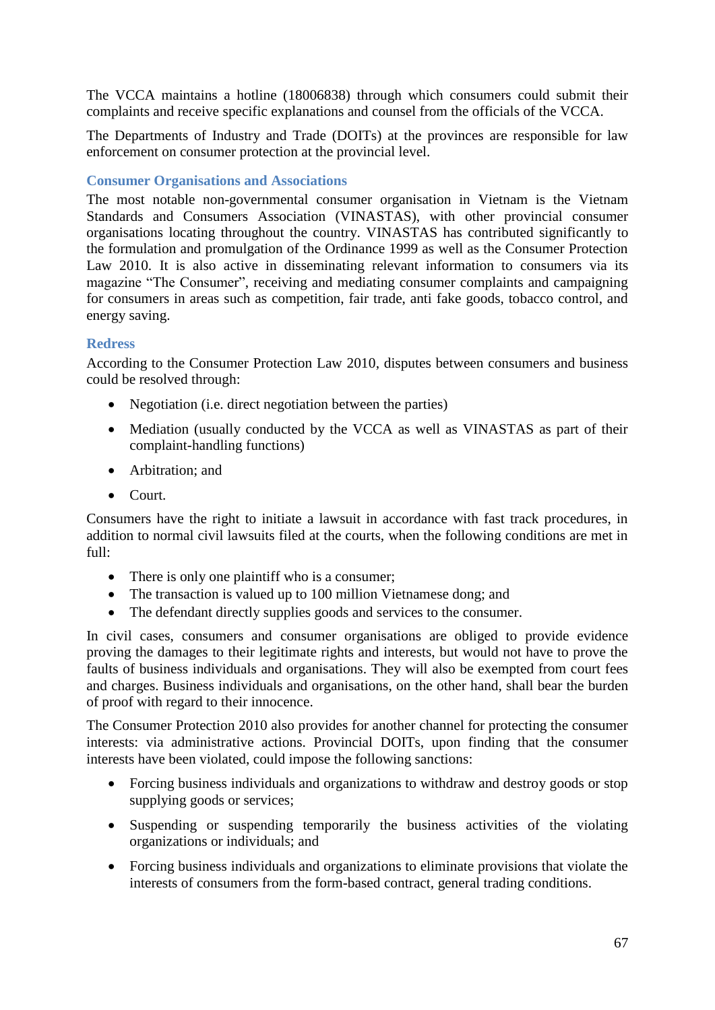The VCCA maintains a hotline (18006838) through which consumers could submit their complaints and receive specific explanations and counsel from the officials of the VCCA.

The Departments of Industry and Trade (DOITs) at the provinces are responsible for law enforcement on consumer protection at the provincial level.

# <span id="page-66-0"></span>**Consumer Organisations and Associations**

The most notable non-governmental consumer organisation in Vietnam is the Vietnam Standards and Consumers Association (VINASTAS), with other provincial consumer organisations locating throughout the country. VINASTAS has contributed significantly to the formulation and promulgation of the Ordinance 1999 as well as the Consumer Protection Law 2010. It is also active in disseminating relevant information to consumers via its magazine "The Consumer", receiving and mediating consumer complaints and campaigning for consumers in areas such as competition, fair trade, anti fake goods, tobacco control, and energy saving.

# <span id="page-66-1"></span>**Redress**

According to the Consumer Protection Law 2010, disputes between consumers and business could be resolved through:

- Negotiation (i.e. direct negotiation between the parties)
- Mediation (usually conducted by the VCCA as well as VINASTAS as part of their complaint-handling functions)
- Arbitration: and
- Court.

Consumers have the right to initiate a lawsuit in accordance with fast track procedures, in addition to normal civil lawsuits filed at the courts, when the following conditions are met in full:

- There is only one plaintiff who is a consumer;
- The transaction is valued up to 100 million Vietnamese dong; and
- The defendant directly supplies goods and services to the consumer.

In civil cases, consumers and consumer organisations are obliged to provide evidence proving the damages to their legitimate rights and interests, but would not have to prove the faults of business individuals and organisations. They will also be exempted from court fees and charges. Business individuals and organisations, on the other hand, shall bear the burden of proof with regard to their innocence.

The Consumer Protection 2010 also provides for another channel for protecting the consumer interests: via administrative actions. Provincial DOITs, upon finding that the consumer interests have been violated, could impose the following sanctions:

- Forcing business individuals and organizations to withdraw and destroy goods or stop supplying goods or services;
- Suspending or suspending temporarily the business activities of the violating organizations or individuals; and
- Forcing business individuals and organizations to eliminate provisions that violate the interests of consumers from the form-based contract, general trading conditions.